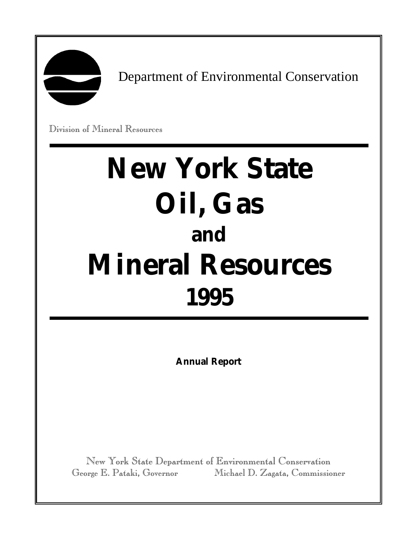

Department of Environmental Conservation

Division of Mineral Resources

# **New York State Oil, Gas and Mineral Resources 1995**

**Annual Report**

New York State Department of Environmental Conservation George E. Pataki, *Governor* Michael D. Zagata, *Commissioner*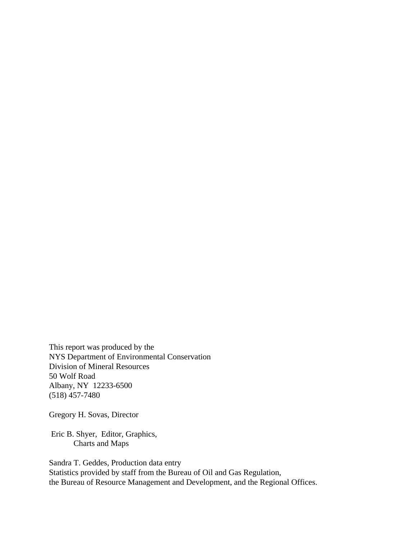This report was produced by the NYS Department of Environmental Conservation Division of Mineral Resources 50 Wolf Road Albany, NY 12233-6500 (518) 457-7480

Gregory H. Sovas, Director

 Eric B. Shyer, Editor, Graphics, Charts and Maps

Sandra T. Geddes, Production data entry Statistics provided by staff from the Bureau of Oil and Gas Regulation, the Bureau of Resource Management and Development, and the Regional Offices.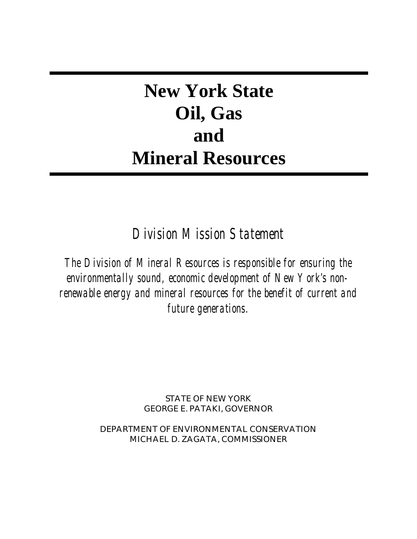# **New York State Oil, Gas and Mineral Resources**

*Division Mission Statement*

*The Division of Mineral Resources is responsible for ensuring the environmentally sound, economic development of New York's nonrenewable energy and mineral resources for the benefit of current and future generations.*

> STATE OF NEW YORK GEORGE E. PATAKI, GOVERNOR

DEPARTMENT OF ENVIRONMENTAL CONSERVATION MICHAEL D. ZAGATA, COMMISSIONER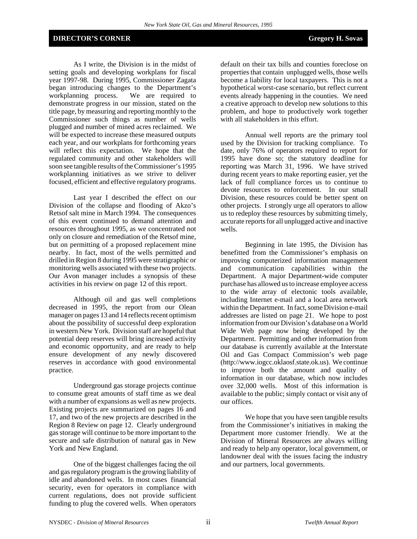#### **DIRECTOR'S CORNER Gregory H. Sovas**

As I write, the Division is in the midst of setting goals and developing workplans for fiscal year 1997-98. During 1995, Commissioner Zagata began introducing changes to the Department's workplanning process. We are required to demonstrate progress in our mission, stated on the title page, by measuring and reporting monthly to the Commissioner such things as number of wells plugged and number of mined acres reclaimed. We will be expected to increase these measured outputs each year, and our workplans for forthcoming years will reflect this expectation. We hope that the regulated community and other stakeholders will soon see tangible results of the Commissioner's 1995 workplanning initiatives as we strive to deliver focused, efficient and effective regulatory programs.

Last year I described the effect on our Division of the collapse and flooding of Akzo's Retsof salt mine in March 1994. The consequences of this event continued to demand attention and resources throughout 1995, as we concentrated not only on closure and remediation of the Retsof mine, but on permitting of a proposed replacement mine nearby. In fact, most of the wells permitted and drilled in Region 8 during 1995 were stratigraphic or monitoring wells associated with these two projects. Our Avon manager includes a synopsis of these activities in his review on page 12 of this report.

Although oil and gas well completions decreased in 1995, the report from our Olean manager on pages 13 and 14 reflects recent optimism about the possibility of successful deep exploration in western New York. Division staff are hopeful that potential deep reserves will bring increased activity and economic opportunity, and are ready to help ensure development of any newly discovered reserves in accordance with good environmental practice.

Underground gas storage projects continue to consume great amounts of staff time as we deal with a number of expansions as well as new projects. Existing projects are summarized on pages 16 and 17, and two of the new projects are described in the Region 8 Review on page 12. Clearly underground gas storage will continue to be more important to the secure and safe distribution of natural gas in New York and New England.

One of the biggest challenges facing the oil and gas regulatory program is the growing liability of idle and abandoned wells. In most cases financial security, even for operators in compliance with current regulations, does not provide sufficient funding to plug the covered wells. When operators

default on their tax bills and counties foreclose on properties that contain unplugged wells, those wells become a liability for local taxpayers. This is not a hypothetical worst-case scenario, but reflect current events already happening in the counties. We need a creative approach to develop new solutions to this problem, and hope to productively work together with all stakeholders in this effort.

Annual well reports are the primary tool used by the Division for tracking compliance. To date, only 76% of operators required to report for 1995 have done so; the statutory deadline for reporting was March 31, 1996. We have strived during recent years to make reporting easier, yet the lack of full compliance forces us to continue to devote resources to enforcement. In our small Division, these resources could be better spent on other projects. I strongly urge all operators to allow us to redeploy these resources by submitting timely, accurate reports for all unplugged active and inactive wells.

Beginning in late 1995, the Division has benefitted from the Commissioner's emphasis on improving computerized information management and communication capabilities within the Department. A major Department-wide computer purchase has allowed us to increase employee access to the wide array of electonic tools available, including Internet e-mail and a local area network within the Department. In fact, some Division e-mail addresses are listed on page 21. We hope to post information from our Division's database on a World Wide Web page now being developed by the Department. Permitting and other information from our database is currently available at the Interstate Oil and Gas Compact Commission's web page (http://www.iogcc.oklaosf.state.ok.us). We continue to improve both the amount and quality of information in our database, which now includes over 32,000 wells. Most of this information is available to the public; simply contact or visit any of our offices.

We hope that you have seen tangible results from the Commissioner's initiatives in making the Department more customer friendly. We at the Division of Mineral Resources are always willing and ready to help any operator, local government, or landowner deal with the issues facing the industry and our partners, local governments.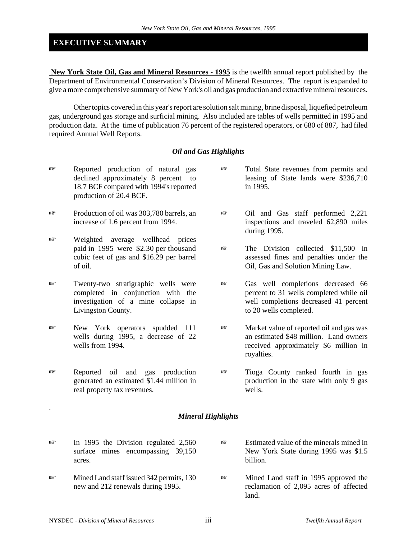#### **EXECUTIVE SUMMARY**

**New York State Oil, Gas and Mineral Resources - 1995** is the twelfth annual report published by the Department of Environmental Conservation's Division of Mineral Resources. The report is expanded to give a more comprehensive summary of New York's oil and gas production and extractive mineral resources.

Other topics covered in this year's report are solution salt mining, brine disposal, liquefied petroleum gas, underground gas storage and surficial mining. Also included are tables of wells permitted in 1995 and production data. At the time of publication 76 percent of the registered operators, or 680 of 887, had filed required Annual Well Reports.

#### *Oil and Gas Highlights*

- **Exercise** Reported production of natural gas declined approximately 8 percent to 18.7 BCF compared with 1994's reported production of 20.4 BCF.
- $E \approx$  Production of oil was 303,780 barrels, an increase of 1.6 percent from 1994.
- **Executer Weighted average wellhead prices** paid in 1995 were \$2.30 per thousand cubic feet of gas and \$16.29 per barrel of oil.
- $E$  Twenty-two stratigraphic wells were completed in conjunction with the investigation of a mine collapse in Livingston County.
- **Example 3** New York operators spudded 111 wells during 1995, a decrease of 22 wells from 1994.
- **Exercise** Reported oil and gas production generated an estimated \$1.44 million in real property tax revenues.
- **Executer 15 Total State revenues from permits and** leasing of State lands were \$236,710 in 1995.
- **Execution** Oil and Gas staff performed 2,221 inspections and traveled 62,890 miles during 1995.
- $E$  The Division collected \$11,500 in assessed fines and penalties under the Oil, Gas and Solution Mining Law.
- **Executed** Gas well completions decreased 66 percent to 31 wells completed while oil well completions decreased 41 percent to 20 wells completed.
- $\mathbb{R}$  Market value of reported oil and gas was an estimated \$48 million. Land owners received approximately \$6 million in royalties.
- **Executer** Tioga County ranked fourth in gas production in the state with only 9 gas wells.

#### *Mineral Highlights*

- $\sqrt{10}$  In 1995 the Division regulated 2,560 surface mines encompassing 39,150 acres.  $E$  Estimated value of the minerals mined in New York State during 1995 was \$1.5 billion.
- $E$  Mined Land staff issued 342 permits, 130 new and 212 renewals during 1995. **Executive Mined Land staff in 1995 approved the** reclamation of 2,095 acres of affected land.

.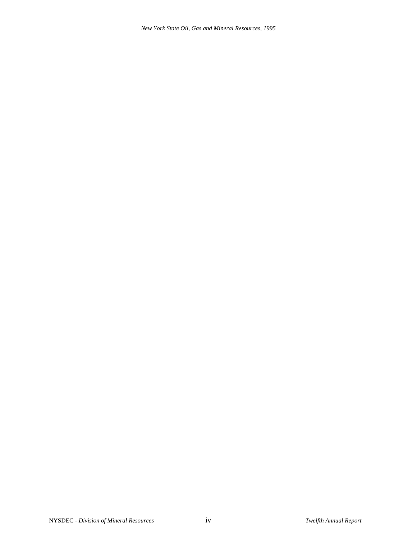*New York State Oil, Gas and Mineral Resources, 1995*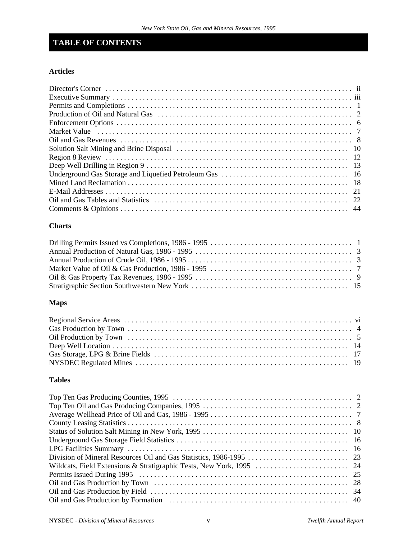## **TABLE OF CONTENTS**

#### **Articles**

#### **Charts**

#### **Maps**

#### **Tables**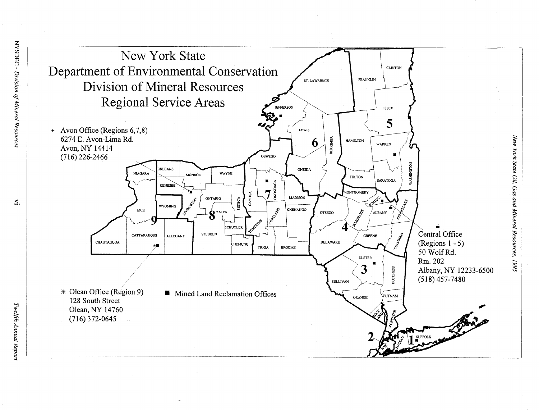

NYSDEC - Division of Mineral Resources

 $\leq$ .

Twelfth Annual Report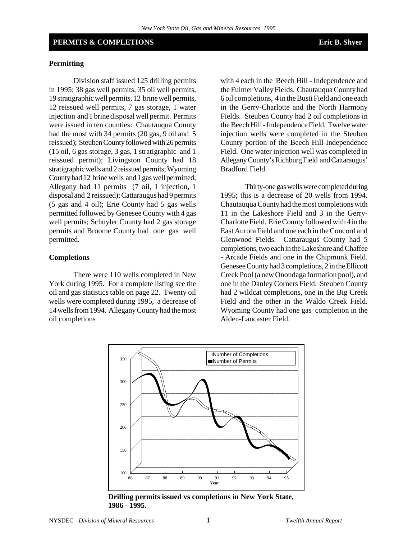#### **PERMITS & COMPLETIONS** Eric B. Shyer

#### **Permitting**

Division staff issued 125 drilling permits in 1995: 38 gas well permits, 35 oil well permits, 19 stratigraphic well permits, 12 brine well permits, 12 reissued well permits, 7 gas storage, 1 water injection and 1 brine disposal well permit. Permits were issued in ten counties: Chautauqua County had the most with 34 permits (20 gas, 9 oil and 5 reissued); Steuben County followed with 26 permits (15 oil, 6 gas storage, 3 gas, 1 stratigraphic and 1 reissued permit); Livingston County had 18 stratigraphic wells and 2 reissued permits; Wyoming County had 12 brine wells and 1 gas well permitted; Allegany had 11 permits (7 oil, 1 injection, 1 disposal and 2 reissued); Cattaraugus had 9 permits (5 gas and 4 oil); Erie County had 5 gas wells permitted followed by Genesee County with 4 gas well permits; Schuyler County had 2 gas storage permits and Broome County had one gas well permitted.

#### **Completions**

There were 110 wells completed in New York during 1995. For a complete listing see the oil and gas statistics table on page 22. Twenty oil wells were completed during 1995, a decrease of 14 wells from 1994. Allegany County had the most oil completions

with 4 each in the Beech Hill - Independence and the Fulmer Valley Fields. Chautauqua County had 6 oil completions, 4 in the Busti Field and one each in the Gerry-Charlotte and the North Harmony Fields. Steuben County had 2 oil completions in the Beech Hill - Independence Field. Twelve water injection wells were completed in the Steuben County portion of the Beech Hill-Independence Field. One water injection well was completed in Allegany County's Richburg Field and Cattaraugus' Bradford Field.

Thirty-one gas wells were completed during 1995; this is a decrease of 20 wells from 1994. Chautauqua County had the most completions with 11 in the Lakeshore Field and 3 in the Gerry-Charlotte Field. Erie County followed with 4 in the East Aurora Field and one each in the Concord and Glenwood Fields. Cattaraugus County had 5 completions, two each in the Lakeshore and Chaffee - Arcade Fields and one in the Chipmunk Field. Genesee County had 3 completions, 2 in the Ellicott Creek Pool (a new Onondaga formation pool), and one in the Danley Corners Field. Steuben County had 2 wildcat completions, one in the Big Creek Field and the other in the Waldo Creek Field. Wyoming County had one gas completion in the Alden-Lancaster Field.



**Drilling permits issued vs completions in New York State, 1986 - 1995.**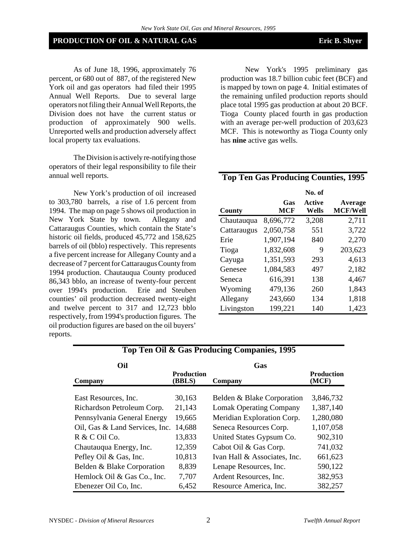#### **PRODUCTION OF OIL & NATURAL GAS** Eric B. Shyer

As of June 18, 1996, approximately 76 percent, or 680 out of 887, of the registered New York oil and gas operators had filed their 1995 Annual Well Reports. Due to several large operators not filing their Annual Well Reports, the Division does not have the current status or production of approximately 900 wells. Unreported wells and production adversely affect local property tax evaluations.

The Division is actively re-notifying those operators of their legal responsibility to file their annual well reports.

New York's production of oil increased to 303,780 barrels, a rise of 1.6 percent from 1994. The map on page 5 shows oil production in New York State by town. Allegany and Cattaraugus Counties, which contain the State's historic oil fields, produced 45,772 and 158,625 barrels of oil (bblo) respectively. This represents a five percent increase for Allegany County and a decrease of 7 percent for Cattaraugus County from 1994 production. Chautauqua County produced 86,343 bblo, an increase of twenty-four percent over 1994's production. Erie and Steuben counties' oil production decreased twenty-eight and twelve percent to 317 and 12,723 bblo respectively, from 1994's production figures. The oil production figures are based on the oil buyers' reports.

New York's 1995 preliminary gas production was 18.7 billion cubic feet (BCF) and is mapped by town on page 4. Initial estimates of the remaining unfiled production reports should place total 1995 gas production at about 20 BCF. Tioga County placed fourth in gas production with an average per-well production of 203,623 MCF. This is noteworthy as Tioga County only has **nine** active gas wells.

#### **Top Ten Gas Producing Counties, 1995**

|             |                   | No. of          |                            |
|-------------|-------------------|-----------------|----------------------------|
| County      | Gas<br><b>MCF</b> | Active<br>Wells | Average<br><b>MCF/Well</b> |
| Chautauqua  | 8,696,772         | 3,208           | 2,711                      |
| Cattaraugus | 2,050,758         | 551             | 3,722                      |
| Erie        | 1,907,194         | 840             | 2,270                      |
| Tioga       | 1,832,608         | 9               | 203,623                    |
| Cayuga      | 1,351,593         | 293             | 4,613                      |
| Genesee     | 1,084,583         | 497             | 2,182                      |
| Seneca      | 616,391           | 138             | 4,467                      |
| Wyoming     | 479,136           | 260             | 1,843                      |
| Allegany    | 243,660           | 134             | 1,818                      |
| Livingston  | 199,221           | 140             | 1,423                      |
|             |                   |                 |                            |

| Top Ten Oil & Gas Producing Companies, 1995 |                             |                                |                            |  |  |  |  |
|---------------------------------------------|-----------------------------|--------------------------------|----------------------------|--|--|--|--|
| Oil<br>Gas                                  |                             |                                |                            |  |  |  |  |
| Company                                     | <b>Production</b><br>(BBLS) | Company                        | <b>Production</b><br>(MCF) |  |  |  |  |
| East Resources, Inc.                        | 30,163                      | Belden & Blake Corporation     | 3,846,732                  |  |  |  |  |
| Richardson Petroleum Corp.                  | 21,143                      | <b>Lomak Operating Company</b> | 1,387,140                  |  |  |  |  |
| Pennsylvania General Energy                 | 19,665                      | Meridian Exploration Corp.     | 1,280,080                  |  |  |  |  |
| Oil, Gas & Land Services, Inc.              | 14,688                      | Seneca Resources Corp.         | 1,107,058                  |  |  |  |  |
| R & C Oil Co.                               | 13,833                      | United States Gypsum Co.       | 902,310                    |  |  |  |  |
| Chautauqua Energy, Inc.                     | 12,359                      | Cabot Oil & Gas Corp.          | 741,032                    |  |  |  |  |
| Pefley Oil & Gas, Inc.                      | 10,813                      | Ivan Hall & Associates, Inc.   | 661,623                    |  |  |  |  |
| Belden & Blake Corporation                  | 8,839                       | Lenape Resources, Inc.         | 590,122                    |  |  |  |  |
| Hemlock Oil & Gas Co., Inc.                 | 7,707                       | Ardent Resources, Inc.         | 382,953                    |  |  |  |  |
| Ebenezer Oil Co, Inc.                       | 6,452                       | Resource America, Inc.         | 382,257                    |  |  |  |  |

#### **Top Ten Oil & Gas Producing Companies, 1995**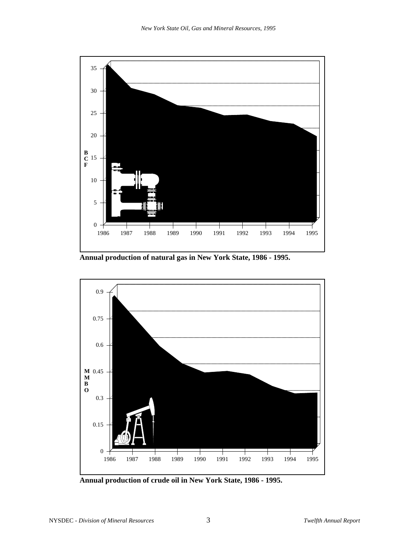

**Annual production of natural gas in New York State, 1986 - 1995.**



**Annual production of crude oil in New York State, 1986 - 1995.**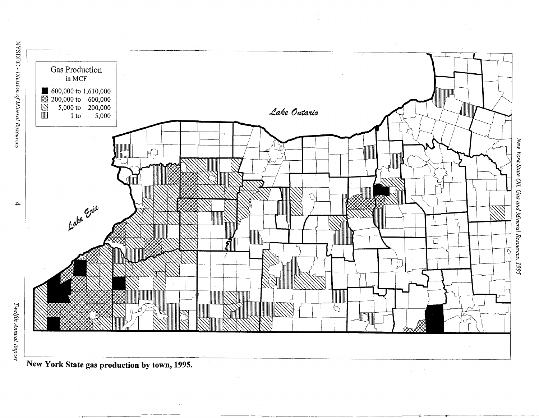

New York State gas production by town, 1995.

NYSDEC - Division of Mineral Resources

 $\blacktriangle$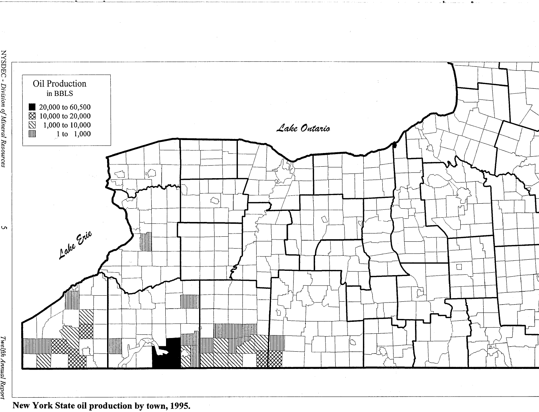

#### New York State oil production by town, 1995.

NYSDEC - Division of Mineral Resources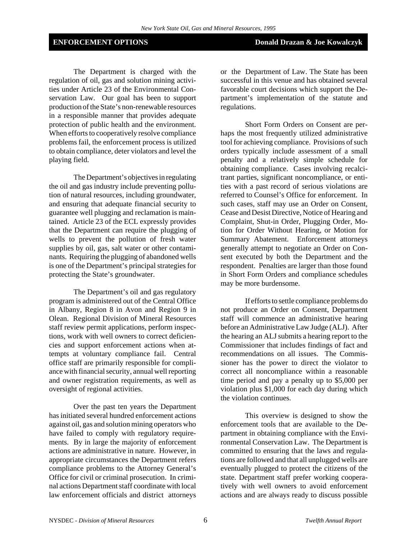The Department is charged with the regulation of oil, gas and solution mining activities under Article 23 of the Environmental Conservation Law. Our goal has been to support production of the State's non-renewable resources in a responsible manner that provides adequate protection of public health and the environment. When efforts to cooperatively resolve compliance problems fail, the enforcement process is utilized to obtain compliance, deter violators and level the playing field.

The Department's objectives in regulating the oil and gas industry include preventing pollution of natural resources, including groundwater, and ensuring that adequate financial security to guarantee well plugging and reclamation is maintained. Article 23 of the ECL expressly provides that the Department can require the plugging of wells to prevent the pollution of fresh water supplies by oil, gas, salt water or other contaminants. Requiring the plugging of abandoned wells is one of the Department's principal strategies for protecting the State's groundwater.

The Department's oil and gas regulatory program is administered out of the Central Office in Albany, Region 8 in Avon and Region 9 in Olean. Regional Division of Mineral Resources staff review permit applications, perform inspections, work with well owners to correct deficiencies and support enforcement actions when attempts at voluntary compliance fail. Central office staff are primarily responsible for compliance with financial security, annual well reporting and owner registration requirements, as well as oversight of regional activities.

Over the past ten years the Department has initiated several hundred enforcement actions against oil, gas and solution mining operators who have failed to comply with regulatory requirements. By in large the majority of enforcement actions are administrative in nature. However, in appropriate circumstances the Department refers compliance problems to the Attorney General's Office for civil or criminal prosecution. In criminal actions Department staff coordinate with local law enforcement officials and district attorneys or the Department of Law. The State has been successful in this venue and has obtained several favorable court decisions which support the Department's implementation of the statute and regulations.

Short Form Orders on Consent are perhaps the most frequently utilized administrative tool for achieving compliance. Provisions of such orders typically include assessment of a small penalty and a relatively simple schedule for obtaining compliance. Cases involving recalcitrant parties, significant noncompliance, or entities with a past record of serious violations are referred to Counsel's Office for enforcement. In such cases, staff may use an Order on Consent, Cease and Desist Directive, Notice of Hearing and Complaint, Shut-in Order, Plugging Order, Motion for Order Without Hearing, or Motion for Summary Abatement. Enforcement attorneys generally attempt to negotiate an Order on Consent executed by both the Department and the respondent. Penalties are larger than those found in Short Form Orders and compliance schedules may be more burdensome.

If efforts to settle compliance problems do not produce an Order on Consent, Department staff will commence an administrative hearing before an Administrative Law Judge (ALJ). After the hearing an ALJ submits a hearing report to the Commissioner that includes findings of fact and recommendations on all issues. The Commissioner has the power to direct the violator to correct all noncompliance within a reasonable time period and pay a penalty up to \$5,000 per violation plus \$1,000 for each day during which the violation continues.

This overview is designed to show the enforcement tools that are available to the Department in obtaining compliance with the Environmental Conservation Law. The Department is committed to ensuring that the laws and regulations are followed and that all unplugged wells are eventually plugged to protect the citizens of the state. Department staff prefer working cooperatively with well owners to avoid enforcement actions and are always ready to discuss possible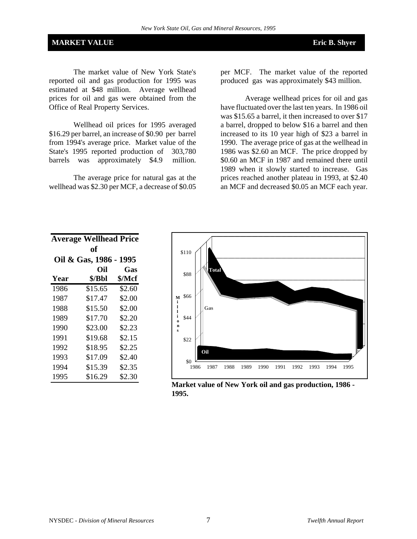#### **MARKET VALUE** Eric B. Shyer

The market value of New York State's reported oil and gas production for 1995 was estimated at \$48 million. Average wellhead prices for oil and gas were obtained from the Office of Real Property Services.

Wellhead oil prices for 1995 averaged \$16.29 per barrel, an increase of \$0.90 per barrel from 1994's average price. Market value of the State's 1995 reported production of 303,780 barrels was approximately \$4.9 million.

The average price for natural gas at the wellhead was \$2.30 per MCF, a decrease of \$0.05

per MCF. The market value of the reported produced gas was approximately \$43 million.

Average wellhead prices for oil and gas have fluctuated over the last ten years. In 1986 oil was \$15.65 a barrel, it then increased to over \$17 a barrel, dropped to below \$16 a barrel and then increased to its 10 year high of \$23 a barrel in 1990. The average price of gas at the wellhead in 1986 was \$2.60 an MCF. The price dropped by \$0.60 an MCF in 1987 and remained there until 1989 when it slowly started to increase. Gas prices reached another plateau in 1993, at \$2.40 an MCF and decreased \$0.05 an MCF each year.

| <b>Average Wellhead Price</b> |         |        |  |  |  |  |  |
|-------------------------------|---------|--------|--|--|--|--|--|
| of                            |         |        |  |  |  |  |  |
| Oil & Gas, 1986 - 1995        |         |        |  |  |  |  |  |
|                               | Oil     | Gas    |  |  |  |  |  |
| Year                          | \$/Bbl  | \$/Mcf |  |  |  |  |  |
| 1986                          | \$15.65 | \$2.60 |  |  |  |  |  |
| 1987                          | \$17.47 | \$2.00 |  |  |  |  |  |
| 1988                          | \$15.50 | \$2.00 |  |  |  |  |  |
| 1989                          | \$17.70 | \$2.20 |  |  |  |  |  |
| 1990                          | \$23.00 | \$2.23 |  |  |  |  |  |
| 1991                          | \$19.68 | \$2.15 |  |  |  |  |  |
| 1992                          | \$18.95 | \$2.25 |  |  |  |  |  |
| 1993                          | \$17.09 | \$2.40 |  |  |  |  |  |
| 1994                          | \$15.39 | \$2.35 |  |  |  |  |  |
| 1995                          | \$16.29 | \$2.30 |  |  |  |  |  |



**Market value of New York oil and gas production, 1986 - 1995.**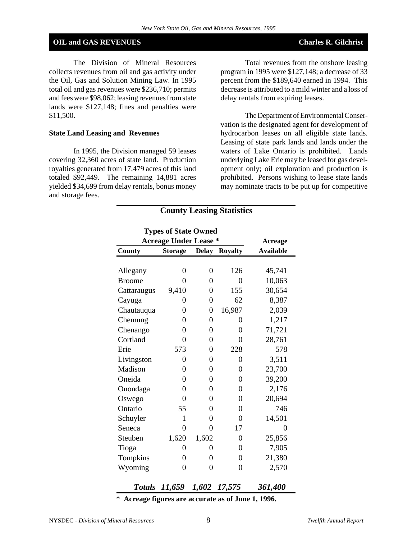#### **OIL and GAS REVENUES** Charles R. Gilchrist

The Division of Mineral Resources collects revenues from oil and gas activity under the Oil, Gas and Solution Mining Law. In 1995 total oil and gas revenues were \$236,710; permits and fees were \$98,062; leasing revenues from state lands were \$127,148; fines and penalties were \$11,500.

#### **State Land Leasing and Revenues**

In 1995, the Division managed 59 leases covering 32,360 acres of state land. Production royalties generated from 17,479 acres of this land totaled \$92,449. The remaining 14,881 acres yielded \$34,699 from delay rentals, bonus money and storage fees.

Total revenues from the onshore leasing program in 1995 were \$127,148; a decrease of 33 percent from the \$189,640 earned in 1994. This decrease is attributed to a mild winter and a loss of delay rentals from expiring leases.

The Department of Environmental Conservation is the designated agent for development of hydrocarbon leases on all eligible state lands. Leasing of state park lands and lands under the waters of Lake Ontario is prohibited. Lands underlying Lake Erie may be leased for gas development only; oil exploration and production is prohibited. Persons wishing to lease state lands may nominate tracts to be put up for competitive

| <b>Types of State Owned</b>  |                                 |                |                |         |  |  |  |
|------------------------------|---------------------------------|----------------|----------------|---------|--|--|--|
| <b>Acreage Under Lease *</b> | Acreage                         |                |                |         |  |  |  |
| <b>County</b>                | Delay Royalty<br><b>Storage</b> |                |                |         |  |  |  |
|                              |                                 |                |                |         |  |  |  |
| Allegany                     | 0                               | $\overline{0}$ | 126            | 45,741  |  |  |  |
| <b>Broome</b>                | 0                               | $\overline{0}$ | $\overline{0}$ | 10,063  |  |  |  |
| Cattaraugus                  | 9,410                           | $\overline{0}$ | 155            | 30,654  |  |  |  |
| Cayuga                       | 0                               | $\overline{0}$ | 62             | 8,387   |  |  |  |
| Chautauqua                   | 0                               | $\overline{0}$ | 16,987         | 2,039   |  |  |  |
| Chemung                      | $\overline{0}$                  | $\overline{0}$ | 0              | 1,217   |  |  |  |
| Chenango                     | $\overline{0}$                  | $\overline{0}$ | 0              | 71,721  |  |  |  |
| Cortland                     | 0                               | $\overline{0}$ | $\theta$       | 28,761  |  |  |  |
| Erie                         | 573                             | $\overline{0}$ | 228            | 578     |  |  |  |
| Livingston                   | 0                               | $\overline{0}$ | $\overline{0}$ | 3,511   |  |  |  |
| Madison                      | $\overline{0}$                  | $\overline{0}$ | $\overline{0}$ | 23,700  |  |  |  |
| Oneida                       | 0                               | $\overline{0}$ | 0              | 39,200  |  |  |  |
| Onondaga                     | $\overline{0}$                  | $\overline{0}$ | $\overline{0}$ | 2,176   |  |  |  |
| Oswego                       | 0                               | $\overline{0}$ | $\overline{0}$ | 20,694  |  |  |  |
| Ontario                      | 55                              | $\overline{0}$ | 0              | 746     |  |  |  |
| Schuyler                     | 1                               | 0              | 0              | 14,501  |  |  |  |
| Seneca                       | 0                               | $\overline{0}$ | 17             | 0       |  |  |  |
| Steuben                      | 1,620                           | 1,602          | $\overline{0}$ | 25,856  |  |  |  |
| Tioga                        | 0                               | $\Omega$       | $\theta$       | 7,905   |  |  |  |
| Tompkins                     | 0                               | $\overline{0}$ | $\overline{0}$ | 21,380  |  |  |  |
| Wyoming                      | $\overline{0}$                  | 0              | $\overline{0}$ | 2,570   |  |  |  |
| <b>Totals</b>                | 11,659                          | 1,602          | 17,575         | 361,400 |  |  |  |

**County Leasing Statistics**

#### \* **Acreage figures are accurate as of June 1, 1996.**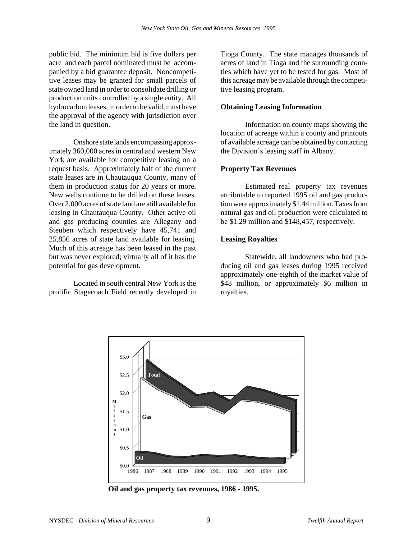public bid. The minimum bid is five dollars per acre and each parcel nominated must be accompanied by a bid guarantee deposit. Noncompetitive leases may be granted for small parcels of state owned land in order to consolidate drilling or production units controlled by a single entity. All hydrocarbon leases, in order to be valid, must have the approval of the agency with jurisdiction over the land in question.

Onshore state lands encompassing approximately 360,000 acres in central and western New York are available for competitive leasing on a request basis. Approximately half of the current state leases are in Chautauqua County, many of them in production status for 20 years or more. New wells continue to be drilled on these leases. Over 2,000 acres of state land are still available for leasing in Chautauqua County. Other active oil and gas producing counties are Allegany and Steuben which respectively have 45,741 and 25,856 acres of state land available for leasing. Much of this acreage has been leased in the past but was never explored; virtually all of it has the potential for gas development.

Located in south central New York is the prolific Stagecoach Field recently developed in

Tioga County. The state manages thousands of acres of land in Tioga and the surrounding counties which have yet to be tested for gas. Most of this acreage may be available through the competitive leasing program.

#### **Obtaining Leasing Information**

Information on county maps showing the location of acreage within a county and printouts of available acreage can be obtained by contacting the Division's leasing staff in Albany.

#### **Property Tax Revenues**

Estimated real property tax revenues attributable to reported 1995 oil and gas production were approximately \$1.44 million. Taxes from natural gas and oil production were calculated to be \$1.29 million and \$148,457, respectively.

#### **Leasing Royalties**

Statewide, all landowners who had producing oil and gas leases during 1995 received approximately one-eighth of the market value of \$48 million, or approximately \$6 million in royalties.



**Oil and gas property tax revenues, 1986 - 1995.**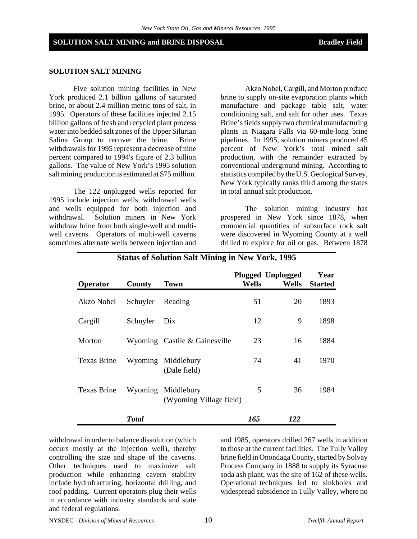#### **SOLUTION SALT MINING and BRINE DISPOSAL Bradley Field**

#### **SOLUTION SALT MINING**

Five solution mining facilities in New York produced 2.1 billion gallons of saturated brine, or about 2.4 million metric tons of salt, in 1995. Operators of these facilities injected 2.15 billion gallons of fresh and recycled plant process water into bedded salt zones of the Upper Silurian Salina Group to recover the brine. Brine withdrawals for 1995 represent a decrease of nine percent compared to 1994's figure of 2.3 billion gallons. The value of New York's 1995 solution salt mining production is estimated at \$75 million.

The 122 unplugged wells reported for 1995 include injection wells, withdrawal wells and wells equipped for both injection and withdrawal. Solution miners in New York withdraw brine from both single-well and multiwell caverns. Operators of multi-well caverns sometimes alternate wells between injection and

Akzo Nobel, Cargill, and Morton produce brine to supply on-site evaporation plants which manufacture and package table salt, water conditioning salt, and salt for other uses. Texas Brine's fields supply two chemical manufacturing plants in Niagara Falls via 60-mile-long brine pipelines. In 1995, solution miners produced 45 percent of New York's total mined salt production, with the remainder extracted by conventional underground mining. According to statistics compiled by the U.S. Geological Survey, New York typically ranks third among the states in total annual salt production.

The solution mining industry has prospered in New York since 1878, when commercial quantities of subsurface rock salt were discovered in Wyoming County at a well drilled to explore for oil or gas. Between 1878

| Operator           | County        | <b>Town</b>                                   | <b>Wells</b> | <b>Plugged Unplugged</b><br><b>Wells</b> | Year<br><b>Started</b> |
|--------------------|---------------|-----------------------------------------------|--------------|------------------------------------------|------------------------|
| Akzo Nobel         | Schuyler      | Reading                                       | 51           | 20                                       | 1893                   |
| Cargill            | Schuyler      | Dix                                           | 12           | 9                                        | 1898                   |
| Morton             |               | Wyoming Castile & Gainesville                 | 23           | 16                                       | 1884                   |
| Texas Brine        |               | Wyoming Middlebury<br>(Dale field)            | 74           | 41                                       | 1970                   |
| <b>Texas Brine</b> |               | Wyoming Middlebury<br>(Wyoming Village field) | 5            | 36                                       | 1984                   |
|                    | <b>T</b> otal |                                               | 165          | 122                                      |                        |

#### **Status of Solution Salt Mining in New York, 1995**

withdrawal in order to balance dissolution (which occurs mostly at the injection well), thereby controlling the size and shape of the caverns. Other techniques used to maximize salt production while enhancing cavern stability include hydrofracturing, horizontal drilling, and roof padding. Current operators plug their wells in accordance with industry standards and state and federal regulations.

and 1985, operators drilled 267 wells in addition to those at the current facilities. The Tully Valley brine field in Onondaga County, started by Solvay Process Company in 1888 to supply its Syracuse soda ash plant, was the site of 162 of these wells. Operational techniques led to sinkholes and widespread subsidence in Tully Valley, where no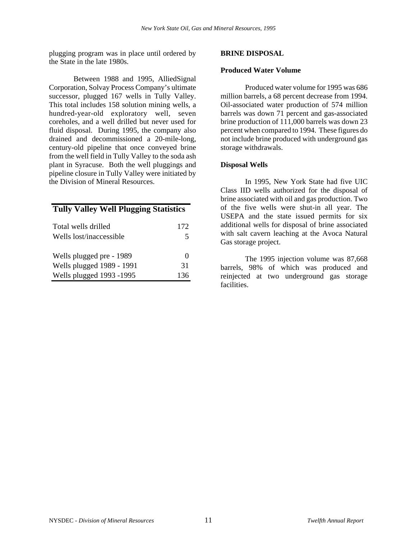plugging program was in place until ordered by the State in the late 1980s.

Between 1988 and 1995, AlliedSignal Corporation, Solvay Process Company's ultimate successor, plugged 167 wells in Tully Valley. This total includes 158 solution mining wells, a hundred-year-old exploratory well, seven coreholes, and a well drilled but never used for fluid disposal. During 1995, the company also drained and decommissioned a 20-mile-long, century-old pipeline that once conveyed brine from the well field in Tully Valley to the soda ash plant in Syracuse. Both the well pluggings and pipeline closure in Tully Valley were initiated by the Division of Mineral Resources.

#### **Tully Valley Well Plugging Statistics**

| 172               |
|-------------------|
| 5                 |
|                   |
| $\mathbf{\Omega}$ |
| 31                |
| 136               |
|                   |

#### **BRINE DISPOSAL**

#### **Produced Water Volume**

Produced water volume for 1995 was 686 million barrels, a 68 percent decrease from 1994. Oil-associated water production of 574 million barrels was down 71 percent and gas-associated brine production of 111,000 barrels was down 23 percent when compared to 1994. These figures do not include brine produced with underground gas storage withdrawals.

#### **Disposal Wells**

In 1995, New York State had five UIC Class IID wells authorized for the disposal of brine associated with oil and gas production. Two of the five wells were shut-in all year. The USEPA and the state issued permits for six additional wells for disposal of brine associated with salt cavern leaching at the Avoca Natural Gas storage project.

The 1995 injection volume was 87,668 barrels, 98% of which was produced and reinjected at two underground gas storage facilities.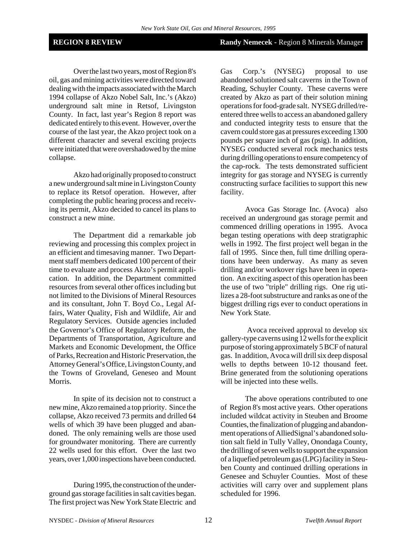**REGION 8 REVIEW Randy Nemecek - Region 8 Minerals Manager** 

Over the last two years, most of Region 8's oil, gas and mining activities were directed toward dealing with the impacts associated with the March 1994 collapse of Akzo Nobel Salt, Inc.'s (Akzo) underground salt mine in Retsof, Livingston County. In fact, last year's Region 8 report was dedicated entirely to this event. However, over the course of the last year, the Akzo project took on a different character and several exciting projects were initiated that were overshadowed by the mine collapse.

Akzo had originally proposed to construct a new underground salt mine in Livingston County to replace its Retsof operation. However, after completing the public hearing process and receiving its permit, Akzo decided to cancel its plans to construct a new mine.

The Department did a remarkable job reviewing and processing this complex project in an efficient and timesaving manner. Two Department staff members dedicated 100 percent of their time to evaluate and process Akzo's permit application. In addition, the Department committed resources from several other offices including but not limited to the Divisions of Mineral Resources and its consultant, John T. Boyd Co., Legal Affairs, Water Quality, Fish and Wildlife, Air and Regulatory Services. Outside agencies included the Governor's Office of Regulatory Reform, the Departments of Transportation, Agriculture and Markets and Economic Development, the Office of Parks, Recreation and Historic Preservation, the Attorney General's Office, Livingston County, and the Towns of Groveland, Geneseo and Mount Morris.

In spite of its decision not to construct a new mine, Akzo remained a top priority. Since the collapse, Akzo received 73 permits and drilled 64 wells of which 39 have been plugged and abandoned. The only remaining wells are those used for groundwater monitoring. There are currently 22 wells used for this effort. Over the last two years, over 1,000 inspections have been conducted.

During 1995, the construction of the underground gas storage facilities in salt cavities began. The first project was New York State Electric and Gas Corp.'s (NYSEG) proposal to use abandoned solutioned salt caverns in the Town of Reading, Schuyler County. These caverns were created by Akzo as part of their solution mining operations for food-grade salt. NYSEG drilled/reentered three wells to access an abandoned gallery and conducted integrity tests to ensure that the cavern could store gas at pressures exceeding 1300 pounds per square inch of gas (psig). In addition, NYSEG conducted several rock mechanics tests during drilling operations to ensure competency of the cap-rock. The tests demonstrated sufficient integrity for gas storage and NYSEG is currently constructing surface facilities to support this new facility.

Avoca Gas Storage Inc. (Avoca) also received an underground gas storage permit and commenced drilling operations in 1995. Avoca began testing operations with deep stratigraphic wells in 1992. The first project well began in the fall of 1995. Since then, full time drilling operations have been underway. As many as seven drilling and/or workover rigs have been in operation. An exciting aspect of this operation has been the use of two "triple" drilling rigs. One rig utilizes a 28-foot substructure and ranks as one of the biggest drilling rigs ever to conduct operations in New York State.

 Avoca received approval to develop six gallery-type caverns using 12 wells for the explicit purpose of storing approximately 5 BCF of natural gas. In addition, Avoca will drill six deep disposal wells to depths between 10-12 thousand feet. Brine generated from the solutioning operations will be injected into these wells.

The above operations contributed to one of Region 8's most active years. Other operations included wildcat activity in Steuben and Broome Counties, the finalization of plugging and abandonment operations of AlliedSignal's abandoned solution salt field in Tully Valley, Onondaga County, the drilling of seven wells to support the expansion of a liquefied petroleum gas (LPG) facility in Steuben County and continued drilling operations in Genesee and Schuyler Counties. Most of these activities will carry over and supplement plans scheduled for 1996.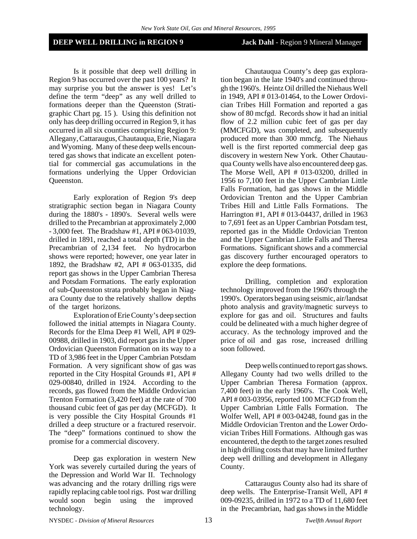#### **DEEP WELL DRILLING in REGION 9** Jack Dahl - Region 9 Mineral Manager

Is it possible that deep well drilling in Region 9 has occurred over the past 100 years? It may surprise you but the answer is yes! Let's define the term "deep" as any well drilled to formations deeper than the Queenston (Stratigraphic Chart pg. 15 ). Using this definition not only has deep drilling occurred in Region 9, it has occurred in all six counties comprising Region 9: Allegany, Cattaraugus, Chautauqua, Erie, Niagara and Wyoming. Many of these deep wells encountered gas shows that indicate an excellent potential for commercial gas accumulations in the formations underlying the Upper Ordovician Queenston.

Early exploration of Region 9's deep stratigraphic section began in Niagara County during the 1880's - 1890's. Several wells were drilled to the Precambrian at approximately 2,000 - 3,000 feet. The Bradshaw #1, API # 063-01039, drilled in 1891, reached a total depth (TD) in the Precambrian of 2,134 feet. No hydrocarbon shows were reported; however, one year later in 1892, the Bradshaw #2, API # 063-01335, did report gas shows in the Upper Cambrian Theresa and Potsdam Formations. The early exploration of sub-Queenston strata probably began in Niagara County due to the relatively shallow depths of the target horizons.

Exploration of Erie County's deep section followed the initial attempts in Niagara County. Records for the Elma Deep #1 Well, API # 029- 00988, drilled in 1903, did report gas in the Upper Ordovician Queenston Formation on its way to a TD of 3,986 feet in the Upper Cambrian Potsdam Formation. A very significant show of gas was reported in the City Hospital Grounds #1, API # 029-00840, drilled in 1924. According to the records, gas flowed from the Middle Ordovician Trenton Formation (3,420 feet) at the rate of 700 thousand cubic feet of gas per day (MCFGD). It is very possible the City Hospital Grounds #1 drilled a deep structure or a fractured reservoir. The "deep" formations continued to show the promise for a commercial discovery.

Deep gas exploration in western New York was severely curtailed during the years of the Depression and World War II. Technology was advancing and the rotary drilling rigs were rapidly replacing cable tool rigs. Post war drilling would soon begin using the improved technology.

Chautauqua County's deep gas exploration began in the late 1940's and continued through the 1960's. Heintz Oil drilled the Niehaus Well in 1949, API # 013-01464, to the Lower Ordovician Tribes Hill Formation and reported a gas show of 80 mcfgd. Records show it had an initial flow of 2.2 million cubic feet of gas per day (MMCFGD), was completed, and subsequently produced more than 300 mmcfg. The Niehaus well is the first reported commercial deep gas discovery in western New York. Other Chautauqua County wells have also encountered deep gas. The Morse Well, API # 013-03200, drilled in 1956 to 7,100 feet in the Upper Cambrian Little Falls Formation, had gas shows in the Middle Ordovician Trenton and the Upper Cambrian Tribes Hill and Little Falls Formations. The Harrington #1, API # 013-04437, drilled in 1963 to 7,691 feet as an Upper Cambrian Potsdam test, reported gas in the Middle Ordovician Trenton and the Upper Cambrian Little Falls and Theresa Formations. Significant shows and a commercial gas discovery further encouraged operators to explore the deep formations.

Drilling, completion and exploration technology improved from the 1960's through the 1990's. Operators began using seismic, air/landsat photo analysis and gravity/magnetic surveys to explore for gas and oil. Structures and faults could be delineated with a much higher degree of accuracy. As the technology improved and the price of oil and gas rose, increased drilling soon followed.

Deep wells continued to report gas shows. Allegany County had two wells drilled to the Upper Cambrian Theresa Formation (approx. 7,400 feet) in the early 1960's. The Cook Well, API # 003-03956, reported 100 MCFGD from the Upper Cambrian Little Falls Formation. The Wolfer Well, API # 003-04248, found gas in the Middle Ordovician Trenton and the Lower Ordovician Tribes Hill Formations. Although gas was encountered, the depth to the target zones resulted in high drilling costs that may have limited further deep well drilling and development in Allegany County.

Cattaraugus County also had its share of deep wells. The Enterprise-Transit Well, API # 009-09235, drilled in 1972 to a TD of 11,680 feet in the Precambrian, had gas shows in the Middle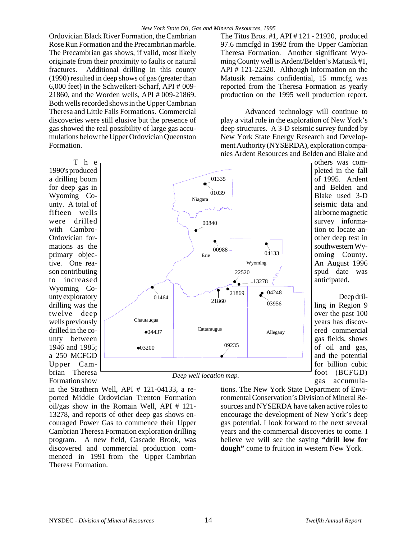Ordovician Black River Formation, the Cambrian Rose Run Formation and the Precambrian marble. The Precambrian gas shows, if valid, most likely originate from their proximity to faults or natural fractures. Additional drilling in this county (1990) resulted in deep shows of gas (greater than 6,000 feet) in the Schweikert-Scharf, API # 009- 21860, and the Worden wells, API # 009-21869. Both wells recorded shows in the Upper Cambrian Theresa and Little Falls Formations. Commercial discoveries were still elusive but the presence of gas showed the real possibility of large gas accumulations below the Upper Ordovician Queenston Formation.

The Titus Bros. #1, API # 121 - 21920, produced 97.6 mmcfgd in 1992 from the Upper Cambrian Theresa Formation. Another significant Wyoming County well is Ardent/Belden's Matusik #1, API # 121-22520. Although information on the Matusik remains confidential, 15 mmcfg was reported from the Theresa Formation as yearly production on the 1995 well production report.

Advanced technology will continue to play a vital role in the exploration of New York's deep structures. A 3-D seismic survey funded by New York State Energy Research and Development Authority (NYSERDA), exploration companies Ardent Resources and Belden and Blake and

T h e 1990's produced a drilling boom for deep gas in Wyoming County. A total of fifteen wells were drilled with Cambro-Ordovician formations as the primary objective. One reason contributing to increased Wyoming County exploratory drilling was the twelve deep wells previously drilled in the county between 1946 and 1985; a 250 MCFGD Upper Cambrian Theresa Formation show



*Deep well location map.*

in the Strathern Well, API # 121-04133, a reported Middle Ordovician Trenton Formation oil/gas show in the Romain Well, API # 121- 13278, and reports of other deep gas shows encouraged Power Gas to commence their Upper Cambrian Theresa Formation exploration drilling program. A new field, Cascade Brook, was discovered and commercial production commenced in 1991 from the Upper Cambrian Theresa Formation.

others was completed in the fall of 1995. Ardent and Belden and Blake used 3-D seismic data and airborne magnetic survey information to locate another deep test in southwestern Wyoming County. An August 1996 spud date was anticipated.

Deep drilling in Region 9 over the past 100 years has discovered commercial gas fields, shows of oil and gas, and the potential for billion cubic foot (BCFGD) gas accumula-

tions. The New York State Department of Environmental Conservation's Division of Mineral Resources and NYSERDA have taken active roles to encourage the development of New York's deep gas potential. I look forward to the next several years and the commercial discoveries to come. I believe we will see the saying **"drill low for dough"** come to fruition in western New York.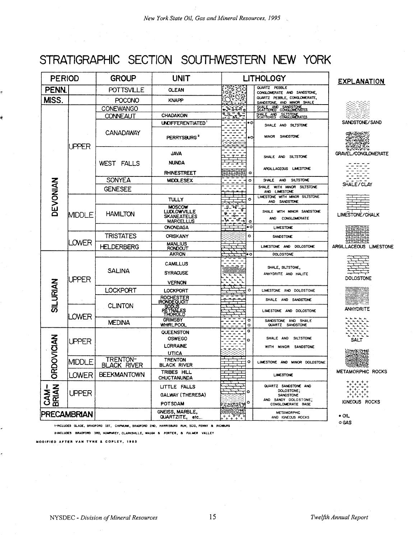## STRATIGRAPHIC SECTION SOUTHWESTERN NEW YORK

| <b>PERIOD</b> |               | <b>GROUP</b>                   | <b>UNIT</b>                                           |                                           | <b>LITHOLOGY</b>                                                | <b>EXPLANATION</b>                                                                                                             |
|---------------|---------------|--------------------------------|-------------------------------------------------------|-------------------------------------------|-----------------------------------------------------------------|--------------------------------------------------------------------------------------------------------------------------------|
| PENN.         |               | POTTSVILLE                     | <b>OLEAN</b>                                          | $\sim$ $\sim$                             | QUARTZ PEBBLE<br>CONGLOMERATE AND SANDSTONE,                    |                                                                                                                                |
| MISS.         |               | POCONO                         | <b>KNAPP</b>                                          | $Q_{\bm{i}}$ : 0.8                        | QUARTZ PEBBLE, CONGLOMERATE,<br>SANDSTONE, AND MINOR SHALE      |                                                                                                                                |
|               |               | <b>CONEWANGO</b>               |                                                       | أأعقوهم                                   | SHALE AND SANDSTONE                                             |                                                                                                                                |
|               |               | CONNEAUT                       | <b>CHADAKOIN</b>                                      | <u>रुद्र्दृष्ट्</u>                       | SHALE AND SILTSTONE SCATTLER                                    |                                                                                                                                |
|               |               |                                | UNDIFFERENTIATED                                      | ۰Ó                                        | SHALE AND SILTSTONE                                             | SANDSTONE/SAND                                                                                                                 |
|               | UPPER         | <b>CANADAWAY</b>               | PERRYSBURG <sup>2</sup>                               | ۰٥<br>$  -$                               | MINOR SANDSTONE                                                 |                                                                                                                                |
|               |               |                                | <b>JAVA</b>                                           |                                           | SHALE AND SILTSTONE                                             | GRAVEL/CONGLOMERATE                                                                                                            |
|               |               | WEST FALLS                     | <b>NUNDA</b>                                          |                                           |                                                                 |                                                                                                                                |
|               |               |                                | RHINESTREET                                           | 공주동<br>۰                                  | ARGILLACEOUS LIMESTONE                                          |                                                                                                                                |
|               |               | <b>SONYEA</b>                  | <b>MIDDLESEX</b>                                      | $\bullet$                                 | SHALE.<br><b>AND</b><br><b>SILTSTONE</b>                        |                                                                                                                                |
| DEVONIAN      |               | <b>GENESEE</b>                 |                                                       | ====                                      | SHALE WITH MINOR SILTSTONE<br><b>LIMESTONE</b><br><b>AND</b>    | SHALE/CLAY                                                                                                                     |
|               |               |                                | TULLY                                                 | Q.                                        | LIMESTONE WITH MINOR SILTSTONE                                  |                                                                                                                                |
|               |               |                                | <b>MOSCOW</b>                                         | - スーマチー                                   | SANDSTONE<br><b>AND</b>                                         |                                                                                                                                |
|               | MIDDLE        | <b>HAMILTON</b>                | <b>LUDLOWVILLE</b><br>SKANEATELES<br><b>MARCELLUS</b> | ٩.<br>آب <sup>7</sup> ت — سمع<br>$\alpha$ | SHALE WITH MINOR SANDSTONE<br><b>CONGLOMERATE</b><br><b>AND</b> | LIMESTONE/CHALK                                                                                                                |
|               |               |                                | ONONDAGA                                              | ۰¢                                        | <b>LIMESTONE</b>                                                |                                                                                                                                |
|               |               | <b>TRISTATES</b>               | <b>ORISKANY</b>                                       | $\sigma$                                  | SANDSTONE                                                       |                                                                                                                                |
|               | LOWER         | <b>HELDERBERG</b>              | <b>MANLIUS</b><br>RONDOUT                             |                                           | LIMESTONE AND DOLOSTONE                                         | ARGILLACEOUS LIMESTONE                                                                                                         |
|               |               |                                | <b>AKRON</b>                                          | $\bullet$ 0                               | <b>DOLOSTONE</b>                                                |                                                                                                                                |
|               |               |                                | CAMILLUS                                              |                                           | SHALE, SILTSTONE,                                               |                                                                                                                                |
|               |               | <b>SALINA</b>                  | <b>SYRACUSE</b>                                       |                                           | ANHYDRITE AND HALITE                                            |                                                                                                                                |
|               | <b>IUPPER</b> |                                | <b>VERNON</b>                                         |                                           |                                                                 | <b>DOLOSTONE</b>                                                                                                               |
|               |               | LOCKPORT                       | LOCKPORT                                              | ۰                                         | LIMESTONE AND DOLOSTONE                                         |                                                                                                                                |
| SILURIAN      |               |                                | ROCHESTER<br>IRONDEQUOIT                              |                                           | SHALE AND SANDSTONE                                             | Vini/S                                                                                                                         |
|               |               | <b>CLINTON</b>                 | <b>SODUS</b>                                          |                                           | LIMESTONE AND DOLOSTONE                                         | <b>ANHYDRITE</b>                                                                                                               |
|               | <b>_OWER</b>  |                                | THOROLD<br><b>GRIMSBY</b>                             | $\bullet$                                 | SANDSTONE AND SHALE                                             |                                                                                                                                |
|               |               | <b>MEDINA</b>                  | <b>WHIRLPOOL</b>                                      | o                                         | QUARTZ SANDSTONE                                                | ∼                                                                                                                              |
|               |               |                                | QUEENSTON                                             | ó.                                        |                                                                 | - - - - -                                                                                                                      |
|               | <b>UPPER</b>  |                                | <b>OSWEGO</b><br><b>LORRAINE</b>                      | ¢.                                        | SHALE AND SILTSTONE                                             | <b>SALT</b>                                                                                                                    |
|               |               |                                | <b>UTICA</b>                                          |                                           | WITH MINOR SANDSTONE                                            |                                                                                                                                |
|               | <b>MIDDLE</b> | TRENTON-<br><b>BLACK RIVER</b> | <b>TRENTON</b><br><b>BLACK RIVER</b>                  | Ö.                                        | LIMESTONE AND MINOR DOLOSTONE                                   |                                                                                                                                |
| ORDOVICIAN    | LOWER         | <b>BEEKMANTOWN</b>             | TRIBES HILL<br>CHUCTANUNDA                            |                                           | <b>LIMESTONE</b>                                                | <b>METAMORPHIC ROCKS</b>                                                                                                       |
|               |               |                                | LITTLE FALLS                                          |                                           | QUARTZ SANDSTONE AND                                            | $\begin{array}{l} +^- +^- +^- +^+ \\ +^- +^- +^- +^+ \\ +^+ +^- +^- +^+ \\ +^+ +^+ +^- +^+ \\ +^- +^+ +^+ +^- +^+ \end{array}$ |
|               | <b>UPPER</b>  |                                | <b>GALWAY (THERESA)</b>                               | ۰                                         | DOLOSTONE;<br>SANDSTONE                                         |                                                                                                                                |
| CAM-          |               |                                | POTSDAM                                               | ۰<br><b>COUNTY OF BA</b>                  | AND SANDY DOLOSTONE;<br>CONGLOMERATE BASE                       | $+7+7+7+$<br><b>IGNEOUS ROCKS</b>                                                                                              |
| PRECAMBRIAN   |               |                                | GNEISS, MARBLE,                                       |                                           | <b>METAMORPHIC</b>                                              |                                                                                                                                |
|               |               |                                | QUARTZITE, etc                                        |                                           | AND IGNEOUS ROCKS                                               | • OIL<br>≎ GAS                                                                                                                 |

1-INCLUDES GLADE, BRADFORD IST, CHIPMUNK, BRADFORD 2ND, HARRISBURG RUN, SCIO, PENNY & RICHBURG 2-INCLUDES BRAOFORD 3RD, HUMPHREY, CLARKSVILLE, WAUGH & PORTER, & FULMER VALLEY

MODIFIED AFTER VAN TYNE & COPLEY, 1983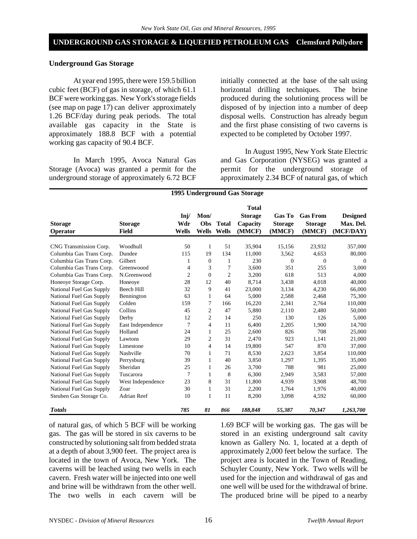#### **UNDERGROUND GAS STORAGE & LIQUEFIED PETROLEUM GAS Clemsford Pollydore**

#### **Underground Gas Storage**

At year end 1995, there were 159.5 billion cubic feet (BCF) of gas in storage, of which 61.1 BCF were working gas. New York's storage fields (see map on page 17) can deliver approximately 1.26 BCF/day during peak periods. The total available gas capacity in the State is approximately 188.8 BCF with a potential working gas capacity of 90.4 BCF.

In March 1995, Avoca Natural Gas Storage (Avoca) was granted a permit for the underground storage of approximately 6.72 BCF

initially connected at the base of the salt using horizontal drilling techniques. The brine produced during the solutioning process will be disposed of by injection into a number of deep disposal wells. Construction has already begun and the first phase consisting of two caverns is expected to be completed by October 1997.

In August 1995, New York State Electric and Gas Corporation (NYSEG) was granted a permit for the underground storage of approximately 2.34 BCF of natural gas, of which

| 1995 Underground Gas Storage |                         |                             |                      |                       |                                                      |                                           |                                             |                                           |
|------------------------------|-------------------------|-----------------------------|----------------------|-----------------------|------------------------------------------------------|-------------------------------------------|---------------------------------------------|-------------------------------------------|
| <b>Storage</b><br>Operator   | <b>Storage</b><br>Field | Inj/<br>Wdr<br><b>Wells</b> | Mon/<br>Obs<br>Wells | <b>Total</b><br>Wells | <b>Total</b><br><b>Storage</b><br>Capacity<br>(MMCF) | <b>Gas To</b><br><b>Storage</b><br>(MMCF) | <b>Gas From</b><br><b>Storage</b><br>(MMCF) | <b>Designed</b><br>Max. Del.<br>(MCF/DAY) |
| CNG Transmission Corp.       | Woodhull                | 50                          | $\mathbf{1}$         | 51                    | 35,904                                               | 15,156                                    | 23,932                                      | 357,000                                   |
| Columbia Gas Trans Corp.     | Dundee                  | 115                         | 19                   | 134                   | 11,000                                               | 3,562                                     | 4,653                                       | 80,000                                    |
| Columbia Gas Trans Corp.     | Gilbert                 | 1                           | $\overline{0}$       | 1                     | 230                                                  | $\mathbf{0}$                              | $\theta$                                    | $\overline{0}$                            |
| Columbia Gas Trans Corp.     | Greenwoood              | 4                           | 3                    | 7                     | 3,600                                                | 351                                       | 255                                         | 3,000                                     |
| Columbia Gas Trans Corp.     | N.Greenwood             | 2                           | $\overline{0}$       | 2                     | 3,200                                                | 618                                       | 513                                         | 4,000                                     |
| Honeoye Storage Corp.        | Honeove                 | 28                          | 12                   | 40                    | 8.714                                                | 3,438                                     | 4,018                                       | 40,000                                    |
| National Fuel Gas Supply     | Beech Hill              | 32                          | 9                    | 41                    | 23,000                                               | 3,134                                     | 4,230                                       | 66,000                                    |
| National Fuel Gas Supply     | Bennington              | 63                          | 1                    | 64                    | 5,000                                                | 2,588                                     | 2,468                                       | 75,300                                    |
| National Fuel Gas Supply     | Colden                  | 159                         | 7                    | 166                   | 16,220                                               | 2,341                                     | 2,764                                       | 110,000                                   |
| National Fuel Gas Supply     | Collins                 | 45                          | $\overline{c}$       | 47                    | 5,880                                                | 2,110                                     | 2,480                                       | 50,000                                    |
| National Fuel Gas Supply     | Derby                   | 12                          | $\overline{c}$       | 14                    | 250                                                  | 130                                       | 126                                         | 5,000                                     |
| National Fuel Gas Supply     | East Independence       | 7                           | 4                    | 11                    | 6,400                                                | 2,205                                     | 1,900                                       | 14,700                                    |
| National Fuel Gas Supply     | Holland                 | 24                          | 1                    | 25                    | 2,600                                                | 826                                       | 708                                         | 25,000                                    |
| National Fuel Gas Supply     | Lawtons                 | 29                          | $\overline{c}$       | 31                    | 2,470                                                | 923                                       | 1,141                                       | 21,000                                    |
| National Fuel Gas Supply     | Limestone               | 10                          | 4                    | 14                    | 19,800                                               | 547                                       | 870                                         | 37,000                                    |
| National Fuel Gas Supply     | Nashville               | 70                          | 1                    | 71                    | 8,530                                                | 2,623                                     | 3,854                                       | 110,000                                   |
| National Fuel Gas Supply     | Perrysburg              | 39                          | 1                    | 40                    | 3,850                                                | 1,297                                     | 1,395                                       | 35,000                                    |
| National Fuel Gas Supply     | Sheridan                | 25                          | 1                    | 26                    | 3,700                                                | 788                                       | 981                                         | 25,000                                    |
| National Fuel Gas Supply     | Tuscarora               | $\overline{7}$              | 1                    | 8                     | 6,300                                                | 2,949                                     | 3,583                                       | 57,000                                    |
| National Fuel Gas Supply     | West Independence       | 23                          | 8                    | 31                    | 11,800                                               | 4,939                                     | 3,908                                       | 48,700                                    |
| National Fuel Gas Supply     | Zoar                    | 30                          | 1                    | 31                    | 2,200                                                | 1,764                                     | 1,976                                       | 40,000                                    |
| Steuben Gas Storage Co.      | Adrian Reef             | 10                          | 1                    | 11                    | 8,200                                                | 3,098                                     | 4,592                                       | 60,000                                    |
| <b>Totals</b>                |                         | 785                         | 81                   | 866                   | 188,848                                              | 55,387                                    | 70,347                                      | 1,263,700                                 |

of natural gas, of which 5 BCF will be working gas. The gas will be stored in six caverns to be constructed by solutioning salt from bedded strata at a depth of about 3,900 feet. The project area is located in the town of Avoca, New York. The caverns will be leached using two wells in each cavern. Fresh water will be injected into one well and brine will be withdrawn from the other well. The two wells in each cavern will be

1.69 BCF will be working gas. The gas will be stored in an existing underground salt cavity known as Gallery No. 1, located at a depth of approximately 2,000 feet below the surface. The project area is located in the Town of Reading, Schuyler County, New York. Two wells will be used for the injection and withdrawal of gas and one well will be used for the withdrawal of brine. The produced brine will be piped to a nearby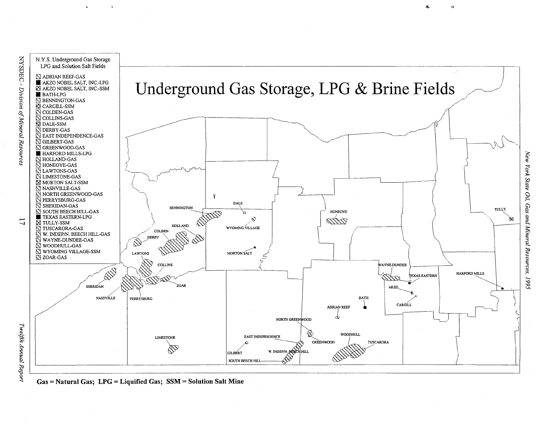

 $Gas = Natural Gas$ ;  $LPG = Liquid Gas$ ;  $SSM = Solution Salt$  Mine

New York State Oil, Gas and Mineral Resources, 1995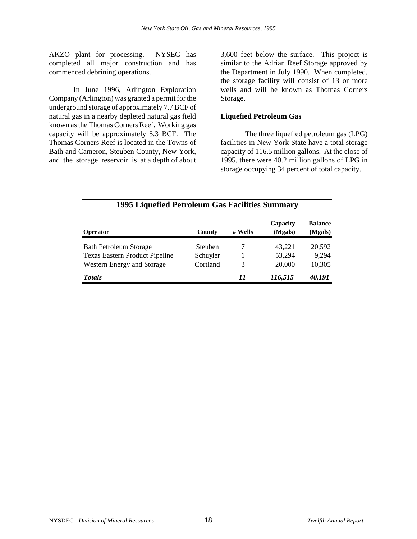AKZO plant for processing. NYSEG has completed all major construction and has commenced debrining operations.

In June 1996, Arlington Exploration Company (Arlington) was granted a permit for the underground storage of approximately 7.7 BCF of natural gas in a nearby depleted natural gas field known as the Thomas Corners Reef. Working gas capacity will be approximately 5.3 BCF. The Thomas Corners Reef is located in the Towns of Bath and Cameron, Steuben County, New York, and the storage reservoir is at a depth of about

3,600 feet below the surface. This project is similar to the Adrian Reef Storage approved by the Department in July 1990. When completed, the storage facility will consist of 13 or more wells and will be known as Thomas Corners Storage.

#### **Liquefied Petroleum Gas**

The three liquefied petroleum gas (LPG) facilities in New York State have a total storage capacity of 116.5 million gallons. At the close of 1995, there were 40.2 million gallons of LPG in storage occupying 34 percent of total capacity.

| <b>Operator</b>                       | County         | # Wells | Capacity<br>(Mgals) | <b>Balance</b><br>(Mgals) |
|---------------------------------------|----------------|---------|---------------------|---------------------------|
| Bath Petroleum Storage                | <b>Steuben</b> | 7       | 43.221              | 20,592                    |
| <b>Texas Eastern Product Pipeline</b> | Schuyler       |         | 53,294              | 9,294                     |
| Western Energy and Storage            | Cortland       | 3       | 20,000              | 10,305                    |
| <b>Totals</b>                         |                | 11      | 116,515             | 40,191                    |

#### **1995 Liquefied Petroleum Gas Facilities Summary**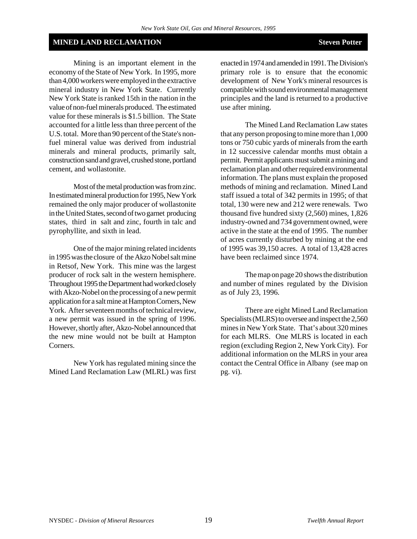#### **MINED LAND RECLAMATION Steven Potter**

Mining is an important element in the economy of the State of New York. In 1995, more than 4,000 workers were employed in the extractive mineral industry in New York State. Currently New York State is ranked 15th in the nation in the value of non-fuel minerals produced. The estimated value for these minerals is \$1.5 billion. The State accounted for a little less than three percent of the U.S. total. More than 90 percent of the State's nonfuel mineral value was derived from industrial minerals and mineral products, primarily salt, construction sand and gravel, crushed stone, portland cement, and wollastonite.

Most of the metal production was from zinc. In estimated mineral production for 1995, New York remained the only major producer of wollastonite in the United States, second of two garnet producing states, third in salt and zinc, fourth in talc and pyrophyllite, and sixth in lead.

One of the major mining related incidents in 1995 was the closure of the Akzo Nobel salt mine in Retsof, New York. This mine was the largest producer of rock salt in the western hemisphere. Throughout 1995 the Department had worked closely with Akzo-Nobel on the processing of a new permit application for a salt mine at Hampton Corners, New York. After seventeen months of technical review, a new permit was issued in the spring of 1996. However, shortly after, Akzo-Nobel announced that the new mine would not be built at Hampton Corners.

New York has regulated mining since the Mined Land Reclamation Law (MLRL) was first enacted in 1974 and amended in 1991. The Division's primary role is to ensure that the economic development of New York's mineral resources is compatible with sound environmental management principles and the land is returned to a productive use after mining.

The Mined Land Reclamation Law states that any person proposing to mine more than 1,000 tons or 750 cubic yards of minerals from the earth in 12 successive calendar months must obtain a permit. Permit applicants must submit a mining and reclamation plan and other required environmental information. The plans must explain the proposed methods of mining and reclamation. Mined Land staff issued a total of 342 permits in 1995; of that total, 130 were new and 212 were renewals. Two thousand five hundred sixty (2,560) mines, 1,826 industry-owned and 734 government owned, were active in the state at the end of 1995. The number of acres currently disturbed by mining at the end of 1995 was 39,150 acres. A total of 13,428 acres have been reclaimed since 1974.

The map on page 20 shows the distribution and number of mines regulated by the Division as of July 23, 1996.

There are eight Mined Land Reclamation Specialists (MLRS) to oversee and inspect the 2,560 mines in New York State. That's about 320 mines for each MLRS. One MLRS is located in each region (excluding Region 2, New York City). For additional information on the MLRS in your area contact the Central Office in Albany (see map on pg. vi).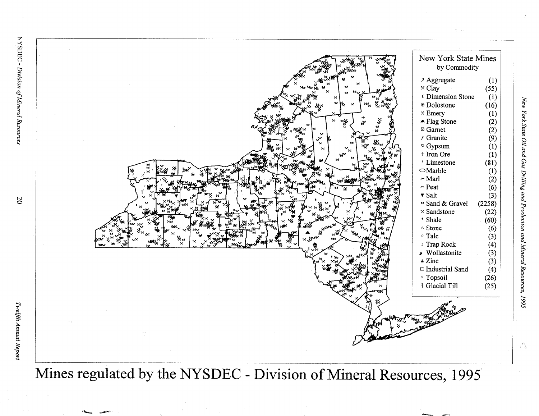

New York State Oil and Gas Drilling and Production and Mineral Resources, 1995

 $\mathcal{P}_{\mathcal{S}}$ 

Mines regulated by the NYSDEC - Division of Mineral Resources, 1995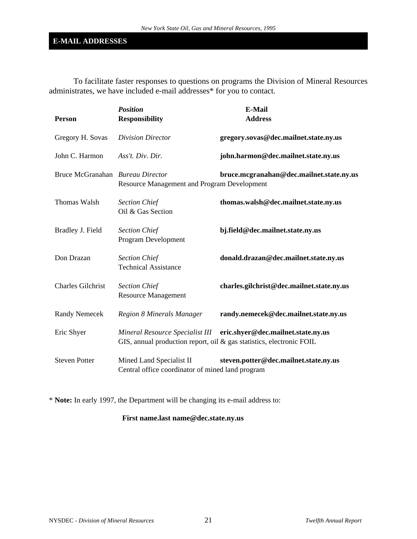#### **E-MAIL ADDRESSES**

To facilitate faster responses to questions on programs the Division of Mineral Resources administrates, we have included e-mail addresses\* for you to contact.

| <b>Person</b>                    | <b>Position</b><br><b>Responsibility</b>                                                                | <b>E-Mail</b><br><b>Address</b>           |
|----------------------------------|---------------------------------------------------------------------------------------------------------|-------------------------------------------|
| Gregory H. Sovas                 | <b>Division Director</b>                                                                                | gregory.sovas@dec.mailnet.state.ny.us     |
| John C. Harmon                   | Ask't. Div. Dir.                                                                                        | john.harmon@dec.mailnet.state.ny.us       |
| Bruce McGranahan Bureau Director | <b>Resource Management and Program Development</b>                                                      | bruce.mcgranahan@dec.mailnet.state.ny.us  |
| Thomas Walsh                     | <b>Section Chief</b><br>Oil & Gas Section                                                               | thomas.walsh@dec.mailnet.state.ny.us      |
| Bradley J. Field                 | <b>Section Chief</b><br><b>Program Development</b>                                                      | bj.field@dec.mailnet.state.ny.us          |
| Don Drazan                       | <b>Section Chief</b><br><b>Technical Assistance</b>                                                     | donald.drazan@dec.mailnet.state.ny.us     |
| <b>Charles Gilchrist</b>         | <b>Section Chief</b><br><b>Resource Management</b>                                                      | charles.gilchrist@dec.mailnet.state.ny.us |
| <b>Randy Nemecek</b>             | <b>Region 8 Minerals Manager</b>                                                                        | randy.nemecek@dec.mailnet.state.ny.us     |
| Eric Shyer                       | Mineral Resource Specialist III<br>GIS, annual production report, oil & gas statistics, electronic FOIL | eric.shyer@dec.mailnet.state.ny.us        |
| <b>Steven Potter</b>             | Mined Land Specialist II<br>Central office coordinator of mined land program                            | steven.potter@dec.mailnet.state.ny.us     |

\* **Note:** In early 1997, the Department will be changing its e-mail address to:

#### **First name.last name@dec.state.ny.us**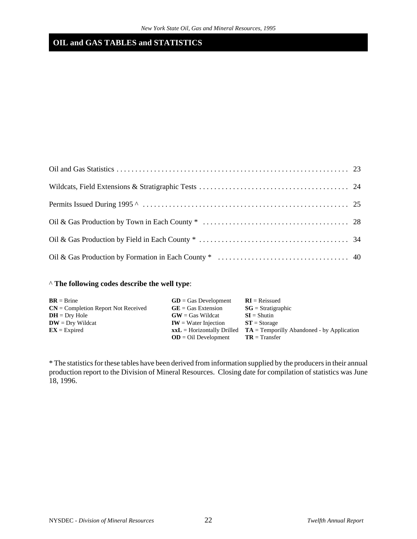#### **OIL and GAS TABLES and STATISTICS**

#### ^ **The following codes describe the well type**:

| $BR = Brine$                          | $GD = Gas$ Development                    | $RI = Reissued$                              |
|---------------------------------------|-------------------------------------------|----------------------------------------------|
| $CN =$ Completion Report Not Received | $GE = Gas$ Extension                      | $SG = Stratigraphic$                         |
| $DH = Dry Hole$                       | $GW = Gas$ Wildcat                        | $SI = Shutin$                                |
| $DW = Dry$ Wildcat                    | $\mathbf{IW} = \mathbf{Water}\$ Injection | $ST = Storage$                               |
| $EX = Expired$                        | $\mathbf{xxL} =$ Horizontally Drilled     | $TA = Temporilly Abandoned - by Application$ |
|                                       | $OD = Oil$ Development                    | $TR = Transfer$                              |
|                                       |                                           |                                              |

\* The statistics for these tables have been derived from information supplied by the producers in their annual production report to the Division of Mineral Resources. Closing date for compilation of statistics was June 18, 1996.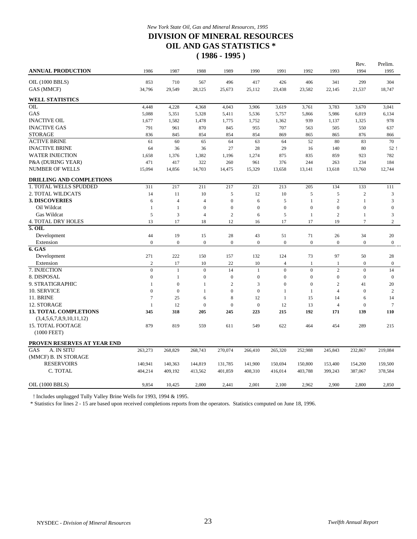#### **DIVISION OF MINERAL RESOURCES OIL AND GAS STATISTICS \* ( 1986 - 1995 )**

|                                 |                  |                  |                |                  |                  |                |                  |                  | Rev.             | Prelim.          |
|---------------------------------|------------------|------------------|----------------|------------------|------------------|----------------|------------------|------------------|------------------|------------------|
| <b>ANNUAL PRODUCTION</b>        | 1986             | 1987             | 1988           | 1989             | 1990             | 1991           | 1992             | 1993             | 1994             | 1995             |
| OIL (1000 BBLS)                 | 853              | 710              | 567            | 496              | 417              | 426            | 406              | 341              | 299              | 304              |
| GAS (MMCF)                      | 34,796           | 29,549           | 28,125         | 25,673           | 25,112           | 23,438         | 23,582           | 22,145           | 21,537           | 18,747           |
| <b>WELL STATISTICS</b>          |                  |                  |                |                  |                  |                |                  |                  |                  |                  |
| OIL                             | 4,448            | 4,228            | 4,368          | 4,043            | 3,906            | 3,619          | 3,761            | 3,783            | 3,670            | 3,041            |
| GAS                             | 5,088            | 5,351            | 5,328          | 5,411            | 5,536            | 5,757          | 5,866            | 5,986            | 6,019            | 6,134            |
| <b>INACTIVE OIL</b>             | 1,677            | 1,582            | 1,478          | 1,775            | 1,752            | 1,362          | 939              | 1,137            | 1,325            | 978              |
| <b>INACTIVE GAS</b>             | 791              | 961              | 870            | 845              | 955              | 707            | 563              | 505              | 550              | 637              |
| <b>STORAGE</b>                  | 836              | 845              | 854            | 854              | 854              | 869            | 865              | 865              | 876              | 866              |
| <b>ACTIVE BRINE</b>             | 61               | 60               | 65             | 64               | 63               | 64             | 52               | 80               | 83               | 70               |
| <b>INACTIVE BRINE</b>           | 64               | 36               | 36             | 27               | 28               | 29             | 16               | 140              | 80               | 52 !             |
| <b>WATER INJECTION</b>          | 1,658            | 1,376            | 1,382          | 1,196            | 1,274            | 875            | 835              | 859              | 923              | 782              |
| P&A (DURING YEAR)               | 471              | 417              | 322            | 260              | 961              | 376            | 244              | 263              | 234              | 184              |
| <b>NUMBER OF WELLS</b>          | 15,094           | 14,856           | 14,703         | 14,475           | 15,329           | 13,658         | 13,141           | 13,618           | 13,760           | 12,744           |
| <b>DRILLING AND COMPLETIONS</b> |                  |                  |                |                  |                  |                |                  |                  |                  |                  |
| 1. TOTAL WELLS SPUDDED          | 311              | 217              | 211            | 217              | 221              | 213            | 205              | 134              | 133              | 111              |
| <b>2. TOTAL WILDCATS</b>        | 14               | 11               | 10             | 5                | 12               | 10             | 5                | 5                | $\mathbf{2}$     | 3                |
| <b>3. DISCOVERIES</b>           | 6                | $\overline{4}$   | $\overline{4}$ | $\overline{0}$   | 6                | 5              | $\mathbf{1}$     | $\overline{c}$   | $\mathbf{1}$     | $\overline{3}$   |
| Oil Wildcat                     | $\mathbf{1}$     | $\mathbf{1}$     | $\mathbf{0}$   | $\boldsymbol{0}$ | $\boldsymbol{0}$ | $\overline{0}$ | $\overline{0}$   | $\boldsymbol{0}$ | $\mathbf{0}$     | $\boldsymbol{0}$ |
| Gas Wildcat                     | 5                | 3                | $\overline{4}$ | $\mathbf{2}$     | 6                | 5              | $\mathbf{1}$     | $\sqrt{2}$       | $\mathbf{1}$     | $\mathfrak{Z}$   |
| <b>4. TOTAL DRY HOLES</b>       | 13               | 17               | 18             | 12               | 16               | 17             | 17               | 19               | $\overline{7}$   | $\sqrt{2}$       |
| $5.0$ IL                        |                  |                  |                |                  |                  |                |                  |                  |                  |                  |
| Development                     | 44               | 19               | 15             | 28               | 43               | 51             | 71               | 26               | 34               | 20               |
| Extension                       | $\Omega$         | $\mathbf{0}$     | $\overline{0}$ | $\overline{0}$   | $\mathbf{0}$     | $\Omega$       | $\overline{0}$   | $\overline{0}$   | $\Omega$         | $\mathbf{0}$     |
| <b>6. GAS</b>                   |                  |                  |                |                  |                  |                |                  |                  |                  |                  |
| Development                     | 271              | 222              | 150            | 157              | 132              | 124            | 73               | 97               | 50               | 28               |
| Extension                       | $\mathfrak{2}$   | 17               | 10             | 22               | 10               | $\overline{4}$ | $\mathbf{1}$     | -1               | $\mathbf{0}$     | $\mathbf{0}$     |
| 7. INJECTION                    | $\overline{0}$   | $1\,$            | $\overline{0}$ | 14               | $\mathbf{1}$     | $\overline{0}$ | $\overline{0}$   | $\overline{2}$   | $\boldsymbol{0}$ | 14               |
| 8. DISPOSAL                     | $\boldsymbol{0}$ | $\mathbf{1}$     | $\mathbf{0}$   | $\boldsymbol{0}$ | $\boldsymbol{0}$ | $\mathbf{0}$   | $\boldsymbol{0}$ | $\boldsymbol{0}$ | $\mathbf{0}$     | $\boldsymbol{0}$ |
| 9. STRATIGRAPHIC                | 1                | $\boldsymbol{0}$ | 1              | $\overline{c}$   | $\overline{3}$   | $\mathbf{0}$   | $\mathbf{0}$     | $\overline{2}$   | 41               | $20\,$           |
| 10. SERVICE                     | $\mathbf{0}$     | $\mathbf{0}$     | $\mathbf{1}$   | $\overline{0}$   | $\boldsymbol{0}$ | $\mathbf{1}$   | $\mathbf{1}$     | $\overline{4}$   | $\overline{0}$   | 2                |
| 11. BRINE                       | $\overline{7}$   | 25               | 6              | 8                | 12               | $\mathbf{1}$   | 15               | 14               | 6                | 14               |
| 12. STORAGE                     | $\mathbf{1}$     | 12               | $\overline{0}$ | $\overline{0}$   | $\boldsymbol{0}$ | 12             | 13               | $\overline{4}$   | $\overline{0}$   | $\overline{7}$   |
| <b>13. TOTAL COMPLETIONS</b>    | 345              | 318              | 205            | 245              | 223              | 215            | 192              | 171              | 139              | 110              |
| (3,4,5,6,7,8,9,10,11,12)        |                  |                  |                |                  |                  |                |                  |                  |                  |                  |
| <b>15. TOTAL FOOTAGE</b>        | 879              | 819              | 559            | 611              | 549              | 622            | 464              | 454              | 289              | 215              |
| $(1000$ FEET)                   |                  |                  |                |                  |                  |                |                  |                  |                  |                  |
| PROVEN RESERVES AT YEAR END     |                  |                  |                |                  |                  |                |                  |                  |                  |                  |
| A. IN SITU<br>GAS               | 263,273          | 268,829          | 268,743        | 270,074          | 266,410          | 265,320        | 252,988          | 245,843          | 232,867          | 219,084          |
| (MMCF) B. IN STORAGE            |                  |                  |                |                  |                  |                |                  |                  |                  |                  |
| <b>RESERVOIRS</b>               | 140,941          | 140,363          | 144,819        | 131,785          | 141,900          | 150,694        | 150,800          | 153,400          | 154,200          | 159,500          |
| C. TOTAL                        | 404,214          | 409,192          | 413,562        | 401,859          | 408,310          | 416,014        | 403,788          | 399,243          | 387,067          | 378,584          |
| OIL (1000 BBLS)                 |                  |                  |                |                  |                  |                |                  |                  |                  |                  |
|                                 | 9,854            | 10,425           | 2,000          | 2,441            | 2,001            | 2,100          | 2,962            | 2,900            | 2,800            | 2,850            |

! Includes unplugged Tully Valley Brine Wells for 1993, 1994 & 1995.

\* Statistics for lines 2 - 15 are based upon received completions reports from the operators. Statistics computed on June 18, 1996.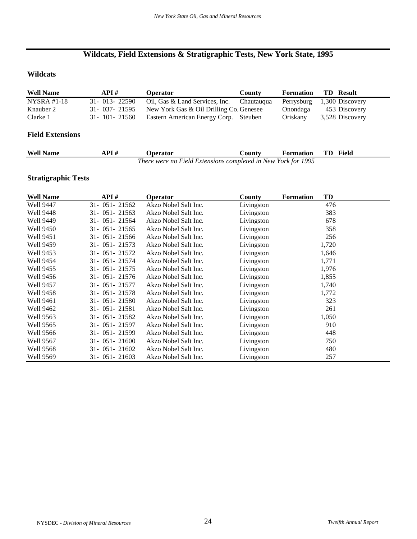## **Wildcats, Field Extensions & Stratigraphic Tests, New York State, 1995**

#### **Wildcats**

| <b>Well Name</b>   | API#               | <b>Operator</b>                           | County | <b>Formation</b> | <b>TD</b> Result |
|--------------------|--------------------|-------------------------------------------|--------|------------------|------------------|
| <b>NYSRA</b> #1-18 | $31 - 013 - 22590$ | Oil, Gas & Land Services, Inc. Chautauqua |        | Perrysburg       | 1,300 Discovery  |
| Knauber 2          | $31 - 037 - 21595$ | New York Gas & Oil Drilling Co. Genesee   |        | Onondaga         | 453 Discovery    |
| Clarke 1           | $31 - 101 - 21560$ | Eastern American Energy Corp. Steuben     |        | Oriskany         | 3.528 Discovery  |

#### **Field Extensions**

| <b>Well Name</b> | API# | <b>Operator</b> | <b>County</b>                                                 | Formation | Field<br><b>TD</b> |  |
|------------------|------|-----------------|---------------------------------------------------------------|-----------|--------------------|--|
|                  |      |                 | There were no Field Extensions completed in New York for 1995 |           |                    |  |

#### **Stratigraphic Tests**

| <b>Well Name</b> | API#               | <b>Operator</b>      | <b>County</b> | TD<br><b>Formation</b> |
|------------------|--------------------|----------------------|---------------|------------------------|
| <b>Well 9447</b> | $31 - 051 - 21562$ | Akzo Nobel Salt Inc. | Livingston    | 476                    |
| Well 9448        | $31 - 051 - 21563$ | Akzo Nobel Salt Inc. | Livingston    | 383                    |
| Well 9449        | $31 - 051 - 21564$ | Akzo Nobel Salt Inc. | Livingston    | 678                    |
| <b>Well 9450</b> | $31 - 051 - 21565$ | Akzo Nobel Salt Inc. | Livingston    | 358                    |
| Well 9451        | 31- 051- 21566     | Akzo Nobel Salt Inc. | Livingston    | 256                    |
| Well 9459        | $31 - 051 - 21573$ | Akzo Nobel Salt Inc. | Livingston    | 1,720                  |
| Well 9453        | 31- 051- 21572     | Akzo Nobel Salt Inc. | Livingston    | 1,646                  |
| Well 9454        | 31- 051- 21574     | Akzo Nobel Salt Inc. | Livingston    | 1,771                  |
| Well 9455        | $31 - 051 - 21575$ | Akzo Nobel Salt Inc. | Livingston    | 1,976                  |
| Well 9456        | 31- 051- 21576     | Akzo Nobel Salt Inc. | Livingston    | 1,855                  |
| Well 9457        | 31- 051- 21577     | Akzo Nobel Salt Inc. | Livingston    | 1,740                  |
| <b>Well 9458</b> | 31- 051- 21578     | Akzo Nobel Salt Inc. | Livingston    | 1,772                  |
| Well 9461        | $31 - 051 - 21580$ | Akzo Nobel Salt Inc. | Livingston    | 323                    |
| Well 9462        | $31 - 051 - 21581$ | Akzo Nobel Salt Inc. | Livingston    | 261                    |
| Well 9563        | 31- 051- 21582     | Akzo Nobel Salt Inc. | Livingston    | 1,050                  |
| Well 9565        | $31 - 051 - 21597$ | Akzo Nobel Salt Inc. | Livingston    | 910                    |
| Well 9566        | 31- 051- 21599     | Akzo Nobel Salt Inc. | Livingston    | 448                    |
| <b>Well 9567</b> | $31 - 051 - 21600$ | Akzo Nobel Salt Inc. | Livingston    | 750                    |
| Well 9568        | $31 - 051 - 21602$ | Akzo Nobel Salt Inc. | Livingston    | 480                    |
| Well 9569        | $31 - 051 - 21603$ | Akzo Nobel Salt Inc. | Livingston    | 257                    |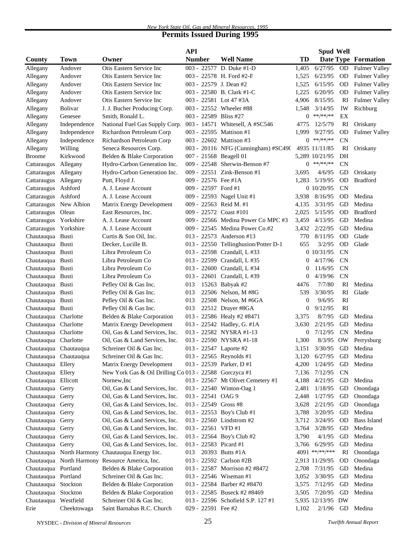#### **Permits Issued During 1995**

|                              |                        |                                                        | <b>API</b>             |                                                                  |                  | <b>Spud Well</b>                   |                     |                      |
|------------------------------|------------------------|--------------------------------------------------------|------------------------|------------------------------------------------------------------|------------------|------------------------------------|---------------------|----------------------|
| County                       | <b>Town</b>            | Owner                                                  | <b>Number</b>          | <b>Well Name</b>                                                 | TD               |                                    |                     | Date Type Formation  |
| Allegany                     | Andover                | Otis Eastern Service Inc                               |                        | 003 - 22577 D. Duke #1-D                                         | 1,405            | 6/27/95                            |                     | OD Fulmer Valley     |
| Allegany                     | Andover                | Otis Eastern Service Inc                               |                        | 003 - 22578 H. Ford #2-F                                         | 1,525            | 6/23/95                            | OD.                 | <b>Fulmer Valley</b> |
| Allegany                     | Andover                | Otis Eastern Service Inc                               | 003 - 22579 J. Dean #2 |                                                                  | 1,525            | 6/15/95                            | OD.                 | <b>Fulmer Valley</b> |
| Allegany                     | Andover                | Otis Eastern Service Inc                               |                        | 003 - 22580 B. Clark #1-C                                        | 1,225            | 6/20/95                            | OD.                 | <b>Fulmer Valley</b> |
| Allegany                     | Andover                | Otis Eastern Service Inc                               |                        | 003 - 22581 Lot 47 #3A                                           | 4,906            | 8/15/95                            | RI                  | <b>Fulmer Valley</b> |
| Allegany                     | <b>Bolivar</b>         | J. J. Bucher Producing Corp.                           |                        | 003 - 22552 Wheeler #88                                          | 1,548            | 3/14/95                            | IW                  | Richburg             |
| Allegany                     | Genesee                | Smith, Ronald L.                                       | 003 - 22589 Bliss #27  |                                                                  |                  | $0$ **/**/**                       | EX                  |                      |
| Allegany                     | Independence           | National Fuel Gas Supply Corp.                         |                        | 003 - 14571 Whitesell, A #SC546                                  | 4775             | 12/5/79                            | RI                  | Oriskany             |
| Allegany                     | Independence           | Richardson Petroleum Corp                              |                        | 003 - 22595 Mattison #1                                          | 1,999            | 9/27/95                            | <b>OD</b>           | <b>Fulmer Valley</b> |
| Allegany                     | Independence           | Richardson Petroleum Corp                              |                        | 003 - 22602 Mattison #3                                          |                  | $0$ **/**/**                       | CN                  |                      |
| Allegany                     | Willing                | Seneca Resources Corp.                                 |                        | 003 - 20116 NFG (Cunningham) #SC490 4935 11/11/85                |                  |                                    | RI                  | Oriskany             |
| <b>Broome</b>                | Kirkwood               | Belden & Blake Corporation                             | 007 - 21568 Beagell 01 |                                                                  |                  | 5,289 10/21/95                     | DH                  |                      |
| Cattaraugus Allegany         |                        | Hydro-Carbon Generation Inc.                           |                        | 009 - 22548 Sherwin-Benson #7                                    |                  | $0$ **/**/**                       | <b>CN</b>           |                      |
| Cattaraugus Allegany         |                        | Hydro-Carbon Generation Inc.                           |                        | 009 - 22551 Zink-Benson #1                                       | 3,695            | 4/6/95                             | GD                  | Oriskany             |
| Cattaraugus Allegany         |                        | Putt, Floyd J.                                         | 009 - 22576 Fee #1A    |                                                                  | 1,283            | 5/19/95                            | <b>OD</b>           | <b>Bradford</b>      |
| Cattaraugus Ashford          |                        | A. J. Lease Account                                    | $009 - 22597$ Ford #1  |                                                                  |                  | 0.10/20/95                         | <b>CN</b>           |                      |
| Cattaraugus Ashford          |                        | A. J. Lease Account                                    |                        | 009 - 22593 Nagel Unit #1                                        | 3,938            | 8/16/95                            | <b>OD</b>           | Medina               |
|                              | Cattaraugus New Albion | Matrix Energy Development                              | 009 - 22563 Reid M. #1 |                                                                  | 4,135            | 3/31/95                            | GD                  | Medina               |
| Cattaraugus Olean            |                        | East Resources, Inc.                                   |                        | 009 - 22572 Coast #101                                           | 2,025            | 5/15/95                            | <b>OD</b>           | <b>Bradford</b>      |
| Cattaraugus Yorkshire        |                        | A. J. Lease Account                                    |                        | 009 - 22566 Medina Power Co MPC #3                               | 3,459            | 4/13/95                            | $\operatorname{GD}$ | Medina               |
| Cattaraugus Yorkshire        |                        | A. J. Lease Account                                    |                        | 009 - 22545 Medina Power Co.#2                                   | 3,432            | 2/22/95                            | GD                  | Medina               |
| Chautauqua Busti             |                        | Curtis & Son Oil. Inc.                                 |                        | 013 - 22573 Anderson #13                                         | 770              | 8/11/95                            | <b>OD</b>           | Glade                |
| Chautauqua Busti             |                        | Decker, Lucille B.                                     |                        | 013 - 22550 Tellinghusion/Potter D-1                             | 655              | 3/2/95                             | <b>OD</b>           | Glade                |
| Chautauqua Busti             |                        | Libra Petroleum Co                                     |                        | 013 - 22598 Crandall, L#33                                       |                  | 0 10/31/95                         | <b>CN</b>           |                      |
| Chautauqua Busti             |                        | Libra Petroleum Co                                     |                        | 013 - 22599 Crandall, L#35                                       | $\theta$         | 4/17/96                            | <b>CN</b>           |                      |
| Chautauqua Busti             |                        | Libra Petroleum Co                                     |                        | 013 - 22600 Crandall, L #34                                      | $\Omega$         | 11/6/95                            | <b>CN</b>           |                      |
| Chautauqua Busti             |                        | Libra Petroleum Co                                     |                        | 013 - 22601 Crandall, L#39                                       | $\theta$         | 4/19/96                            | <b>CN</b>           |                      |
| Chautauqua Busti             |                        | Pefley Oil & Gas Inc.                                  | 013                    | 15263 Babyak #2                                                  | 4476             | 7/7/80                             |                     | RI Medina            |
| Chautauqua Busti             |                        | Pefley Oil & Gas Inc.                                  | 013                    | 22506 Nelson, M#8G                                               | 539              | 3/30/95                            | RI                  | Glade                |
| Chautauqua Busti             |                        | Pefley Oil & Gas Inc.                                  | 013                    | 22508 Nelson, M#6GA                                              | $\boldsymbol{0}$ | 9/6/95                             | RI                  |                      |
| Chautauqua Busti             |                        | Pefley Oil & Gas Inc.                                  | 013                    | 22512 Drayer #8GA                                                | $\theta$         | 9/12/95                            | R <sub>I</sub>      |                      |
| Chautauqua Charlotte         |                        | Belden & Blake Corporation                             |                        | 013 - 22586 Healy #2 #8471                                       | 3,375            | 8/7/95                             | GD                  | Medina               |
| Chautauqua Charlotte         |                        | Matrix Energy Development                              |                        | 013 - 22542 Hadley, G. #1A                                       | 3,630            | 2/21/95                            | GD                  | Medina               |
| Chautauqua Charlotte         |                        | Oil, Gas & Land Services, Inc.                         |                        | 013 - 22582 NYSRA #1-13                                          | 0                | 7/12/95                            | <b>CN</b>           | Medina               |
| Chautauqua Charlotte         |                        | Oil. Gas & Land Services. Inc.                         |                        | 013 - 22590 NYSRA #1-18                                          | 1,300            | 8/3/95                             | OW                  | Perrysburg           |
|                              | Chautauqua Chautauqua  | Schreiner Oil & Gas Inc.                               | 013 - 22547 Laporte #2 |                                                                  | 3,151            | 3/30/95                            | GD                  | Medina               |
|                              | Chautauqua Chautauqua  | Schreiner Oil & Gas Inc.                               |                        | 013 - 22565 Reynolds #1                                          |                  | 3,120 6/27/95                      |                     | GD Medina            |
| Chautauqua Ellery            |                        | Matrix Energy Development                              |                        | 013 - 22539 Parker, D#1                                          | 4,200            | 1/24/95                            | GD                  | Medina               |
| Chautauqua Ellery            |                        | New York Gas & Oil Drilling Co 013 - 22588 Gorczyca #1 |                        |                                                                  |                  | 7,136 7/12/95                      | <b>CN</b>           |                      |
| Chautauqua Ellicott          |                        | Nornew, Inc                                            |                        | 013 - 22567 Mt Olivet Cemetery #1                                | 4,188            | 4/21/95                            |                     | GD Medina            |
| Chautauqua Gerry             |                        | Oil, Gas & Land Services, Inc.                         |                        | 013 - 22540 Winton-Oag 1                                         | 2,481            | 1/18/95                            | GD                  | Onondaga             |
| Chautauqua Gerry             |                        | Oil, Gas & Land Services, Inc.                         | 013 - 22541 OAG 9      |                                                                  | 2,448            | 1/27/95                            | GD                  | Onondaga             |
| Chautauqua Gerry             |                        | Oil, Gas & Land Services, Inc.                         | 013 - 22549 Gross #8   |                                                                  | 3,628            | 2/21/95                            | GD                  | Onondaga             |
| Chautauqua Gerry             |                        | Oil, Gas & Land Services, Inc.                         |                        | 013 - 22553 Boy's Club #1                                        | 3,788            | 3/20/95                            | GD                  | Medina               |
| Chautauqua Gerry             |                        | Oil, Gas & Land Services, Inc.                         |                        | 013 - 22560 Lindstrom #2                                         |                  | 3,712 3/24/95                      | <b>OD</b>           | <b>Bass Island</b>   |
| Chautauqua Gerry             |                        | Oil, Gas & Land Services, Inc.                         | 013 - 22561 VFD #1     |                                                                  | 3,764            | 3/28/95                            | GD                  | Medina               |
| Chautauqua Gerry             |                        | Oil, Gas & Land Services, Inc.                         |                        | 013 - 22564 Boy's Club #2                                        | 3,790            | 4/1/95                             | GD                  | Medina               |
| Chautauqua Gerry             |                        | Oil, Gas & Land Services, Inc.                         | 013 - 22583 Picard #1  |                                                                  | 3,766            | 6/29/95                            | GD                  | Medina               |
|                              |                        | Chautauqua North Harmony Chautauqua Energy Inc.        | 013                    | 20393 Butts #1A                                                  |                  | 4091 **/**/***                     | RI                  | Onondaga             |
|                              |                        | Chautauqua North Harmony Resource America, Inc.        |                        | 013 - 22592 Carlson #2B                                          |                  | 2,913 11/29/95                     | <b>OD</b>           | Onondaga             |
| Chautauqua Portland          |                        | Belden & Blake Corporation                             |                        | 013 - 22587 Morrison #2 #8472                                    |                  | 2,708 7/31/95                      | GD                  | Medina               |
| Chautauqua Portland          |                        | Schreiner Oil & Gas Inc.                               |                        | 013 - 22546 Wiseman #1                                           |                  | 3,052 3/30/95                      | GD                  | Medina               |
| Chautauqua Stockton          |                        | Belden & Blake Corporation                             |                        | 013 - 22584 Barber #2 #8470                                      |                  | 3,575 7/12/95                      | GD                  | Medina               |
|                              |                        |                                                        |                        |                                                                  |                  |                                    |                     |                      |
| Chautauqua Stockton          |                        | Belden & Blake Corporation<br>Schreiner Oil & Gas Inc. |                        | 013 - 22585 Buseck #2 #8469<br>013 - 22596 Schofield S.P. 127 #1 |                  | 3,505 7/20/95<br>5,935 12/13/95 DW | GD                  | Medina               |
| Chautauqua Westfield<br>Erie | Cheektowaga            | Saint Barnabas R.C. Church                             | 029 - 22591 Fee #2     |                                                                  | 1,102            | 2/1/96                             |                     | GD Medina            |
|                              |                        |                                                        |                        |                                                                  |                  |                                    |                     |                      |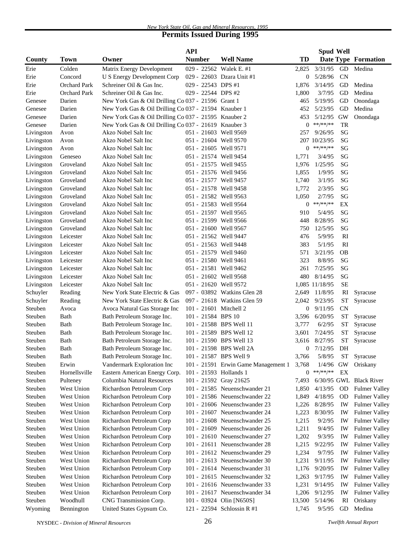#### **Permits Issued During 1995**

|            |                     |                                                      | <b>API</b>              |                                     |                | <b>Spud Well</b> |               |                         |
|------------|---------------------|------------------------------------------------------|-------------------------|-------------------------------------|----------------|------------------|---------------|-------------------------|
| County     | <b>Town</b>         | Owner                                                | <b>Number</b>           | <b>Well Name</b>                    | TD             |                  |               | Date Type Formation     |
| Erie       | Colden              | Matrix Energy Development                            | 029 - 22562 Walek E. #1 |                                     | 2,825          | 3/31/95          |               | GD Medina               |
| Erie       | Concord             | U S Energy Development Corp                          |                         | 029 - 22603 Dzara Unit #1           | 0              | 5/28/96          | <b>CN</b>     |                         |
| Erie       | <b>Orchard Park</b> | Schreiner Oil & Gas Inc.                             | 029 - 22543 DPS #1      |                                     | 1,876          | 3/14/95          | GD            | Medina                  |
| Erie       | Orchard Park        | Schreiner Oil & Gas Inc.                             | 029 - 22544 DPS #2      |                                     | 1,800          | 3/7/95           | GD            | Medina                  |
| Genesee    | Darien              | New York Gas & Oil Drilling Co 037 - 21596 Grant 1   |                         |                                     | 465            | 5/19/95          | GD            | Onondaga                |
| Genesee    | Darien              | New York Gas & Oil Drilling Co 037 - 21594 Knauber 1 |                         |                                     | 452            | 5/23/95          | GD            | Medina                  |
| Genesee    | Darien              | New York Gas & Oil Drilling Co 037 - 21595 Knauber 2 |                         |                                     | 453            | 5/12/95          | <b>GW</b>     | Onondaga                |
| Genesee    | Darien              | New York Gas & Oil Drilling Co 037 - 21619 Knauber 3 |                         |                                     |                | $0$ **/**/**     | TR            |                         |
| Livingston | Avon                | Akzo Nobel Salt Inc                                  | 051 - 21603 Well 9569   |                                     | 257            | 9/26/95          | SG            |                         |
| Livingston | Avon                | Akzo Nobel Salt Inc                                  | 051 - 21604 Well 9570   |                                     |                | 207 10/23/95     | SG            |                         |
| Livingston | Avon                | Akzo Nobel Salt Inc                                  | 051 - 21605 Well 9571   |                                     |                | $0$ **/**/**     | SG            |                         |
| Livingston | Geneseo             | Akzo Nobel Salt Inc                                  | 051 - 21574 Well 9454   |                                     | 1,771          | 3/4/95           | SG            |                         |
| Livingston | Groveland           | Akzo Nobel Salt Inc                                  | 051 - 21575 Well 9455   |                                     | 1,976          | 1/25/95          | SG            |                         |
| Livingston | Groveland           | Akzo Nobel Salt Inc                                  | 051 - 21576 Well 9456   |                                     | 1,855          | 1/9/95           | SG            |                         |
| Livingston | Groveland           | Akzo Nobel Salt Inc                                  | 051 - 21577 Well 9457   |                                     | 1,740          | 3/1/95           | SG            |                         |
| Livingston | Groveland           | Akzo Nobel Salt Inc                                  | 051 - 21578 Well 9458   |                                     | 1,772          | 2/3/95           | SG            |                         |
| Livingston | Groveland           | Akzo Nobel Salt Inc                                  | 051 - 21582 Well 9563   |                                     | 1,050          | 2/7/95           | SG            |                         |
| Livingston | Groveland           | Akzo Nobel Salt Inc                                  | 051 - 21583 Well 9564   |                                     |                | $0$ **/**/**     | EX            |                         |
| Livingston | Groveland           | Akzo Nobel Salt Inc                                  | 051 - 21597 Well 9565   |                                     | 910            | 5/4/95           | SG            |                         |
| Livingston | Groveland           | Akzo Nobel Salt Inc                                  | 051 - 21599 Well 9566   |                                     | 448            | 8/28/95          | SG            |                         |
| Livingston | Groveland           | Akzo Nobel Salt Inc                                  | 051 - 21600 Well 9567   |                                     | 750            | 12/5/95          | SG            |                         |
| Livingston | Leicester           | Akzo Nobel Salt Inc                                  | 051 - 21562 Well 9447   |                                     | 476            | 5/9/95           | RI            |                         |
| Livingston | Leicester           | Akzo Nobel Salt Inc                                  | 051 - 21563 Well 9448   |                                     | 383            | 5/1/95           | RI            |                         |
| Livingston | Leicester           | Akzo Nobel Salt Inc                                  | 051 - 21579 Well 9460   |                                     | 571            | 3/21/95          | <b>OB</b>     |                         |
| Livingston | Leicester           | Akzo Nobel Salt Inc                                  | 051 - 21580 Well 9461   |                                     | 323            | 8/8/95           | SG            |                         |
| Livingston | Leicester           | Akzo Nobel Salt Inc                                  | 051 - 21581 Well 9462   |                                     | 261            | 7/25/95          | SG            |                         |
| Livingston | Leicester           | Akzo Nobel Salt Inc                                  | 051 - 21602 Well 9568   |                                     | 480            | 8/14/95          | SG            |                         |
| Livingston | Leicester           | Akzo Nobel Salt Inc                                  | 051 - 21620 Well 9572   |                                     |                | 1,085 11/18/95   | <b>SE</b>     |                         |
| Schuyler   | Reading             | New York State Electric & Gas                        |                         | 097 - 03892 Watkins Glen 28         |                | 2,649 11/8/95    | RI            | Syracuse                |
| Schuyler   | Reading             | New York State Electric & Gas                        |                         | 097 - 21618 Watkins Glen 59         | 2,042          | 9/23/95          | <b>ST</b>     | Syracuse                |
| Steuben    | Avoca               | Avoca Natural Gas Storage Inc                        | 101 - 21601 Mitchell 2  |                                     | $\overline{0}$ | 9/11/95          | <b>CN</b>     |                         |
| Steuben    | Bath                | Bath Petroleum Storage Inc.                          | 101 - 21584 BPS 10      |                                     | 3,596          | 6/20/95          | <b>ST</b>     | Syracuse                |
| Steuben    | Bath                | Bath Petroleum Storage Inc.                          |                         | 101 - 21588 BPS Well 11             | 3,777          | 6/2/95           | <b>ST</b>     | Syracuse                |
| Steuben    | Bath                | Bath Petroleum Storage Inc.                          |                         | 101 - 21589 BPS Well 12             | 3,601          | 7/24/95          | <b>ST</b>     | Syracuse                |
| Steuben    | Bath                | Bath Petroleum Storage Inc.                          |                         | 101 - 21590 BPS Well 13             | 3,616          | 8/27/95          | <b>ST</b>     | Syracuse                |
| Steuben    | Bath                | Bath Petroleum Storage Inc.                          |                         | 101 - 21598 BPS Well 2A             |                | $0$ 7/12/95      | DH            |                         |
| Steuben    | Bath                | Bath Petroleum Storage Inc.                          | 101 - 21587 BPS Well 9  |                                     | 3,766          | 5/8/95           | ST            | Syracuse                |
| Steuben    | Erwin               | Vandermark Exploration Inc                           |                         | 101 - 21591 Erwin Game Management 1 | 3,768          | 1/4/96           | <b>GW</b>     | Oriskany                |
| Steuben    | Hornellsville       | Eastern American Energy Corp.                        | 101 - 21593 Hollands 1  |                                     |                | $0$ **/**/**     | EX            |                         |
| Steuben    | Pulteney            | Columbia Natural Resources                           | 101 - 21592 Gray 21625  |                                     | 7,493          |                  |               | 6/30/95 GWL Black River |
| Steuben    | West Union          | Richardson Petroleum Corp                            |                         | 101 - 21585 Neuenschwander 21       | 1,850          | 4/13/95          | <sub>OD</sub> | <b>Fulmer Valley</b>    |
| Steuben    | West Union          | Richardson Petroleum Corp                            |                         | 101 - 21586 Neuenschwander 22       | 1,849          | 4/18/95          | <sub>OD</sub> | <b>Fulmer Valley</b>    |
| Steuben    | West Union          | Richardson Petroleum Corp                            |                         | 101 - 21606 Neuenschwander 23       | 1,226          | 8/28/95          | IW            | <b>Fulmer Valley</b>    |
| Steuben    | West Union          | Richardson Petroleum Corp                            |                         | 101 - 21607 Neuenschwander 24       | 1,223          | 8/30/95          | IW            | <b>Fulmer Valley</b>    |
| Steuben    | West Union          | Richardson Petroleum Corp                            |                         | 101 - 21608 Neuenschwander 25       | 1,215          | 9/2/95           | IW            | <b>Fulmer Valley</b>    |
| Steuben    | West Union          | Richardson Petroleum Corp                            |                         | 101 - 21609 Neuenschwander 26       | 1,211          | 9/4/95           | IW            | <b>Fulmer Valley</b>    |
| Steuben    | West Union          | Richardson Petroleum Corp                            |                         | 101 - 21610 Neuenschwander 27       | 1,202          | 9/3/95           | IW            | <b>Fulmer Valley</b>    |
| Steuben    | West Union          | Richardson Petroleum Corp                            |                         | 101 - 21611 Neuenschwander 28       | 1,215          | 9/22/95          | IW            | <b>Fulmer Valley</b>    |
| Steuben    | West Union          | Richardson Petroleum Corp                            |                         | 101 - 21612 Neuenschwander 29       | 1,234          | 9/7/95           | IW            | <b>Fulmer Valley</b>    |
| Steuben    | West Union          | Richardson Petroleum Corp                            |                         | 101 - 21613 Neuenschwander 30       | 1,231          | 9/11/95          | IW            | <b>Fulmer Valley</b>    |
| Steuben    | West Union          | Richardson Petroleum Corp                            |                         | 101 - 21614 Neuenschwander 31       | 1,176          | 9/20/95          | IW            | <b>Fulmer Valley</b>    |
| Steuben    | West Union          | Richardson Petroleum Corp                            |                         | 101 - 21615 Neuenschwander 32       | 1,263          | 9/17/95          | IW            | <b>Fulmer Valley</b>    |
| Steuben    | West Union          | Richardson Petroleum Corp                            |                         | 101 - 21616 Neuenschwander 33       | 1,231          | 9/14/95          | IW            | <b>Fulmer Valley</b>    |
| Steuben    | West Union          | Richardson Petroleum Corp                            |                         | 101 - 21617 Neuenschwander 34       | 1,206          | 9/12/95          | IW            | <b>Fulmer Valley</b>    |
| Steuben    | Woodhull            | CNG Transmission Corp.                               |                         | 101 - 03924 Olin [N650S]            |                | 13,500 5/14/96   | RI            | Oriskany                |
| Wyoming    | Bennington          | United States Gypsum Co.                             |                         | 121 - 22594 Schlossin R #1          | 1,745          | 9/5/95           | GD            | Medina                  |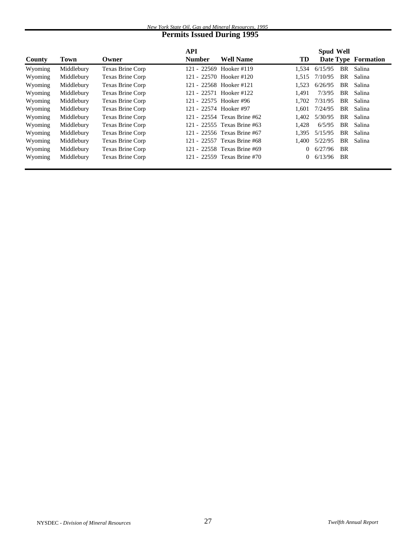*New York State Oil, Gas and Mineral Resources, 1995*

#### **Permits Issued During 1995**

|         |            |                  | <b>API</b>             |                             |          | <b>Spud Well</b> |           |                     |
|---------|------------|------------------|------------------------|-----------------------------|----------|------------------|-----------|---------------------|
| County  | Town       | Owner            | <b>Number</b>          | <b>Well Name</b>            | TD.      |                  |           | Date Type Formation |
| Wyoming | Middlebury | Texas Brine Corp |                        | 121 - 22569 Hooker #119     | 1.534    | 6/15/95          | <b>BR</b> | Salina              |
| Wyoming | Middlebury | Texas Brine Corp |                        | 121 - 22570 Hooker #120     | 1.515    | 7/10/95          | BR        | Salina              |
| Wyoming | Middlebury | Texas Brine Corp |                        | 121 - 22568 Hooker #121     | 1.523    | 6/26/95          | BR        | Salina              |
| Wyoming | Middlebury | Texas Brine Corp |                        | 121 - 22571 Hooker #122     | 1.491    | 7/3/95           | BR        | Salina              |
| Wyoming | Middlebury | Texas Brine Corp | 121 - 22575 Hooker #96 |                             | 1.702    | 7/31/95          | BR        | Salina              |
| Wyoming | Middlebury | Texas Brine Corp | 121 - 22574 Hooker #97 |                             | 1.601    | 7/24/95          | BR        | Salina              |
| Wyoming | Middlebury | Texas Brine Corp |                        | 121 - 22554 Texas Brine #62 | 1.402    | 5/30/95          | BR        | Salina              |
| Wyoming | Middlebury | Texas Brine Corp |                        | 121 - 22555 Texas Brine #63 | 1.428    | 6/5/95           | <b>BR</b> | Salina              |
| Wyoming | Middlebury | Texas Brine Corp |                        | 121 - 22556 Texas Brine #67 | 1.395    | 5/15/95          | BR        | Salina              |
| Wyoming | Middlebury | Texas Brine Corp |                        | 121 - 22557 Texas Brine #68 | 1.400    | 5/22/95          | BR        | Salina              |
| Wyoming | Middlebury | Texas Brine Corp |                        | 121 - 22558 Texas Brine #69 | $\Omega$ | 6/27/96          | BR.       |                     |
| Wyoming | Middlebury | Texas Brine Corp |                        | 121 - 22559 Texas Brine #70 | $\Omega$ | 6/13/96          | BR.       |                     |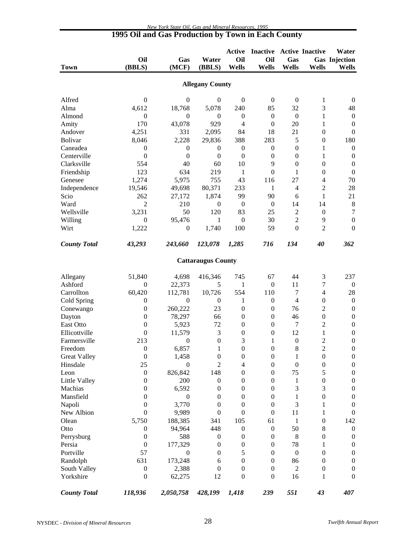| <b>Town</b>          | Oil<br>(BBLS)    | Gas<br>(MCF)     | Water<br>(BBLS)           | <b>Active</b><br>Oil<br><b>Wells</b> | <b>Inactive Active Inactive</b><br>Oil<br>Wells | Gas<br><b>Wells</b> | Wells            | Water<br><b>Gas Injection</b><br><b>Wells</b> |
|----------------------|------------------|------------------|---------------------------|--------------------------------------|-------------------------------------------------|---------------------|------------------|-----------------------------------------------|
|                      |                  |                  | <b>Allegany County</b>    |                                      |                                                 |                     |                  |                                               |
| Alfred               | $\overline{0}$   | $\boldsymbol{0}$ | $\mathbf{0}$              | $\boldsymbol{0}$                     | $\boldsymbol{0}$                                | $\boldsymbol{0}$    | 1                | $\boldsymbol{0}$                              |
| Alma                 | 4,612            | 18,768           | 5,078                     | 240                                  | 85                                              | 32                  | 3                | 48                                            |
| Almond               | $\boldsymbol{0}$ | $\boldsymbol{0}$ | $\boldsymbol{0}$          | $\boldsymbol{0}$                     | $\boldsymbol{0}$                                | $\boldsymbol{0}$    | 1                | $\boldsymbol{0}$                              |
| Amity                | 170              | 43,078           | 929                       | $\overline{4}$                       | $\mathbf{0}$                                    | 20                  | 1                | $\boldsymbol{0}$                              |
| Andover              | 4,251            | 331              | 2,095                     | 84                                   | 18                                              | 21                  | $\theta$         | $\boldsymbol{0}$                              |
| <b>Bolivar</b>       | 8,046            | 2,228            | 29,836                    | 388                                  | 283                                             | 5                   | $\theta$         | 180                                           |
| Caneadea             | $\theta$         | $\boldsymbol{0}$ | $\boldsymbol{0}$          | $\boldsymbol{0}$                     | $\boldsymbol{0}$                                | $\boldsymbol{0}$    | 1                | $\boldsymbol{0}$                              |
| Centerville          | $\theta$         | $\boldsymbol{0}$ | $\boldsymbol{0}$          | $\boldsymbol{0}$                     | $\boldsymbol{0}$                                | $\boldsymbol{0}$    | 1                | $\boldsymbol{0}$                              |
| Clarksville          | 554              | 40               | 60                        | 10                                   | 9                                               | $\boldsymbol{0}$    | $\boldsymbol{0}$ | $\boldsymbol{0}$                              |
| Friendship           | 123              | 634              | 219                       | $\mathbf{1}$                         | $\boldsymbol{0}$                                | 1                   | $\mathbf{0}$     | $\boldsymbol{0}$                              |
| Genesee              | 1,274            | 5,975            | 755                       | 43                                   | 116                                             | 27                  | $\overline{4}$   | 70                                            |
| Independence         | 19,546           | 49,698           | 80,371                    | 233                                  | 1                                               | $\overline{4}$      | $\overline{2}$   | 28                                            |
| Scio                 | 262              | 27,172           | 1,874                     | 99                                   | 90                                              | 6                   | 1                | 21                                            |
| Ward                 | $\overline{2}$   | 210              | $\boldsymbol{0}$          | $\boldsymbol{0}$                     | $\theta$                                        | 14                  | 14               | $\,8\,$                                       |
| Wellsville           | 3,231            | 50               | 120                       | 83                                   | 25                                              | $\mathbf{2}$        | $\boldsymbol{0}$ | 7                                             |
| Willing              | 0                | 95,476           | 1                         | $\boldsymbol{0}$                     | 30                                              | $\overline{2}$      | 9                | $\boldsymbol{0}$                              |
| Wirt                 | 1,222            | $\boldsymbol{0}$ | 1,740                     | 100                                  | 59                                              | $\boldsymbol{0}$    | $\overline{2}$   | $\boldsymbol{0}$                              |
| <b>County Total</b>  | 43,293           | 243,660          | 123,078                   | 1,285                                | 716                                             | 134                 | 40               | 362                                           |
|                      |                  |                  | <b>Cattaraugus County</b> |                                      |                                                 |                     |                  |                                               |
| Allegany             | 51,840           | 4,698            | 416,346                   | 745                                  | 67                                              | 44                  | 3                | 237                                           |
| Ashford              | $\overline{0}$   | 22,373           | 5                         | 1                                    | $\mathbf{0}$                                    | 11                  | $\tau$           | $\boldsymbol{0}$                              |
| Carrollton           | 60,420           | 112,781          | 10,726                    | 554                                  | 110                                             | $\tau$              | $\overline{4}$   | 28                                            |
| Cold Spring          | $\mathbf{0}$     | $\boldsymbol{0}$ | $\boldsymbol{0}$          | 1                                    | $\boldsymbol{0}$                                | $\overline{4}$      | $\boldsymbol{0}$ | $\boldsymbol{0}$                              |
| Conewango            | $\boldsymbol{0}$ | 260,222          | 23                        | $\boldsymbol{0}$                     | $\boldsymbol{0}$                                | 76                  | $\mathfrak{2}$   | $\boldsymbol{0}$                              |
| Dayton               | $\overline{0}$   | 78,297           | 66                        | $\boldsymbol{0}$                     | $\boldsymbol{0}$                                | 46                  | $\boldsymbol{0}$ | $\boldsymbol{0}$                              |
| East Otto            | $\boldsymbol{0}$ | 5,923            | 72                        | $\boldsymbol{0}$                     | $\boldsymbol{0}$                                | 7                   | $\overline{2}$   | $\boldsymbol{0}$                              |
| Ellicottville        | $\theta$         | 11,579           | 3                         | $\boldsymbol{0}$                     | $\boldsymbol{0}$                                | 12                  | 1                | $\boldsymbol{0}$                              |
| Farmersville         | 213              | $\boldsymbol{0}$ | $\boldsymbol{0}$          | 3                                    | $\mathbf{1}$                                    | $\boldsymbol{0}$    | $\overline{c}$   | $\boldsymbol{0}$                              |
| Freedom              | $\boldsymbol{0}$ | 6,857            | $\mathbf 1$               | $\boldsymbol{0}$                     | $\boldsymbol{0}$                                | $\,8\,$             | $\overline{c}$   | $\boldsymbol{0}$                              |
| <b>Great Valley</b>  | $\boldsymbol{0}$ | 1,458            | $\boldsymbol{0}$          | $\boldsymbol{0}$                     | $\boldsymbol{0}$                                | $\mathbf{1}$        | $\boldsymbol{0}$ | $\boldsymbol{0}$                              |
| Hinsdale             | 25               | $\boldsymbol{0}$ | $\overline{2}$            | $\overline{4}$                       | $\boldsymbol{0}$                                | $\boldsymbol{0}$    | $\boldsymbol{0}$ | $\boldsymbol{0}$                              |
| Leon                 | $\boldsymbol{0}$ | 826,842          | 148                       | $\boldsymbol{0}$                     | $\boldsymbol{0}$                                | 75                  | 5                | $\boldsymbol{0}$                              |
| <b>Little Valley</b> | $\boldsymbol{0}$ | 200              | $\boldsymbol{0}$          | $\boldsymbol{0}$                     | $\boldsymbol{0}$                                | 1                   | $\boldsymbol{0}$ | $\boldsymbol{0}$                              |
| Machias              | $\boldsymbol{0}$ | 6,592            | $\boldsymbol{0}$          | $\boldsymbol{0}$                     | $\boldsymbol{0}$                                | $\mathfrak{Z}$      | 3                | $\boldsymbol{0}$                              |
| Mansfield            | $\boldsymbol{0}$ | $\boldsymbol{0}$ | $\boldsymbol{0}$          | $\boldsymbol{0}$                     | $\boldsymbol{0}$                                | 1                   | $\boldsymbol{0}$ | $\boldsymbol{0}$                              |
| Napoli               | $\boldsymbol{0}$ | 3,770            | $\boldsymbol{0}$          | $\boldsymbol{0}$                     | $\boldsymbol{0}$                                | 3                   | 1                | $\boldsymbol{0}$                              |
| New Albion           | $\boldsymbol{0}$ | 9,989            | $\boldsymbol{0}$          | $\boldsymbol{0}$                     | $\boldsymbol{0}$                                | 11                  | 1                | $\boldsymbol{0}$                              |
| Olean                | 5,750            | 188,385          | 341                       | 105                                  | 61                                              | 1                   | $\boldsymbol{0}$ | 142                                           |
| Otto                 | $\mathbf{0}$     | 94,964           | 448                       | $\boldsymbol{0}$                     | $\boldsymbol{0}$                                | 50                  | 8                | $\boldsymbol{0}$                              |
| Perrysburg           | $\boldsymbol{0}$ | 588              | $\boldsymbol{0}$          | $\boldsymbol{0}$                     | $\boldsymbol{0}$                                | 8                   | $\boldsymbol{0}$ | $\boldsymbol{0}$                              |
| Persia               | $\boldsymbol{0}$ | 177,329          | $\boldsymbol{0}$          | $\overline{0}$                       | $\boldsymbol{0}$                                | 78                  | 1                | $\boldsymbol{0}$                              |
| Portville            | 57               | $\boldsymbol{0}$ | $\boldsymbol{0}$          | 5                                    | $\boldsymbol{0}$                                | $\boldsymbol{0}$    | $\boldsymbol{0}$ | $\boldsymbol{0}$                              |
| Randolph             | 631              | 173,248          | 6                         | $\boldsymbol{0}$                     | $\boldsymbol{0}$                                | 86                  | $\boldsymbol{0}$ | $\boldsymbol{0}$                              |
| South Valley         | $\boldsymbol{0}$ | 2,388            | $\boldsymbol{0}$          | $\boldsymbol{0}$                     | $\boldsymbol{0}$                                | $\mathfrak{2}$      | $\boldsymbol{0}$ | $\boldsymbol{0}$                              |
| Yorkshire            | $\boldsymbol{0}$ | 62,275           | 12                        | $\boldsymbol{0}$                     | $\overline{0}$                                  | 16                  | 1                | $\boldsymbol{0}$                              |
| <b>County Total</b>  | 118,936          | 2,050,758        | 428,199                   | 1,418                                | 239                                             | 551                 | 43               | 407                                           |

#### *New York State Oil, Gas and Mineral Resources, 1995* **1995 Oil and Gas Production by Town in Each County**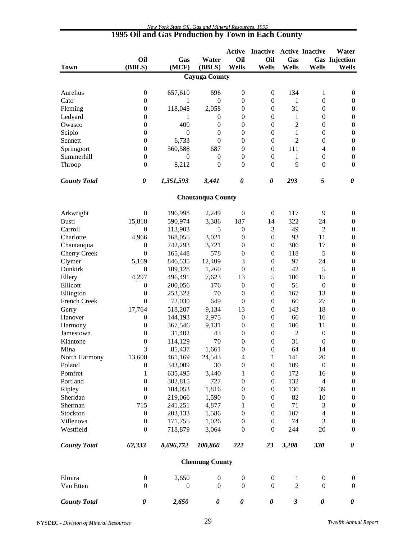#### **Active Inactive Active Inactive Water Oil Gas Water Oil Oil Gas Gas Injection Town (BBLS) (MCF) (BBLS) Wells Wells Wells Wells Wells Cayuga County** Aurelius 0 657,610 696 0 0 134 1 0 Cato 0 1 0 0 0 1 0 0 Fleming 0 118,048 2,058 0 0 31 0 0 Ledyard 0 0 1 0 0 0 1 0 0 Owasco 0 400 0 0 0 2 0 0 Scipio 0 0 0 0 0 1 0 0 Sennett 1 0 6,733 0 0 0 2 0 0 Springport 0 560,588 687 0 0 111 4 0 Summerhill 0 0 0 0 0 0 1 0 0 Throop 0 8,212 0 0 0 9 0 0 *County Total 0 1,351,593 3,441 0 0 293 5 0* **Chautauqua County** Arkwright 0 196,998 2,249 0 0 117 9 0 Busti 15,818 590,974 3,386 187 14 322 24 0 Carroll 0 113,903 5 0 3 49 2 0 Charlotte 4,966 168,055 3,021 0 0 93 11 0 Chautauqua 0 742,293 3,721 0 0 306 17 0 Cherry Creek 0 165,448 578 0 0 118 5 0 Clymer 5,169 846,535 12,409 3 0 97 24 0 Dunkirk 0 109,128 1,260 0 0 42 5 0 Ellery 4,297 496,491 7,623 13 5 106 15 0 Ellicott 0 200,056 176 0 0 51 0 0 Ellington 0 253,322 70 0 0 167 13 0 French Creek 0 72,030 649 0 0 60 27 0 Gerry 17,764 518,207 9,134 13 0 143 18 0 Hanover 0 144,193 2,975 0 0 66 16 0 Harmony 0 367,546 9,131 0 0 106 11 0 Jamestown 0 31,402 43 0 0 2 0 0 Kiantone 114,129 70 0 0 31 0 0 Mina 3 85,437 1,661 0 0 64 14 0 North Harmony 13,600 461,169 24,543 4 1 141 20 0 Poland 0 343,009 30 0 0 109 0 0 Pomfret 1 635,495 3,440 1 0 172 16 0 Portland 0 302,815 727 0 0 132 4 0 Ripley 0 184,053 1,816 0 0 136 39 0 Sheridan 0 219,066 1,590 0 0 82 10 0 Sherman 715 241,251 4,877 1 0 71 3 0 Stockton 0 203,133 1,586 0 0 107 4 0 Villenova 0 171,755 1,026 0 0 74 3 0 Westfield 0 718,879 3,064 0 0 244 20 0 *County Total 62,333 8,696,772 100,860 222 23 3,208 330 0* **Chemung County** Elmira 0 2,650 0 0 0 1 0 0 Van Etten 0 0 0 0 0 2 0 0

#### **1995 Oil and Gas Production by Town in Each County**

*County Total 0 2,650 0 0 0 3 0 0*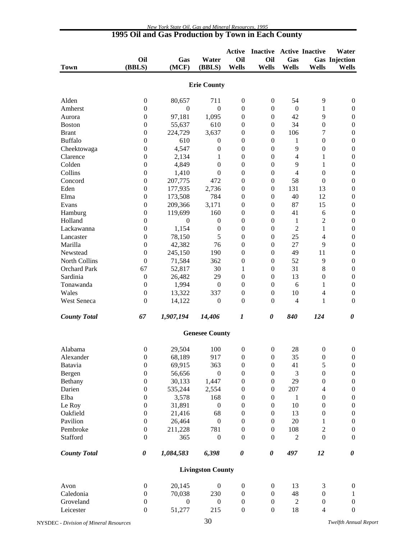| <b>Erie County</b><br>Alden<br>$\boldsymbol{0}$<br>80,657<br>$\boldsymbol{0}$<br>54<br>9<br>711<br>$\theta$<br>$\boldsymbol{0}$<br>$\boldsymbol{0}$<br>$\mathbf{0}$<br>$\boldsymbol{0}$<br>$\mathbf{0}$<br>$\overline{0}$<br>$\mathbf{0}$<br>1<br>Amherst<br>$\boldsymbol{0}$<br>42<br>9<br>$\overline{0}$<br>97,181<br>1,095<br>$\boldsymbol{0}$<br>$\mathbf{0}$<br>$\boldsymbol{0}$<br>Aurora<br>34<br>$\mathbf{0}$<br>55,637<br>610<br>$\boldsymbol{0}$<br>$\mathbf{0}$<br>$\boldsymbol{0}$<br>$\boldsymbol{0}$<br><b>Boston</b><br>7<br>$\overline{0}$<br>224,729<br>3,637<br>$\boldsymbol{0}$<br>$\mathbf{0}$<br>106<br>$\boldsymbol{0}$<br><b>Brant</b><br><b>Buffalo</b><br>$\mathbf{0}$<br>610<br>$\boldsymbol{0}$<br>$\mathbf{0}$<br>$\boldsymbol{0}$<br>$\boldsymbol{0}$<br>$\boldsymbol{0}$<br>1<br>9<br>$\mathbf{0}$<br>4,547<br>$\boldsymbol{0}$<br>$\boldsymbol{0}$<br>$\mathbf{0}$<br>$\boldsymbol{0}$<br>$\boldsymbol{0}$<br>Cheektowaga<br>Clarence<br>$\mathbf{0}$<br>1<br>$\boldsymbol{0}$<br>$\mathbf{0}$<br>4<br>1<br>$\boldsymbol{0}$<br>2,134<br>Colden<br>$\mathbf{0}$<br>4,849<br>$\theta$<br>$\boldsymbol{0}$<br>$\mathbf{0}$<br>9<br>1<br>$\boldsymbol{0}$<br>Collins<br>$\mathbf{0}$<br>$\boldsymbol{0}$<br>$\boldsymbol{0}$<br>$\mathbf{0}$<br>4<br>$\overline{0}$<br>$\boldsymbol{0}$<br>1,410<br>$\mathbf{0}$<br>207,775<br>472<br>$\boldsymbol{0}$<br>$\mathbf{0}$<br>58<br>$\boldsymbol{0}$<br>$\boldsymbol{0}$<br>Concord<br>Eden<br>$\mathbf{0}$<br>177,935<br>2,736<br>$\boldsymbol{0}$<br>131<br>13<br>$\boldsymbol{0}$<br>0<br>784<br>40<br>12<br>Elma<br>$\theta$<br>173,508<br>$\boldsymbol{0}$<br>$\boldsymbol{0}$<br>0<br>3,171<br>87<br>15<br>$\theta$<br>209,366<br>$\boldsymbol{0}$<br>$\boldsymbol{0}$<br>Evans<br>0<br>41<br>Hamburg<br>$\theta$<br>119,699<br>160<br>$\boldsymbol{0}$<br>6<br>$\boldsymbol{0}$<br>0<br>Holland<br>$\overline{2}$<br>$\theta$<br>$\boldsymbol{0}$<br>$\boldsymbol{0}$<br>$\boldsymbol{0}$<br>$\theta$<br>$\mathbf{1}$<br>$\boldsymbol{0}$<br>$\overline{c}$<br>$\boldsymbol{0}$<br>Lackawanna<br>$\theta$<br>1,154<br>$\boldsymbol{0}$<br>$\boldsymbol{0}$<br>$\overline{0}$<br>1<br>5<br>25<br>$\overline{4}$<br>$\boldsymbol{0}$<br>$\theta$<br>78,150<br>$\boldsymbol{0}$<br>$\overline{0}$<br>Lancaster<br>Marilla<br>76<br>27<br>9<br>$\boldsymbol{0}$<br>$\theta$<br>42,382<br>$\boldsymbol{0}$<br>$\overline{0}$<br>49<br>$\boldsymbol{0}$<br>$\theta$<br>245,150<br>190<br>$\boldsymbol{0}$<br>$\theta$<br>11<br>Newstead<br>52<br>71,584<br>9<br>$\boldsymbol{0}$<br>North Collins<br>$\theta$<br>362<br>$\boldsymbol{0}$<br>$\theta$<br><b>Orchard Park</b><br>30<br>31<br>8<br>67<br>52,817<br>1<br>$\boldsymbol{0}$<br>$\boldsymbol{0}$<br>13<br>$\boldsymbol{0}$<br>Sardinia<br>$\boldsymbol{0}$<br>26,482<br>29<br>$\boldsymbol{0}$<br>$\boldsymbol{0}$<br>$\boldsymbol{0}$<br>$\boldsymbol{0}$<br>1,994<br>$\boldsymbol{0}$<br>$\boldsymbol{0}$<br>$\boldsymbol{0}$<br>6<br>1<br>$\boldsymbol{0}$<br>Tonawanda<br>Wales<br>10<br>$\mathbf{0}$<br>13,322<br>337<br>$\boldsymbol{0}$<br>$\mathbf{0}$<br>$\overline{4}$<br>$\boldsymbol{0}$<br>$\mathbf{0}$<br>West Seneca<br>$\overline{0}$<br>14,122<br>$\overline{0}$<br>$\overline{0}$<br>4<br>1<br>$\overline{0}$<br>124<br>67<br>1,907,194<br>14,406<br>1<br>0<br>840<br>0<br><b>County Total</b><br><b>Genesee County</b><br>29,504<br>28<br>$\boldsymbol{0}$<br>100<br>$\boldsymbol{0}$<br>Alabama<br>$\overline{0}$<br>$\boldsymbol{0}$<br>$\boldsymbol{0}$<br>35<br>$\boldsymbol{0}$<br>68,189<br>917<br>$\boldsymbol{0}$<br>$\boldsymbol{0}$<br>$\boldsymbol{0}$<br>$\boldsymbol{0}$<br>Alexander<br>5<br>Batavia<br>69,915<br>363<br>41<br>$\boldsymbol{0}$<br>$\boldsymbol{0}$<br>$\boldsymbol{0}$<br>$\boldsymbol{0}$<br>$\boldsymbol{0}$<br>3<br>Bergen<br>$\boldsymbol{0}$<br>56,656<br>$\boldsymbol{0}$<br>$\boldsymbol{0}$<br>$\boldsymbol{0}$<br>$\boldsymbol{0}$<br>30,133<br>1,447<br>29<br>Bethany<br>$\boldsymbol{0}$<br>$\boldsymbol{0}$<br>$\boldsymbol{0}$<br>$\boldsymbol{0}$<br>$\boldsymbol{0}$<br>207<br>$\boldsymbol{0}$<br>535,244<br>2,554<br>$\boldsymbol{0}$<br>4<br>$\boldsymbol{0}$<br>Darien<br>$\boldsymbol{0}$<br>Elba<br>3,578<br>$\boldsymbol{0}$<br>168<br>$\boldsymbol{0}$<br>$\boldsymbol{0}$<br>$\boldsymbol{0}$<br>$\boldsymbol{0}$<br>$\mathbf{1}$<br>Le Roy<br>31,891<br>$\boldsymbol{0}$<br>$\boldsymbol{0}$<br>$\boldsymbol{0}$<br>$\boldsymbol{0}$<br>10<br>$\boldsymbol{0}$<br>$\boldsymbol{0}$<br>Oakfield<br>68<br>13<br>$\boldsymbol{0}$<br>21,416<br>$\boldsymbol{0}$<br>$\boldsymbol{0}$<br>$\boldsymbol{0}$<br>$\mathbf{0}$<br>20<br>Pavilion<br>$\boldsymbol{0}$<br>$\boldsymbol{0}$<br>26,464<br>$\boldsymbol{0}$<br>$\boldsymbol{0}$<br>$\boldsymbol{0}$<br>1<br>Pembroke<br>$\boldsymbol{0}$<br>781<br>108<br>$\boldsymbol{2}$<br>211,228<br>$\boldsymbol{0}$<br>$\boldsymbol{0}$<br>$\boldsymbol{0}$<br>$\mathbf{0}$<br>Stafford<br>365<br>$\boldsymbol{0}$<br>$\mathbf{0}$<br>$\mathbf{0}$<br>$\theta$<br>$\overline{c}$<br>$\boldsymbol{0}$<br><b>County Total</b><br>1,084,583<br>6,398<br>$\boldsymbol{\theta}$<br>497<br>12<br>$\pmb{\theta}$<br>$\pmb{\theta}$<br>0<br><b>Livingston County</b><br>20,145<br>$\boldsymbol{0}$<br>$\boldsymbol{0}$<br>$\boldsymbol{0}$<br>$\boldsymbol{0}$<br>13<br>3<br>Avon<br>$\boldsymbol{0}$<br>Caledonia<br>230<br>48<br>$\boldsymbol{0}$<br>$\boldsymbol{0}$<br>70,038<br>$\boldsymbol{0}$<br>$\boldsymbol{0}$<br>$\mathbf{1}$<br>$\boldsymbol{2}$<br>$\boldsymbol{0}$<br>Groveland<br>$\boldsymbol{0}$<br>$\boldsymbol{0}$<br>$\boldsymbol{0}$<br>$\boldsymbol{0}$<br>$\boldsymbol{0}$<br>$\boldsymbol{0}$<br>51,277<br>Leicester<br>$\boldsymbol{0}$<br>215<br>$\boldsymbol{0}$<br>18<br>$\overline{4}$<br>$\boldsymbol{0}$ | <b>Town</b> | Oil<br>(BBLS) | Gas<br>(MCF) | Water<br>(BBLS) | Active<br>Oil<br><b>Wells</b> | <b>Inactive Active Inactive</b><br>Oil<br><b>Wells</b> | Gas<br><b>Wells</b> | <b>Wells</b> | Water<br><b>Gas Injection</b><br>Wells |
|--------------------------------------------------------------------------------------------------------------------------------------------------------------------------------------------------------------------------------------------------------------------------------------------------------------------------------------------------------------------------------------------------------------------------------------------------------------------------------------------------------------------------------------------------------------------------------------------------------------------------------------------------------------------------------------------------------------------------------------------------------------------------------------------------------------------------------------------------------------------------------------------------------------------------------------------------------------------------------------------------------------------------------------------------------------------------------------------------------------------------------------------------------------------------------------------------------------------------------------------------------------------------------------------------------------------------------------------------------------------------------------------------------------------------------------------------------------------------------------------------------------------------------------------------------------------------------------------------------------------------------------------------------------------------------------------------------------------------------------------------------------------------------------------------------------------------------------------------------------------------------------------------------------------------------------------------------------------------------------------------------------------------------------------------------------------------------------------------------------------------------------------------------------------------------------------------------------------------------------------------------------------------------------------------------------------------------------------------------------------------------------------------------------------------------------------------------------------------------------------------------------------------------------------------------------------------------------------------------------------------------------------------------------------------------------------------------------------------------------------------------------------------------------------------------------------------------------------------------------------------------------------------------------------------------------------------------------------------------------------------------------------------------------------------------------------------------------------------------------------------------------------------------------------------------------------------------------------------------------------------------------------------------------------------------------------------------------------------------------------------------------------------------------------------------------------------------------------------------------------------------------------------------------------------------------------------------------------------------------------------------------------------------------------------------------------------------------------------------------------------------------------------------------------------------------------------------------------------------------------------------------------------------------------------------------------------------------------------------------------------------------------------------------------------------------------------------------------------------------------------------------------------------------------------------------------------------------------------------------------------------------------------------------------------------------------------------------------------------------------------------------------------------------------------------------------------------------------------------------------------------------------------------------------------------------------------------------------------------------------------------------------------------------------------------------------------------------------------------------------------------------------------------------------------------------------------------------------------------------------------------------------------------------------------------------------------------------------------------------------------------------------------------------------------------------------------------------------------------------------------------------------------------------------------------------------------------------------------------------------------------------------------------------------------------------------------------------------------------------------------------------------------------------------------------------------------------------------------------------------------------------------------------------------------------------------------------------------------------------------------------------------------------------------------------------------------------------------------------------------------------------------------------------|-------------|---------------|--------------|-----------------|-------------------------------|--------------------------------------------------------|---------------------|--------------|----------------------------------------|
|                                                                                                                                                                                                                                                                                                                                                                                                                                                                                                                                                                                                                                                                                                                                                                                                                                                                                                                                                                                                                                                                                                                                                                                                                                                                                                                                                                                                                                                                                                                                                                                                                                                                                                                                                                                                                                                                                                                                                                                                                                                                                                                                                                                                                                                                                                                                                                                                                                                                                                                                                                                                                                                                                                                                                                                                                                                                                                                                                                                                                                                                                                                                                                                                                                                                                                                                                                                                                                                                                                                                                                                                                                                                                                                                                                                                                                                                                                                                                                                                                                                                                                                                                                                                                                                                                                                                                                                                                                                                                                                                                                                                                                                                                                                                                                                                                                                                                                                                                                                                                                                                                                                                                                                                                                                                                                                                                                                                                                                                                                                                                                                                                                                                                                                                                                                      |             |               |              |                 |                               |                                                        |                     |              |                                        |
|                                                                                                                                                                                                                                                                                                                                                                                                                                                                                                                                                                                                                                                                                                                                                                                                                                                                                                                                                                                                                                                                                                                                                                                                                                                                                                                                                                                                                                                                                                                                                                                                                                                                                                                                                                                                                                                                                                                                                                                                                                                                                                                                                                                                                                                                                                                                                                                                                                                                                                                                                                                                                                                                                                                                                                                                                                                                                                                                                                                                                                                                                                                                                                                                                                                                                                                                                                                                                                                                                                                                                                                                                                                                                                                                                                                                                                                                                                                                                                                                                                                                                                                                                                                                                                                                                                                                                                                                                                                                                                                                                                                                                                                                                                                                                                                                                                                                                                                                                                                                                                                                                                                                                                                                                                                                                                                                                                                                                                                                                                                                                                                                                                                                                                                                                                                      |             |               |              |                 |                               |                                                        |                     |              |                                        |
|                                                                                                                                                                                                                                                                                                                                                                                                                                                                                                                                                                                                                                                                                                                                                                                                                                                                                                                                                                                                                                                                                                                                                                                                                                                                                                                                                                                                                                                                                                                                                                                                                                                                                                                                                                                                                                                                                                                                                                                                                                                                                                                                                                                                                                                                                                                                                                                                                                                                                                                                                                                                                                                                                                                                                                                                                                                                                                                                                                                                                                                                                                                                                                                                                                                                                                                                                                                                                                                                                                                                                                                                                                                                                                                                                                                                                                                                                                                                                                                                                                                                                                                                                                                                                                                                                                                                                                                                                                                                                                                                                                                                                                                                                                                                                                                                                                                                                                                                                                                                                                                                                                                                                                                                                                                                                                                                                                                                                                                                                                                                                                                                                                                                                                                                                                                      |             |               |              |                 |                               |                                                        |                     |              |                                        |
|                                                                                                                                                                                                                                                                                                                                                                                                                                                                                                                                                                                                                                                                                                                                                                                                                                                                                                                                                                                                                                                                                                                                                                                                                                                                                                                                                                                                                                                                                                                                                                                                                                                                                                                                                                                                                                                                                                                                                                                                                                                                                                                                                                                                                                                                                                                                                                                                                                                                                                                                                                                                                                                                                                                                                                                                                                                                                                                                                                                                                                                                                                                                                                                                                                                                                                                                                                                                                                                                                                                                                                                                                                                                                                                                                                                                                                                                                                                                                                                                                                                                                                                                                                                                                                                                                                                                                                                                                                                                                                                                                                                                                                                                                                                                                                                                                                                                                                                                                                                                                                                                                                                                                                                                                                                                                                                                                                                                                                                                                                                                                                                                                                                                                                                                                                                      |             |               |              |                 |                               |                                                        |                     |              |                                        |
|                                                                                                                                                                                                                                                                                                                                                                                                                                                                                                                                                                                                                                                                                                                                                                                                                                                                                                                                                                                                                                                                                                                                                                                                                                                                                                                                                                                                                                                                                                                                                                                                                                                                                                                                                                                                                                                                                                                                                                                                                                                                                                                                                                                                                                                                                                                                                                                                                                                                                                                                                                                                                                                                                                                                                                                                                                                                                                                                                                                                                                                                                                                                                                                                                                                                                                                                                                                                                                                                                                                                                                                                                                                                                                                                                                                                                                                                                                                                                                                                                                                                                                                                                                                                                                                                                                                                                                                                                                                                                                                                                                                                                                                                                                                                                                                                                                                                                                                                                                                                                                                                                                                                                                                                                                                                                                                                                                                                                                                                                                                                                                                                                                                                                                                                                                                      |             |               |              |                 |                               |                                                        |                     |              |                                        |
|                                                                                                                                                                                                                                                                                                                                                                                                                                                                                                                                                                                                                                                                                                                                                                                                                                                                                                                                                                                                                                                                                                                                                                                                                                                                                                                                                                                                                                                                                                                                                                                                                                                                                                                                                                                                                                                                                                                                                                                                                                                                                                                                                                                                                                                                                                                                                                                                                                                                                                                                                                                                                                                                                                                                                                                                                                                                                                                                                                                                                                                                                                                                                                                                                                                                                                                                                                                                                                                                                                                                                                                                                                                                                                                                                                                                                                                                                                                                                                                                                                                                                                                                                                                                                                                                                                                                                                                                                                                                                                                                                                                                                                                                                                                                                                                                                                                                                                                                                                                                                                                                                                                                                                                                                                                                                                                                                                                                                                                                                                                                                                                                                                                                                                                                                                                      |             |               |              |                 |                               |                                                        |                     |              |                                        |
|                                                                                                                                                                                                                                                                                                                                                                                                                                                                                                                                                                                                                                                                                                                                                                                                                                                                                                                                                                                                                                                                                                                                                                                                                                                                                                                                                                                                                                                                                                                                                                                                                                                                                                                                                                                                                                                                                                                                                                                                                                                                                                                                                                                                                                                                                                                                                                                                                                                                                                                                                                                                                                                                                                                                                                                                                                                                                                                                                                                                                                                                                                                                                                                                                                                                                                                                                                                                                                                                                                                                                                                                                                                                                                                                                                                                                                                                                                                                                                                                                                                                                                                                                                                                                                                                                                                                                                                                                                                                                                                                                                                                                                                                                                                                                                                                                                                                                                                                                                                                                                                                                                                                                                                                                                                                                                                                                                                                                                                                                                                                                                                                                                                                                                                                                                                      |             |               |              |                 |                               |                                                        |                     |              |                                        |
|                                                                                                                                                                                                                                                                                                                                                                                                                                                                                                                                                                                                                                                                                                                                                                                                                                                                                                                                                                                                                                                                                                                                                                                                                                                                                                                                                                                                                                                                                                                                                                                                                                                                                                                                                                                                                                                                                                                                                                                                                                                                                                                                                                                                                                                                                                                                                                                                                                                                                                                                                                                                                                                                                                                                                                                                                                                                                                                                                                                                                                                                                                                                                                                                                                                                                                                                                                                                                                                                                                                                                                                                                                                                                                                                                                                                                                                                                                                                                                                                                                                                                                                                                                                                                                                                                                                                                                                                                                                                                                                                                                                                                                                                                                                                                                                                                                                                                                                                                                                                                                                                                                                                                                                                                                                                                                                                                                                                                                                                                                                                                                                                                                                                                                                                                                                      |             |               |              |                 |                               |                                                        |                     |              |                                        |
|                                                                                                                                                                                                                                                                                                                                                                                                                                                                                                                                                                                                                                                                                                                                                                                                                                                                                                                                                                                                                                                                                                                                                                                                                                                                                                                                                                                                                                                                                                                                                                                                                                                                                                                                                                                                                                                                                                                                                                                                                                                                                                                                                                                                                                                                                                                                                                                                                                                                                                                                                                                                                                                                                                                                                                                                                                                                                                                                                                                                                                                                                                                                                                                                                                                                                                                                                                                                                                                                                                                                                                                                                                                                                                                                                                                                                                                                                                                                                                                                                                                                                                                                                                                                                                                                                                                                                                                                                                                                                                                                                                                                                                                                                                                                                                                                                                                                                                                                                                                                                                                                                                                                                                                                                                                                                                                                                                                                                                                                                                                                                                                                                                                                                                                                                                                      |             |               |              |                 |                               |                                                        |                     |              |                                        |
|                                                                                                                                                                                                                                                                                                                                                                                                                                                                                                                                                                                                                                                                                                                                                                                                                                                                                                                                                                                                                                                                                                                                                                                                                                                                                                                                                                                                                                                                                                                                                                                                                                                                                                                                                                                                                                                                                                                                                                                                                                                                                                                                                                                                                                                                                                                                                                                                                                                                                                                                                                                                                                                                                                                                                                                                                                                                                                                                                                                                                                                                                                                                                                                                                                                                                                                                                                                                                                                                                                                                                                                                                                                                                                                                                                                                                                                                                                                                                                                                                                                                                                                                                                                                                                                                                                                                                                                                                                                                                                                                                                                                                                                                                                                                                                                                                                                                                                                                                                                                                                                                                                                                                                                                                                                                                                                                                                                                                                                                                                                                                                                                                                                                                                                                                                                      |             |               |              |                 |                               |                                                        |                     |              |                                        |
|                                                                                                                                                                                                                                                                                                                                                                                                                                                                                                                                                                                                                                                                                                                                                                                                                                                                                                                                                                                                                                                                                                                                                                                                                                                                                                                                                                                                                                                                                                                                                                                                                                                                                                                                                                                                                                                                                                                                                                                                                                                                                                                                                                                                                                                                                                                                                                                                                                                                                                                                                                                                                                                                                                                                                                                                                                                                                                                                                                                                                                                                                                                                                                                                                                                                                                                                                                                                                                                                                                                                                                                                                                                                                                                                                                                                                                                                                                                                                                                                                                                                                                                                                                                                                                                                                                                                                                                                                                                                                                                                                                                                                                                                                                                                                                                                                                                                                                                                                                                                                                                                                                                                                                                                                                                                                                                                                                                                                                                                                                                                                                                                                                                                                                                                                                                      |             |               |              |                 |                               |                                                        |                     |              |                                        |
|                                                                                                                                                                                                                                                                                                                                                                                                                                                                                                                                                                                                                                                                                                                                                                                                                                                                                                                                                                                                                                                                                                                                                                                                                                                                                                                                                                                                                                                                                                                                                                                                                                                                                                                                                                                                                                                                                                                                                                                                                                                                                                                                                                                                                                                                                                                                                                                                                                                                                                                                                                                                                                                                                                                                                                                                                                                                                                                                                                                                                                                                                                                                                                                                                                                                                                                                                                                                                                                                                                                                                                                                                                                                                                                                                                                                                                                                                                                                                                                                                                                                                                                                                                                                                                                                                                                                                                                                                                                                                                                                                                                                                                                                                                                                                                                                                                                                                                                                                                                                                                                                                                                                                                                                                                                                                                                                                                                                                                                                                                                                                                                                                                                                                                                                                                                      |             |               |              |                 |                               |                                                        |                     |              |                                        |
|                                                                                                                                                                                                                                                                                                                                                                                                                                                                                                                                                                                                                                                                                                                                                                                                                                                                                                                                                                                                                                                                                                                                                                                                                                                                                                                                                                                                                                                                                                                                                                                                                                                                                                                                                                                                                                                                                                                                                                                                                                                                                                                                                                                                                                                                                                                                                                                                                                                                                                                                                                                                                                                                                                                                                                                                                                                                                                                                                                                                                                                                                                                                                                                                                                                                                                                                                                                                                                                                                                                                                                                                                                                                                                                                                                                                                                                                                                                                                                                                                                                                                                                                                                                                                                                                                                                                                                                                                                                                                                                                                                                                                                                                                                                                                                                                                                                                                                                                                                                                                                                                                                                                                                                                                                                                                                                                                                                                                                                                                                                                                                                                                                                                                                                                                                                      |             |               |              |                 |                               |                                                        |                     |              |                                        |
|                                                                                                                                                                                                                                                                                                                                                                                                                                                                                                                                                                                                                                                                                                                                                                                                                                                                                                                                                                                                                                                                                                                                                                                                                                                                                                                                                                                                                                                                                                                                                                                                                                                                                                                                                                                                                                                                                                                                                                                                                                                                                                                                                                                                                                                                                                                                                                                                                                                                                                                                                                                                                                                                                                                                                                                                                                                                                                                                                                                                                                                                                                                                                                                                                                                                                                                                                                                                                                                                                                                                                                                                                                                                                                                                                                                                                                                                                                                                                                                                                                                                                                                                                                                                                                                                                                                                                                                                                                                                                                                                                                                                                                                                                                                                                                                                                                                                                                                                                                                                                                                                                                                                                                                                                                                                                                                                                                                                                                                                                                                                                                                                                                                                                                                                                                                      |             |               |              |                 |                               |                                                        |                     |              |                                        |
|                                                                                                                                                                                                                                                                                                                                                                                                                                                                                                                                                                                                                                                                                                                                                                                                                                                                                                                                                                                                                                                                                                                                                                                                                                                                                                                                                                                                                                                                                                                                                                                                                                                                                                                                                                                                                                                                                                                                                                                                                                                                                                                                                                                                                                                                                                                                                                                                                                                                                                                                                                                                                                                                                                                                                                                                                                                                                                                                                                                                                                                                                                                                                                                                                                                                                                                                                                                                                                                                                                                                                                                                                                                                                                                                                                                                                                                                                                                                                                                                                                                                                                                                                                                                                                                                                                                                                                                                                                                                                                                                                                                                                                                                                                                                                                                                                                                                                                                                                                                                                                                                                                                                                                                                                                                                                                                                                                                                                                                                                                                                                                                                                                                                                                                                                                                      |             |               |              |                 |                               |                                                        |                     |              |                                        |
|                                                                                                                                                                                                                                                                                                                                                                                                                                                                                                                                                                                                                                                                                                                                                                                                                                                                                                                                                                                                                                                                                                                                                                                                                                                                                                                                                                                                                                                                                                                                                                                                                                                                                                                                                                                                                                                                                                                                                                                                                                                                                                                                                                                                                                                                                                                                                                                                                                                                                                                                                                                                                                                                                                                                                                                                                                                                                                                                                                                                                                                                                                                                                                                                                                                                                                                                                                                                                                                                                                                                                                                                                                                                                                                                                                                                                                                                                                                                                                                                                                                                                                                                                                                                                                                                                                                                                                                                                                                                                                                                                                                                                                                                                                                                                                                                                                                                                                                                                                                                                                                                                                                                                                                                                                                                                                                                                                                                                                                                                                                                                                                                                                                                                                                                                                                      |             |               |              |                 |                               |                                                        |                     |              |                                        |
|                                                                                                                                                                                                                                                                                                                                                                                                                                                                                                                                                                                                                                                                                                                                                                                                                                                                                                                                                                                                                                                                                                                                                                                                                                                                                                                                                                                                                                                                                                                                                                                                                                                                                                                                                                                                                                                                                                                                                                                                                                                                                                                                                                                                                                                                                                                                                                                                                                                                                                                                                                                                                                                                                                                                                                                                                                                                                                                                                                                                                                                                                                                                                                                                                                                                                                                                                                                                                                                                                                                                                                                                                                                                                                                                                                                                                                                                                                                                                                                                                                                                                                                                                                                                                                                                                                                                                                                                                                                                                                                                                                                                                                                                                                                                                                                                                                                                                                                                                                                                                                                                                                                                                                                                                                                                                                                                                                                                                                                                                                                                                                                                                                                                                                                                                                                      |             |               |              |                 |                               |                                                        |                     |              |                                        |
|                                                                                                                                                                                                                                                                                                                                                                                                                                                                                                                                                                                                                                                                                                                                                                                                                                                                                                                                                                                                                                                                                                                                                                                                                                                                                                                                                                                                                                                                                                                                                                                                                                                                                                                                                                                                                                                                                                                                                                                                                                                                                                                                                                                                                                                                                                                                                                                                                                                                                                                                                                                                                                                                                                                                                                                                                                                                                                                                                                                                                                                                                                                                                                                                                                                                                                                                                                                                                                                                                                                                                                                                                                                                                                                                                                                                                                                                                                                                                                                                                                                                                                                                                                                                                                                                                                                                                                                                                                                                                                                                                                                                                                                                                                                                                                                                                                                                                                                                                                                                                                                                                                                                                                                                                                                                                                                                                                                                                                                                                                                                                                                                                                                                                                                                                                                      |             |               |              |                 |                               |                                                        |                     |              |                                        |
|                                                                                                                                                                                                                                                                                                                                                                                                                                                                                                                                                                                                                                                                                                                                                                                                                                                                                                                                                                                                                                                                                                                                                                                                                                                                                                                                                                                                                                                                                                                                                                                                                                                                                                                                                                                                                                                                                                                                                                                                                                                                                                                                                                                                                                                                                                                                                                                                                                                                                                                                                                                                                                                                                                                                                                                                                                                                                                                                                                                                                                                                                                                                                                                                                                                                                                                                                                                                                                                                                                                                                                                                                                                                                                                                                                                                                                                                                                                                                                                                                                                                                                                                                                                                                                                                                                                                                                                                                                                                                                                                                                                                                                                                                                                                                                                                                                                                                                                                                                                                                                                                                                                                                                                                                                                                                                                                                                                                                                                                                                                                                                                                                                                                                                                                                                                      |             |               |              |                 |                               |                                                        |                     |              |                                        |
|                                                                                                                                                                                                                                                                                                                                                                                                                                                                                                                                                                                                                                                                                                                                                                                                                                                                                                                                                                                                                                                                                                                                                                                                                                                                                                                                                                                                                                                                                                                                                                                                                                                                                                                                                                                                                                                                                                                                                                                                                                                                                                                                                                                                                                                                                                                                                                                                                                                                                                                                                                                                                                                                                                                                                                                                                                                                                                                                                                                                                                                                                                                                                                                                                                                                                                                                                                                                                                                                                                                                                                                                                                                                                                                                                                                                                                                                                                                                                                                                                                                                                                                                                                                                                                                                                                                                                                                                                                                                                                                                                                                                                                                                                                                                                                                                                                                                                                                                                                                                                                                                                                                                                                                                                                                                                                                                                                                                                                                                                                                                                                                                                                                                                                                                                                                      |             |               |              |                 |                               |                                                        |                     |              |                                        |
|                                                                                                                                                                                                                                                                                                                                                                                                                                                                                                                                                                                                                                                                                                                                                                                                                                                                                                                                                                                                                                                                                                                                                                                                                                                                                                                                                                                                                                                                                                                                                                                                                                                                                                                                                                                                                                                                                                                                                                                                                                                                                                                                                                                                                                                                                                                                                                                                                                                                                                                                                                                                                                                                                                                                                                                                                                                                                                                                                                                                                                                                                                                                                                                                                                                                                                                                                                                                                                                                                                                                                                                                                                                                                                                                                                                                                                                                                                                                                                                                                                                                                                                                                                                                                                                                                                                                                                                                                                                                                                                                                                                                                                                                                                                                                                                                                                                                                                                                                                                                                                                                                                                                                                                                                                                                                                                                                                                                                                                                                                                                                                                                                                                                                                                                                                                      |             |               |              |                 |                               |                                                        |                     |              |                                        |
|                                                                                                                                                                                                                                                                                                                                                                                                                                                                                                                                                                                                                                                                                                                                                                                                                                                                                                                                                                                                                                                                                                                                                                                                                                                                                                                                                                                                                                                                                                                                                                                                                                                                                                                                                                                                                                                                                                                                                                                                                                                                                                                                                                                                                                                                                                                                                                                                                                                                                                                                                                                                                                                                                                                                                                                                                                                                                                                                                                                                                                                                                                                                                                                                                                                                                                                                                                                                                                                                                                                                                                                                                                                                                                                                                                                                                                                                                                                                                                                                                                                                                                                                                                                                                                                                                                                                                                                                                                                                                                                                                                                                                                                                                                                                                                                                                                                                                                                                                                                                                                                                                                                                                                                                                                                                                                                                                                                                                                                                                                                                                                                                                                                                                                                                                                                      |             |               |              |                 |                               |                                                        |                     |              |                                        |
|                                                                                                                                                                                                                                                                                                                                                                                                                                                                                                                                                                                                                                                                                                                                                                                                                                                                                                                                                                                                                                                                                                                                                                                                                                                                                                                                                                                                                                                                                                                                                                                                                                                                                                                                                                                                                                                                                                                                                                                                                                                                                                                                                                                                                                                                                                                                                                                                                                                                                                                                                                                                                                                                                                                                                                                                                                                                                                                                                                                                                                                                                                                                                                                                                                                                                                                                                                                                                                                                                                                                                                                                                                                                                                                                                                                                                                                                                                                                                                                                                                                                                                                                                                                                                                                                                                                                                                                                                                                                                                                                                                                                                                                                                                                                                                                                                                                                                                                                                                                                                                                                                                                                                                                                                                                                                                                                                                                                                                                                                                                                                                                                                                                                                                                                                                                      |             |               |              |                 |                               |                                                        |                     |              |                                        |
|                                                                                                                                                                                                                                                                                                                                                                                                                                                                                                                                                                                                                                                                                                                                                                                                                                                                                                                                                                                                                                                                                                                                                                                                                                                                                                                                                                                                                                                                                                                                                                                                                                                                                                                                                                                                                                                                                                                                                                                                                                                                                                                                                                                                                                                                                                                                                                                                                                                                                                                                                                                                                                                                                                                                                                                                                                                                                                                                                                                                                                                                                                                                                                                                                                                                                                                                                                                                                                                                                                                                                                                                                                                                                                                                                                                                                                                                                                                                                                                                                                                                                                                                                                                                                                                                                                                                                                                                                                                                                                                                                                                                                                                                                                                                                                                                                                                                                                                                                                                                                                                                                                                                                                                                                                                                                                                                                                                                                                                                                                                                                                                                                                                                                                                                                                                      |             |               |              |                 |                               |                                                        |                     |              |                                        |
|                                                                                                                                                                                                                                                                                                                                                                                                                                                                                                                                                                                                                                                                                                                                                                                                                                                                                                                                                                                                                                                                                                                                                                                                                                                                                                                                                                                                                                                                                                                                                                                                                                                                                                                                                                                                                                                                                                                                                                                                                                                                                                                                                                                                                                                                                                                                                                                                                                                                                                                                                                                                                                                                                                                                                                                                                                                                                                                                                                                                                                                                                                                                                                                                                                                                                                                                                                                                                                                                                                                                                                                                                                                                                                                                                                                                                                                                                                                                                                                                                                                                                                                                                                                                                                                                                                                                                                                                                                                                                                                                                                                                                                                                                                                                                                                                                                                                                                                                                                                                                                                                                                                                                                                                                                                                                                                                                                                                                                                                                                                                                                                                                                                                                                                                                                                      |             |               |              |                 |                               |                                                        |                     |              |                                        |
|                                                                                                                                                                                                                                                                                                                                                                                                                                                                                                                                                                                                                                                                                                                                                                                                                                                                                                                                                                                                                                                                                                                                                                                                                                                                                                                                                                                                                                                                                                                                                                                                                                                                                                                                                                                                                                                                                                                                                                                                                                                                                                                                                                                                                                                                                                                                                                                                                                                                                                                                                                                                                                                                                                                                                                                                                                                                                                                                                                                                                                                                                                                                                                                                                                                                                                                                                                                                                                                                                                                                                                                                                                                                                                                                                                                                                                                                                                                                                                                                                                                                                                                                                                                                                                                                                                                                                                                                                                                                                                                                                                                                                                                                                                                                                                                                                                                                                                                                                                                                                                                                                                                                                                                                                                                                                                                                                                                                                                                                                                                                                                                                                                                                                                                                                                                      |             |               |              |                 |                               |                                                        |                     |              |                                        |
|                                                                                                                                                                                                                                                                                                                                                                                                                                                                                                                                                                                                                                                                                                                                                                                                                                                                                                                                                                                                                                                                                                                                                                                                                                                                                                                                                                                                                                                                                                                                                                                                                                                                                                                                                                                                                                                                                                                                                                                                                                                                                                                                                                                                                                                                                                                                                                                                                                                                                                                                                                                                                                                                                                                                                                                                                                                                                                                                                                                                                                                                                                                                                                                                                                                                                                                                                                                                                                                                                                                                                                                                                                                                                                                                                                                                                                                                                                                                                                                                                                                                                                                                                                                                                                                                                                                                                                                                                                                                                                                                                                                                                                                                                                                                                                                                                                                                                                                                                                                                                                                                                                                                                                                                                                                                                                                                                                                                                                                                                                                                                                                                                                                                                                                                                                                      |             |               |              |                 |                               |                                                        |                     |              |                                        |
|                                                                                                                                                                                                                                                                                                                                                                                                                                                                                                                                                                                                                                                                                                                                                                                                                                                                                                                                                                                                                                                                                                                                                                                                                                                                                                                                                                                                                                                                                                                                                                                                                                                                                                                                                                                                                                                                                                                                                                                                                                                                                                                                                                                                                                                                                                                                                                                                                                                                                                                                                                                                                                                                                                                                                                                                                                                                                                                                                                                                                                                                                                                                                                                                                                                                                                                                                                                                                                                                                                                                                                                                                                                                                                                                                                                                                                                                                                                                                                                                                                                                                                                                                                                                                                                                                                                                                                                                                                                                                                                                                                                                                                                                                                                                                                                                                                                                                                                                                                                                                                                                                                                                                                                                                                                                                                                                                                                                                                                                                                                                                                                                                                                                                                                                                                                      |             |               |              |                 |                               |                                                        |                     |              |                                        |
|                                                                                                                                                                                                                                                                                                                                                                                                                                                                                                                                                                                                                                                                                                                                                                                                                                                                                                                                                                                                                                                                                                                                                                                                                                                                                                                                                                                                                                                                                                                                                                                                                                                                                                                                                                                                                                                                                                                                                                                                                                                                                                                                                                                                                                                                                                                                                                                                                                                                                                                                                                                                                                                                                                                                                                                                                                                                                                                                                                                                                                                                                                                                                                                                                                                                                                                                                                                                                                                                                                                                                                                                                                                                                                                                                                                                                                                                                                                                                                                                                                                                                                                                                                                                                                                                                                                                                                                                                                                                                                                                                                                                                                                                                                                                                                                                                                                                                                                                                                                                                                                                                                                                                                                                                                                                                                                                                                                                                                                                                                                                                                                                                                                                                                                                                                                      |             |               |              |                 |                               |                                                        |                     |              |                                        |
| $\overline{0}$                                                                                                                                                                                                                                                                                                                                                                                                                                                                                                                                                                                                                                                                                                                                                                                                                                                                                                                                                                                                                                                                                                                                                                                                                                                                                                                                                                                                                                                                                                                                                                                                                                                                                                                                                                                                                                                                                                                                                                                                                                                                                                                                                                                                                                                                                                                                                                                                                                                                                                                                                                                                                                                                                                                                                                                                                                                                                                                                                                                                                                                                                                                                                                                                                                                                                                                                                                                                                                                                                                                                                                                                                                                                                                                                                                                                                                                                                                                                                                                                                                                                                                                                                                                                                                                                                                                                                                                                                                                                                                                                                                                                                                                                                                                                                                                                                                                                                                                                                                                                                                                                                                                                                                                                                                                                                                                                                                                                                                                                                                                                                                                                                                                                                                                                                                       |             |               |              |                 |                               |                                                        |                     |              |                                        |
|                                                                                                                                                                                                                                                                                                                                                                                                                                                                                                                                                                                                                                                                                                                                                                                                                                                                                                                                                                                                                                                                                                                                                                                                                                                                                                                                                                                                                                                                                                                                                                                                                                                                                                                                                                                                                                                                                                                                                                                                                                                                                                                                                                                                                                                                                                                                                                                                                                                                                                                                                                                                                                                                                                                                                                                                                                                                                                                                                                                                                                                                                                                                                                                                                                                                                                                                                                                                                                                                                                                                                                                                                                                                                                                                                                                                                                                                                                                                                                                                                                                                                                                                                                                                                                                                                                                                                                                                                                                                                                                                                                                                                                                                                                                                                                                                                                                                                                                                                                                                                                                                                                                                                                                                                                                                                                                                                                                                                                                                                                                                                                                                                                                                                                                                                                                      |             |               |              |                 |                               |                                                        |                     |              |                                        |
|                                                                                                                                                                                                                                                                                                                                                                                                                                                                                                                                                                                                                                                                                                                                                                                                                                                                                                                                                                                                                                                                                                                                                                                                                                                                                                                                                                                                                                                                                                                                                                                                                                                                                                                                                                                                                                                                                                                                                                                                                                                                                                                                                                                                                                                                                                                                                                                                                                                                                                                                                                                                                                                                                                                                                                                                                                                                                                                                                                                                                                                                                                                                                                                                                                                                                                                                                                                                                                                                                                                                                                                                                                                                                                                                                                                                                                                                                                                                                                                                                                                                                                                                                                                                                                                                                                                                                                                                                                                                                                                                                                                                                                                                                                                                                                                                                                                                                                                                                                                                                                                                                                                                                                                                                                                                                                                                                                                                                                                                                                                                                                                                                                                                                                                                                                                      |             |               |              |                 |                               |                                                        |                     |              |                                        |
|                                                                                                                                                                                                                                                                                                                                                                                                                                                                                                                                                                                                                                                                                                                                                                                                                                                                                                                                                                                                                                                                                                                                                                                                                                                                                                                                                                                                                                                                                                                                                                                                                                                                                                                                                                                                                                                                                                                                                                                                                                                                                                                                                                                                                                                                                                                                                                                                                                                                                                                                                                                                                                                                                                                                                                                                                                                                                                                                                                                                                                                                                                                                                                                                                                                                                                                                                                                                                                                                                                                                                                                                                                                                                                                                                                                                                                                                                                                                                                                                                                                                                                                                                                                                                                                                                                                                                                                                                                                                                                                                                                                                                                                                                                                                                                                                                                                                                                                                                                                                                                                                                                                                                                                                                                                                                                                                                                                                                                                                                                                                                                                                                                                                                                                                                                                      |             |               |              |                 |                               |                                                        |                     |              |                                        |
|                                                                                                                                                                                                                                                                                                                                                                                                                                                                                                                                                                                                                                                                                                                                                                                                                                                                                                                                                                                                                                                                                                                                                                                                                                                                                                                                                                                                                                                                                                                                                                                                                                                                                                                                                                                                                                                                                                                                                                                                                                                                                                                                                                                                                                                                                                                                                                                                                                                                                                                                                                                                                                                                                                                                                                                                                                                                                                                                                                                                                                                                                                                                                                                                                                                                                                                                                                                                                                                                                                                                                                                                                                                                                                                                                                                                                                                                                                                                                                                                                                                                                                                                                                                                                                                                                                                                                                                                                                                                                                                                                                                                                                                                                                                                                                                                                                                                                                                                                                                                                                                                                                                                                                                                                                                                                                                                                                                                                                                                                                                                                                                                                                                                                                                                                                                      |             |               |              |                 |                               |                                                        |                     |              |                                        |
|                                                                                                                                                                                                                                                                                                                                                                                                                                                                                                                                                                                                                                                                                                                                                                                                                                                                                                                                                                                                                                                                                                                                                                                                                                                                                                                                                                                                                                                                                                                                                                                                                                                                                                                                                                                                                                                                                                                                                                                                                                                                                                                                                                                                                                                                                                                                                                                                                                                                                                                                                                                                                                                                                                                                                                                                                                                                                                                                                                                                                                                                                                                                                                                                                                                                                                                                                                                                                                                                                                                                                                                                                                                                                                                                                                                                                                                                                                                                                                                                                                                                                                                                                                                                                                                                                                                                                                                                                                                                                                                                                                                                                                                                                                                                                                                                                                                                                                                                                                                                                                                                                                                                                                                                                                                                                                                                                                                                                                                                                                                                                                                                                                                                                                                                                                                      |             |               |              |                 |                               |                                                        |                     |              |                                        |
|                                                                                                                                                                                                                                                                                                                                                                                                                                                                                                                                                                                                                                                                                                                                                                                                                                                                                                                                                                                                                                                                                                                                                                                                                                                                                                                                                                                                                                                                                                                                                                                                                                                                                                                                                                                                                                                                                                                                                                                                                                                                                                                                                                                                                                                                                                                                                                                                                                                                                                                                                                                                                                                                                                                                                                                                                                                                                                                                                                                                                                                                                                                                                                                                                                                                                                                                                                                                                                                                                                                                                                                                                                                                                                                                                                                                                                                                                                                                                                                                                                                                                                                                                                                                                                                                                                                                                                                                                                                                                                                                                                                                                                                                                                                                                                                                                                                                                                                                                                                                                                                                                                                                                                                                                                                                                                                                                                                                                                                                                                                                                                                                                                                                                                                                                                                      |             |               |              |                 |                               |                                                        |                     |              |                                        |
|                                                                                                                                                                                                                                                                                                                                                                                                                                                                                                                                                                                                                                                                                                                                                                                                                                                                                                                                                                                                                                                                                                                                                                                                                                                                                                                                                                                                                                                                                                                                                                                                                                                                                                                                                                                                                                                                                                                                                                                                                                                                                                                                                                                                                                                                                                                                                                                                                                                                                                                                                                                                                                                                                                                                                                                                                                                                                                                                                                                                                                                                                                                                                                                                                                                                                                                                                                                                                                                                                                                                                                                                                                                                                                                                                                                                                                                                                                                                                                                                                                                                                                                                                                                                                                                                                                                                                                                                                                                                                                                                                                                                                                                                                                                                                                                                                                                                                                                                                                                                                                                                                                                                                                                                                                                                                                                                                                                                                                                                                                                                                                                                                                                                                                                                                                                      |             |               |              |                 |                               |                                                        |                     |              |                                        |
|                                                                                                                                                                                                                                                                                                                                                                                                                                                                                                                                                                                                                                                                                                                                                                                                                                                                                                                                                                                                                                                                                                                                                                                                                                                                                                                                                                                                                                                                                                                                                                                                                                                                                                                                                                                                                                                                                                                                                                                                                                                                                                                                                                                                                                                                                                                                                                                                                                                                                                                                                                                                                                                                                                                                                                                                                                                                                                                                                                                                                                                                                                                                                                                                                                                                                                                                                                                                                                                                                                                                                                                                                                                                                                                                                                                                                                                                                                                                                                                                                                                                                                                                                                                                                                                                                                                                                                                                                                                                                                                                                                                                                                                                                                                                                                                                                                                                                                                                                                                                                                                                                                                                                                                                                                                                                                                                                                                                                                                                                                                                                                                                                                                                                                                                                                                      |             |               |              |                 |                               |                                                        |                     |              |                                        |
|                                                                                                                                                                                                                                                                                                                                                                                                                                                                                                                                                                                                                                                                                                                                                                                                                                                                                                                                                                                                                                                                                                                                                                                                                                                                                                                                                                                                                                                                                                                                                                                                                                                                                                                                                                                                                                                                                                                                                                                                                                                                                                                                                                                                                                                                                                                                                                                                                                                                                                                                                                                                                                                                                                                                                                                                                                                                                                                                                                                                                                                                                                                                                                                                                                                                                                                                                                                                                                                                                                                                                                                                                                                                                                                                                                                                                                                                                                                                                                                                                                                                                                                                                                                                                                                                                                                                                                                                                                                                                                                                                                                                                                                                                                                                                                                                                                                                                                                                                                                                                                                                                                                                                                                                                                                                                                                                                                                                                                                                                                                                                                                                                                                                                                                                                                                      |             |               |              |                 |                               |                                                        |                     |              |                                        |
|                                                                                                                                                                                                                                                                                                                                                                                                                                                                                                                                                                                                                                                                                                                                                                                                                                                                                                                                                                                                                                                                                                                                                                                                                                                                                                                                                                                                                                                                                                                                                                                                                                                                                                                                                                                                                                                                                                                                                                                                                                                                                                                                                                                                                                                                                                                                                                                                                                                                                                                                                                                                                                                                                                                                                                                                                                                                                                                                                                                                                                                                                                                                                                                                                                                                                                                                                                                                                                                                                                                                                                                                                                                                                                                                                                                                                                                                                                                                                                                                                                                                                                                                                                                                                                                                                                                                                                                                                                                                                                                                                                                                                                                                                                                                                                                                                                                                                                                                                                                                                                                                                                                                                                                                                                                                                                                                                                                                                                                                                                                                                                                                                                                                                                                                                                                      |             |               |              |                 |                               |                                                        |                     |              |                                        |
|                                                                                                                                                                                                                                                                                                                                                                                                                                                                                                                                                                                                                                                                                                                                                                                                                                                                                                                                                                                                                                                                                                                                                                                                                                                                                                                                                                                                                                                                                                                                                                                                                                                                                                                                                                                                                                                                                                                                                                                                                                                                                                                                                                                                                                                                                                                                                                                                                                                                                                                                                                                                                                                                                                                                                                                                                                                                                                                                                                                                                                                                                                                                                                                                                                                                                                                                                                                                                                                                                                                                                                                                                                                                                                                                                                                                                                                                                                                                                                                                                                                                                                                                                                                                                                                                                                                                                                                                                                                                                                                                                                                                                                                                                                                                                                                                                                                                                                                                                                                                                                                                                                                                                                                                                                                                                                                                                                                                                                                                                                                                                                                                                                                                                                                                                                                      |             |               |              |                 |                               |                                                        |                     |              |                                        |
|                                                                                                                                                                                                                                                                                                                                                                                                                                                                                                                                                                                                                                                                                                                                                                                                                                                                                                                                                                                                                                                                                                                                                                                                                                                                                                                                                                                                                                                                                                                                                                                                                                                                                                                                                                                                                                                                                                                                                                                                                                                                                                                                                                                                                                                                                                                                                                                                                                                                                                                                                                                                                                                                                                                                                                                                                                                                                                                                                                                                                                                                                                                                                                                                                                                                                                                                                                                                                                                                                                                                                                                                                                                                                                                                                                                                                                                                                                                                                                                                                                                                                                                                                                                                                                                                                                                                                                                                                                                                                                                                                                                                                                                                                                                                                                                                                                                                                                                                                                                                                                                                                                                                                                                                                                                                                                                                                                                                                                                                                                                                                                                                                                                                                                                                                                                      |             |               |              |                 |                               |                                                        |                     |              |                                        |
|                                                                                                                                                                                                                                                                                                                                                                                                                                                                                                                                                                                                                                                                                                                                                                                                                                                                                                                                                                                                                                                                                                                                                                                                                                                                                                                                                                                                                                                                                                                                                                                                                                                                                                                                                                                                                                                                                                                                                                                                                                                                                                                                                                                                                                                                                                                                                                                                                                                                                                                                                                                                                                                                                                                                                                                                                                                                                                                                                                                                                                                                                                                                                                                                                                                                                                                                                                                                                                                                                                                                                                                                                                                                                                                                                                                                                                                                                                                                                                                                                                                                                                                                                                                                                                                                                                                                                                                                                                                                                                                                                                                                                                                                                                                                                                                                                                                                                                                                                                                                                                                                                                                                                                                                                                                                                                                                                                                                                                                                                                                                                                                                                                                                                                                                                                                      |             |               |              |                 |                               |                                                        |                     |              |                                        |
|                                                                                                                                                                                                                                                                                                                                                                                                                                                                                                                                                                                                                                                                                                                                                                                                                                                                                                                                                                                                                                                                                                                                                                                                                                                                                                                                                                                                                                                                                                                                                                                                                                                                                                                                                                                                                                                                                                                                                                                                                                                                                                                                                                                                                                                                                                                                                                                                                                                                                                                                                                                                                                                                                                                                                                                                                                                                                                                                                                                                                                                                                                                                                                                                                                                                                                                                                                                                                                                                                                                                                                                                                                                                                                                                                                                                                                                                                                                                                                                                                                                                                                                                                                                                                                                                                                                                                                                                                                                                                                                                                                                                                                                                                                                                                                                                                                                                                                                                                                                                                                                                                                                                                                                                                                                                                                                                                                                                                                                                                                                                                                                                                                                                                                                                                                                      |             |               |              |                 |                               |                                                        |                     |              |                                        |
|                                                                                                                                                                                                                                                                                                                                                                                                                                                                                                                                                                                                                                                                                                                                                                                                                                                                                                                                                                                                                                                                                                                                                                                                                                                                                                                                                                                                                                                                                                                                                                                                                                                                                                                                                                                                                                                                                                                                                                                                                                                                                                                                                                                                                                                                                                                                                                                                                                                                                                                                                                                                                                                                                                                                                                                                                                                                                                                                                                                                                                                                                                                                                                                                                                                                                                                                                                                                                                                                                                                                                                                                                                                                                                                                                                                                                                                                                                                                                                                                                                                                                                                                                                                                                                                                                                                                                                                                                                                                                                                                                                                                                                                                                                                                                                                                                                                                                                                                                                                                                                                                                                                                                                                                                                                                                                                                                                                                                                                                                                                                                                                                                                                                                                                                                                                      |             |               |              |                 |                               |                                                        |                     |              |                                        |
|                                                                                                                                                                                                                                                                                                                                                                                                                                                                                                                                                                                                                                                                                                                                                                                                                                                                                                                                                                                                                                                                                                                                                                                                                                                                                                                                                                                                                                                                                                                                                                                                                                                                                                                                                                                                                                                                                                                                                                                                                                                                                                                                                                                                                                                                                                                                                                                                                                                                                                                                                                                                                                                                                                                                                                                                                                                                                                                                                                                                                                                                                                                                                                                                                                                                                                                                                                                                                                                                                                                                                                                                                                                                                                                                                                                                                                                                                                                                                                                                                                                                                                                                                                                                                                                                                                                                                                                                                                                                                                                                                                                                                                                                                                                                                                                                                                                                                                                                                                                                                                                                                                                                                                                                                                                                                                                                                                                                                                                                                                                                                                                                                                                                                                                                                                                      |             |               |              |                 |                               |                                                        |                     |              |                                        |
|                                                                                                                                                                                                                                                                                                                                                                                                                                                                                                                                                                                                                                                                                                                                                                                                                                                                                                                                                                                                                                                                                                                                                                                                                                                                                                                                                                                                                                                                                                                                                                                                                                                                                                                                                                                                                                                                                                                                                                                                                                                                                                                                                                                                                                                                                                                                                                                                                                                                                                                                                                                                                                                                                                                                                                                                                                                                                                                                                                                                                                                                                                                                                                                                                                                                                                                                                                                                                                                                                                                                                                                                                                                                                                                                                                                                                                                                                                                                                                                                                                                                                                                                                                                                                                                                                                                                                                                                                                                                                                                                                                                                                                                                                                                                                                                                                                                                                                                                                                                                                                                                                                                                                                                                                                                                                                                                                                                                                                                                                                                                                                                                                                                                                                                                                                                      |             |               |              |                 |                               |                                                        |                     |              |                                        |
|                                                                                                                                                                                                                                                                                                                                                                                                                                                                                                                                                                                                                                                                                                                                                                                                                                                                                                                                                                                                                                                                                                                                                                                                                                                                                                                                                                                                                                                                                                                                                                                                                                                                                                                                                                                                                                                                                                                                                                                                                                                                                                                                                                                                                                                                                                                                                                                                                                                                                                                                                                                                                                                                                                                                                                                                                                                                                                                                                                                                                                                                                                                                                                                                                                                                                                                                                                                                                                                                                                                                                                                                                                                                                                                                                                                                                                                                                                                                                                                                                                                                                                                                                                                                                                                                                                                                                                                                                                                                                                                                                                                                                                                                                                                                                                                                                                                                                                                                                                                                                                                                                                                                                                                                                                                                                                                                                                                                                                                                                                                                                                                                                                                                                                                                                                                      |             |               |              |                 |                               |                                                        |                     |              |                                        |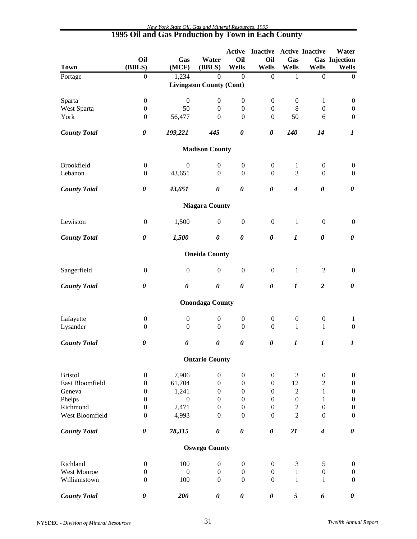| <b>Town</b>         | Oil<br>(BBLS)         | Gas<br>(MCF)          | Water<br>(BBLS)                 | <b>Active</b><br>Oil<br>Wells | <b>Inactive Active Inactive</b><br>Oil<br><b>Wells</b> | Gas<br><b>Wells</b> | <b>Wells</b>          | Water<br><b>Gas Injection</b><br>Wells |
|---------------------|-----------------------|-----------------------|---------------------------------|-------------------------------|--------------------------------------------------------|---------------------|-----------------------|----------------------------------------|
| Portage             | $\boldsymbol{0}$      | 1,234                 | $\boldsymbol{0}$                | $\overline{0}$                | $\mathbf{0}$                                           | 1                   | $\overline{0}$        | $\overline{0}$                         |
|                     |                       |                       | <b>Livingston County (Cont)</b> |                               |                                                        |                     |                       |                                        |
| Sparta              | $\boldsymbol{0}$      | $\boldsymbol{0}$      | $\boldsymbol{0}$                | $\boldsymbol{0}$              | $\boldsymbol{0}$                                       | $\boldsymbol{0}$    | $\mathbf{1}$          | $\boldsymbol{0}$                       |
| West Sparta         | $\boldsymbol{0}$      | 50                    | $\boldsymbol{0}$                | $\boldsymbol{0}$              | $\boldsymbol{0}$                                       | $\,8\,$             | $\boldsymbol{0}$      | $\boldsymbol{0}$                       |
| York                | $\boldsymbol{0}$      | 56,477                | $\boldsymbol{0}$                | $\boldsymbol{0}$              | $\mathbf{0}$                                           | 50                  | 6                     | $\overline{0}$                         |
| <b>County Total</b> | $\boldsymbol{\theta}$ | 199,221               | 445                             | $\boldsymbol{\theta}$         | $\pmb{\theta}$                                         | 140                 | 14                    | $\boldsymbol{l}$                       |
|                     |                       |                       | <b>Madison County</b>           |                               |                                                        |                     |                       |                                        |
| Brookfield          | $\boldsymbol{0}$      | $\boldsymbol{0}$      | $\boldsymbol{0}$                | $\boldsymbol{0}$              | $\boldsymbol{0}$                                       | $\mathbf{1}$        | $\boldsymbol{0}$      | $\boldsymbol{0}$                       |
| Lebanon             | $\boldsymbol{0}$      | 43,651                | $\mathbf{0}$                    | $\boldsymbol{0}$              | $\mathbf{0}$                                           | 3                   | $\overline{0}$        | $\overline{0}$                         |
| <b>County Total</b> | $\boldsymbol{\theta}$ | 43,651                | $\boldsymbol{\theta}$           | $\boldsymbol{\theta}$         | $\boldsymbol{\theta}$                                  | $\boldsymbol{4}$    | $\boldsymbol{\theta}$ | $\pmb{\theta}$                         |
|                     |                       |                       | <b>Niagara County</b>           |                               |                                                        |                     |                       |                                        |
| Lewiston            | $\boldsymbol{0}$      | 1,500                 | $\boldsymbol{0}$                | $\boldsymbol{0}$              | $\boldsymbol{0}$                                       | $\mathbf{1}$        | $\boldsymbol{0}$      | $\boldsymbol{0}$                       |
| <b>County Total</b> | $\boldsymbol{\theta}$ | 1,500                 | $\pmb{\theta}$                  | $\boldsymbol{\theta}$         | $\pmb{\theta}$                                         | $\boldsymbol{l}$    | $\boldsymbol{\theta}$ | $\boldsymbol{\theta}$                  |
|                     |                       |                       | <b>Oneida County</b>            |                               |                                                        |                     |                       |                                        |
| Sangerfield         | $\boldsymbol{0}$      | $\boldsymbol{0}$      | $\boldsymbol{0}$                | $\boldsymbol{0}$              | $\boldsymbol{0}$                                       | $\mathbf{1}$        | $\mathfrak{2}$        | $\boldsymbol{0}$                       |
| <b>County Total</b> | $\boldsymbol{\theta}$ | $\boldsymbol{\theta}$ | $\pmb{\theta}$                  | $\boldsymbol{\theta}$         | $\pmb{\theta}$                                         | $\boldsymbol{l}$    | $\overline{2}$        | $\boldsymbol{\theta}$                  |
|                     |                       |                       | <b>Onondaga County</b>          |                               |                                                        |                     |                       |                                        |
| Lafayette           | $\boldsymbol{0}$      | $\boldsymbol{0}$      | $\boldsymbol{0}$                | $\boldsymbol{0}$              | $\boldsymbol{0}$                                       | $\boldsymbol{0}$    | $\boldsymbol{0}$      | $\mathbf{1}$                           |
| Lysander            | $\overline{0}$        | $\boldsymbol{0}$      | $\boldsymbol{0}$                | $\boldsymbol{0}$              | $\mathbf{0}$                                           | 1                   | $\mathbf{1}$          | $\overline{0}$                         |
| <b>County Total</b> | 0                     | 0                     | $\pmb{\theta}$                  | $\boldsymbol{\theta}$         | $\pmb{\theta}$                                         | $\boldsymbol{l}$    | $\boldsymbol{l}$      | 1                                      |
|                     |                       |                       | <b>Ontario County</b>           |                               |                                                        |                     |                       |                                        |
| <b>Bristol</b>      | $\boldsymbol{0}$      | 7,906                 | $\mathbf{0}$                    | $\boldsymbol{0}$              | $\boldsymbol{0}$                                       | 3                   | $\boldsymbol{0}$      | $\mathbf{0}$                           |
| East Bloomfield     | $\mathbf{0}$          | 61,704                | $\boldsymbol{0}$                | $\boldsymbol{0}$              | $\overline{0}$                                         | 12                  | $\mathfrak{2}$        | $\boldsymbol{0}$                       |
| Geneva              | $\boldsymbol{0}$      | 1,241                 | $\boldsymbol{0}$                | $\boldsymbol{0}$              | $\boldsymbol{0}$                                       | $\overline{2}$      | $\mathbf{1}$          | $\boldsymbol{0}$                       |
| Phelps              | $\boldsymbol{0}$      | $\boldsymbol{0}$      | $\boldsymbol{0}$                | $\boldsymbol{0}$              | $\boldsymbol{0}$                                       | $\boldsymbol{0}$    | $\mathbf{1}$          | $\boldsymbol{0}$                       |
| Richmond            | $\boldsymbol{0}$      | 2,471                 | $\boldsymbol{0}$                | $\boldsymbol{0}$              | $\boldsymbol{0}$                                       | $\boldsymbol{2}$    | $\boldsymbol{0}$      | $\boldsymbol{0}$                       |
| West Bloomfield     | $\boldsymbol{0}$      | 4,993                 | $\boldsymbol{0}$                | $\boldsymbol{0}$              | $\mathbf{0}$                                           | $\overline{2}$      | $\overline{0}$        | $\overline{0}$                         |
| <b>County Total</b> | $\boldsymbol{\theta}$ | 78,315                | $\pmb{\theta}$                  | $\boldsymbol{\theta}$         | $\pmb{\theta}$                                         | 21                  | $\boldsymbol{4}$      | $\boldsymbol{\theta}$                  |
|                     |                       |                       | <b>Oswego County</b>            |                               |                                                        |                     |                       |                                        |
| Richland            | $\boldsymbol{0}$      | 100                   | $\boldsymbol{0}$                | $\boldsymbol{0}$              | $\boldsymbol{0}$                                       | 3                   | $\sqrt{5}$            | $\boldsymbol{0}$                       |
| West Monroe         | $\boldsymbol{0}$      | $\boldsymbol{0}$      | $\boldsymbol{0}$                | $\boldsymbol{0}$              | $\boldsymbol{0}$                                       | $\mathbf{1}$        | $\boldsymbol{0}$      | $\boldsymbol{0}$                       |
| Williamstown        | $\boldsymbol{0}$      | 100                   | $\boldsymbol{0}$                | $\boldsymbol{0}$              | $\boldsymbol{0}$                                       | 1                   | $\mathbf{1}$          | $\overline{0}$                         |
| <b>County Total</b> | 0                     | 200                   | $\pmb{\theta}$                  | 0                             | 0                                                      | 5                   | 6                     | 0                                      |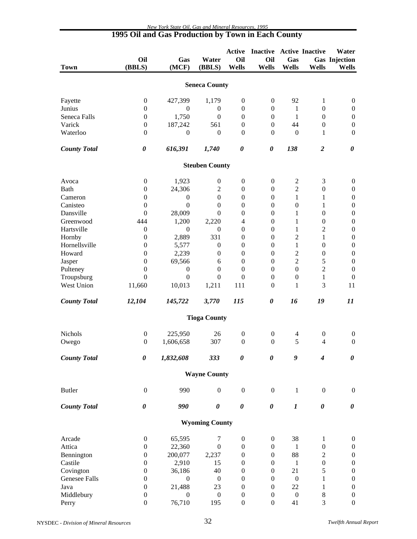| <b>Town</b>          | Oil<br>(BBLS)    | Gas<br>(MCF)     | Water<br>(BBLS)       | <b>Active</b><br>Oil<br><b>Wells</b> | <b>Inactive Active Inactive</b><br>Oil<br><b>Wells</b> | Gas<br><b>Wells</b> | Wells                 | Water<br><b>Gas Injection</b><br><b>Wells</b> |
|----------------------|------------------|------------------|-----------------------|--------------------------------------|--------------------------------------------------------|---------------------|-----------------------|-----------------------------------------------|
|                      |                  |                  | <b>Seneca County</b>  |                                      |                                                        |                     |                       |                                               |
| Fayette              | $\boldsymbol{0}$ | 427,399          | 1,179                 | $\boldsymbol{0}$                     | $\boldsymbol{0}$                                       | 92                  | 1                     | $\boldsymbol{0}$                              |
| Junius               | $\mathbf{0}$     | $\boldsymbol{0}$ | $\boldsymbol{0}$      | $\boldsymbol{0}$                     | $\theta$                                               | 1                   | $\boldsymbol{0}$      | $\boldsymbol{0}$                              |
| Seneca Falls         | $\boldsymbol{0}$ | 1,750            | $\mathbf{0}$          | $\boldsymbol{0}$                     | $\theta$                                               | 1                   | $\boldsymbol{0}$      | $\boldsymbol{0}$                              |
| Varick               | $\boldsymbol{0}$ | 187,242          | 561                   | $\boldsymbol{0}$                     | $\theta$                                               | 44                  | $\boldsymbol{0}$      | $\boldsymbol{0}$                              |
| Waterloo             | $\boldsymbol{0}$ | $\boldsymbol{0}$ | $\boldsymbol{0}$      | $\boldsymbol{0}$                     | $\theta$                                               | $\boldsymbol{0}$    | 1                     | $\mathbf{0}$                                  |
| <b>County Total</b>  | 0                | 616,391          | 1,740                 | 0                                    | 0                                                      | 138                 | $\boldsymbol{2}$      | $\boldsymbol{\theta}$                         |
|                      |                  |                  | <b>Steuben County</b> |                                      |                                                        |                     |                       |                                               |
| Avoca                | $\boldsymbol{0}$ | 1,923            | $\boldsymbol{0}$      | $\boldsymbol{0}$                     | $\boldsymbol{0}$                                       | $\overline{c}$      | 3                     | $\boldsymbol{0}$                              |
| Bath                 | $\boldsymbol{0}$ | 24,306           | $\overline{2}$        | $\boldsymbol{0}$                     | $\boldsymbol{0}$                                       | $\mathfrak{2}$      | $\boldsymbol{0}$      | $\boldsymbol{0}$                              |
| Cameron              | $\boldsymbol{0}$ | $\boldsymbol{0}$ | $\boldsymbol{0}$      | $\boldsymbol{0}$                     | $\theta$                                               | 1                   | 1                     | $\boldsymbol{0}$                              |
| Canisteo             | $\boldsymbol{0}$ | $\boldsymbol{0}$ | $\theta$              | $\boldsymbol{0}$                     | $\boldsymbol{0}$                                       | $\boldsymbol{0}$    | 1                     | $\boldsymbol{0}$                              |
| Dansville            | $\boldsymbol{0}$ | 28,009           | $\mathbf{0}$          | $\boldsymbol{0}$                     | 0                                                      | 1                   | $\boldsymbol{0}$      | $\boldsymbol{0}$                              |
| Greenwood            | 444              | 1,200            | 2,220                 | $\overline{4}$                       | 0                                                      | 1                   | $\boldsymbol{0}$      | $\boldsymbol{0}$                              |
| Hartsville           | $\boldsymbol{0}$ | $\boldsymbol{0}$ | $\mathbf{0}$          | $\boldsymbol{0}$                     | 0                                                      | 1                   | $\overline{2}$        | $\boldsymbol{0}$                              |
| Hornby               | $\boldsymbol{0}$ | 2,889            | 331                   | $\boldsymbol{0}$                     | 0                                                      | $\overline{2}$      | $\mathbf{1}$          | $\boldsymbol{0}$                              |
| Hornellsville        | $\boldsymbol{0}$ | 5,577            | $\boldsymbol{0}$      | $\boldsymbol{0}$                     | $\boldsymbol{0}$                                       | $\mathbf{1}$        | $\boldsymbol{0}$      | $\boldsymbol{0}$                              |
| Howard               | $\boldsymbol{0}$ | 2,239            | $\boldsymbol{0}$      | $\boldsymbol{0}$                     | $\boldsymbol{0}$                                       | $\overline{2}$      | $\boldsymbol{0}$      | $\boldsymbol{0}$                              |
| Jasper               | $\boldsymbol{0}$ | 69,566           | 6                     | $\boldsymbol{0}$                     | $\boldsymbol{0}$                                       | $\overline{c}$      | 5                     | $\boldsymbol{0}$                              |
| Pulteney             | $\boldsymbol{0}$ | $\boldsymbol{0}$ | $\boldsymbol{0}$      | $\boldsymbol{0}$                     | $\boldsymbol{0}$                                       | $\boldsymbol{0}$    | $\overline{2}$        | $\boldsymbol{0}$                              |
| Troupsburg           | $\boldsymbol{0}$ | $\boldsymbol{0}$ | $\boldsymbol{0}$      | $\overline{0}$                       | $\boldsymbol{0}$                                       | $\boldsymbol{0}$    | $\mathbf{1}$          | $\boldsymbol{0}$                              |
| West Union           | 11,660           | 10,013           | 1,211                 | 111                                  | $\boldsymbol{0}$                                       | 1                   | 3                     | 11                                            |
| <b>County Total</b>  | 12,104           | 145,722          | 3,770                 | 115                                  | 0                                                      | 16                  | 19                    | 11                                            |
|                      |                  |                  | <b>Tioga County</b>   |                                      |                                                        |                     |                       |                                               |
| Nichols              | $\boldsymbol{0}$ | 225,950          | 26                    | $\boldsymbol{0}$                     | $\boldsymbol{0}$                                       | $\overline{4}$      | $\boldsymbol{0}$      | $\boldsymbol{0}$                              |
| Owego                | $\boldsymbol{0}$ | 1,606,658        | 307                   | $\boldsymbol{0}$                     | $\mathbf{0}$                                           | 5                   | $\overline{4}$        | $\boldsymbol{0}$                              |
| <b>County Total</b>  | 0                | 1,832,608        | 333                   | $\boldsymbol{\theta}$                | 0                                                      | 9                   | $\boldsymbol{4}$      | $\boldsymbol{\theta}$                         |
|                      |                  |                  | <b>Wayne County</b>   |                                      |                                                        |                     |                       |                                               |
| <b>Butler</b>        | $\boldsymbol{0}$ | 990              | $\boldsymbol{0}$      | $\boldsymbol{0}$                     | $\boldsymbol{0}$                                       | $\mathbf{1}$        | $\boldsymbol{0}$      | $\boldsymbol{0}$                              |
| <b>County Total</b>  | 0                | 990              | $\pmb{\theta}$        | $\boldsymbol{\theta}$                | $\pmb{\theta}$                                         | $\boldsymbol{l}$    | $\boldsymbol{\theta}$ | $\boldsymbol{\theta}$                         |
|                      |                  |                  | <b>Wyoming County</b> |                                      |                                                        |                     |                       |                                               |
| Arcade               | $\boldsymbol{0}$ | 65,595           | $\tau$                | $\boldsymbol{0}$                     | $\boldsymbol{0}$                                       | 38                  | $\mathbf{1}$          | $\boldsymbol{0}$                              |
| Attica               | $\boldsymbol{0}$ | 22,360           | $\boldsymbol{0}$      | $\boldsymbol{0}$                     | $\overline{0}$                                         | $\mathbf{1}$        | $\boldsymbol{0}$      | $\boldsymbol{0}$                              |
| Bennington           | $\boldsymbol{0}$ | 200,077          | 2,237                 | $\boldsymbol{0}$                     | $\boldsymbol{0}$                                       | 88                  | $\mathfrak{2}$        | $\boldsymbol{0}$                              |
| Castile              | $\boldsymbol{0}$ | 2,910            | 15                    | $\boldsymbol{0}$                     | $\boldsymbol{0}$                                       | $\mathbf{1}$        | $\boldsymbol{0}$      | $\boldsymbol{0}$                              |
| Covington            | $\boldsymbol{0}$ | 36,186           | 40                    | $\boldsymbol{0}$                     | $\boldsymbol{0}$                                       | 21                  | $\mathfrak s$         | $\boldsymbol{0}$                              |
| <b>Genesee Falls</b> | $\boldsymbol{0}$ | $\boldsymbol{0}$ | $\boldsymbol{0}$      | $\boldsymbol{0}$                     | $\boldsymbol{0}$                                       | $\boldsymbol{0}$    | 1                     | $\boldsymbol{0}$                              |
| Java                 | $\boldsymbol{0}$ | 21,488           | 23                    | $\boldsymbol{0}$                     | $\boldsymbol{0}$                                       | 22                  | 1                     | $\boldsymbol{0}$                              |
| Middlebury           | $\boldsymbol{0}$ | $\boldsymbol{0}$ | $\boldsymbol{0}$      | $\boldsymbol{0}$                     | $\boldsymbol{0}$                                       | $\boldsymbol{0}$    | $\,8\,$               | $\boldsymbol{0}$                              |

#### *New York State Oil, Gas and Mineral Resources, 1995* **1995 Oil and Gas Production by Town in Each County**

## NYSDEC - *Division of Mineral Resources* 32 *Twelfth Annual Report*

Perry 0 76,710 195 0 0 41 3 0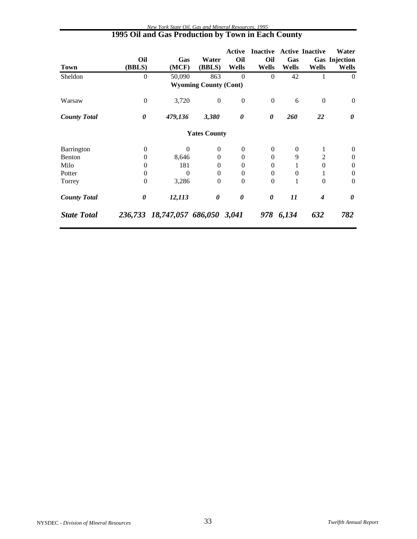*New York State Oil, Gas and Mineral Resources, 1995*

| <b>Town</b>         | Oil<br>(BBLS)         | Gas<br>(MCF)                     | Water<br>(BBLS)              | Active<br>Oil<br>Wells | Oil<br>Wells   | Gas<br>Wells | Inactive Active Inactive<br>Wells | Water<br><b>Gas Injection</b><br>Wells |
|---------------------|-----------------------|----------------------------------|------------------------------|------------------------|----------------|--------------|-----------------------------------|----------------------------------------|
| Sheldon             | $\overline{0}$        | 50,090                           | 863                          | $\overline{0}$         | $\theta$       | 42           | 1                                 | $\overline{0}$                         |
|                     |                       |                                  | <b>Wyoming County (Cont)</b> |                        |                |              |                                   |                                        |
| Warsaw              | $\boldsymbol{0}$      | 3,720                            | $\boldsymbol{0}$             | $\boldsymbol{0}$       | $\overline{0}$ | 6            | $\Omega$                          | $\boldsymbol{0}$                       |
| <b>County Total</b> | 0                     | 479,136                          | 3,380                        | 0                      | 0              | <b>260</b>   | 22                                | 0                                      |
|                     |                       |                                  | <b>Yates County</b>          |                        |                |              |                                   |                                        |
| Barrington          | $\theta$              | $\overline{0}$                   | $\boldsymbol{0}$             | $\overline{0}$         | $\theta$       | $\theta$     | 1                                 | $\boldsymbol{0}$                       |
| Benton              | $\Omega$              | 8,646                            | $\Omega$                     | $\Omega$               | $\Omega$       | 9            | $\overline{2}$                    | $\boldsymbol{0}$                       |
| Milo                | $\Omega$              | 181                              | $\theta$                     | $\Omega$               | $\Omega$       | 1            | $\theta$                          | $\boldsymbol{0}$                       |
| Potter              | 0                     | $\overline{0}$                   | $\boldsymbol{0}$             | $\boldsymbol{0}$       | $\theta$       | $\theta$     | 1                                 | $\boldsymbol{0}$                       |
| Torrey              | $\Omega$              | 3,286                            | $\boldsymbol{0}$             | $\overline{0}$         | $\theta$       | 1            | $\Omega$                          | $\boldsymbol{0}$                       |
| <b>County Total</b> | $\boldsymbol{\theta}$ | 12,113                           | 0                            | 0                      | 0              | 11           | 4                                 | 0                                      |
| <b>State Total</b>  |                       | 236,733 18,747,057 686,050 3,041 |                              |                        |                | 978 6,134    | 632                               | 782                                    |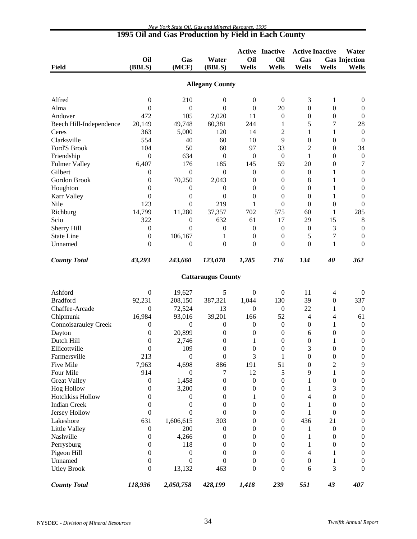|                             |                  |                  |                           |                  | <b>Active Inactive</b> | <b>Active Inactive</b> |                  | Water                |
|-----------------------------|------------------|------------------|---------------------------|------------------|------------------------|------------------------|------------------|----------------------|
|                             | Oil              | Gas              | Water                     | Oil              | Oil                    | Gas                    |                  | <b>Gas Injection</b> |
| Field                       | (BBLS)           | (MCF)            | (BBLS)                    | <b>Wells</b>     | <b>Wells</b>           | Wells                  | <b>Wells</b>     | <b>Wells</b>         |
|                             |                  |                  | <b>Allegany County</b>    |                  |                        |                        |                  |                      |
| Alfred                      | $\overline{0}$   | 210              | $\boldsymbol{0}$          | $\boldsymbol{0}$ | $\boldsymbol{0}$       | 3                      | 1                | $\overline{0}$       |
| Alma                        | $\overline{0}$   | $\theta$         | $\mathbf{0}$              | $\boldsymbol{0}$ | 20                     | $\mathbf{0}$           | $\boldsymbol{0}$ | $\boldsymbol{0}$     |
| Andover                     | 472              | 105              | 2,020                     | 11               | $\theta$               | $\mathbf{0}$           | $\boldsymbol{0}$ | $\boldsymbol{0}$     |
| Beech Hill-Independence     | 20,149           | 49,748           | 80,381                    | 244              | 1                      | 5                      | 7                | 28                   |
| Ceres                       | 363              | 5,000            | 120                       | 14               | 2                      | 1                      | 1                | $\boldsymbol{0}$     |
| Clarksville                 | 554              | 40               | 60                        | 10               | 9                      | $\boldsymbol{0}$       | $\boldsymbol{0}$ | $\overline{0}$       |
| Ford'S Brook                | 104              | 50               | 60                        | 97               | 33                     | 2                      | $\theta$         | 34                   |
| Friendship                  | $\boldsymbol{0}$ | 634              | $\mathbf{0}$              | $\boldsymbol{0}$ | $\boldsymbol{0}$       | 1                      | $\boldsymbol{0}$ | $\boldsymbol{0}$     |
| <b>Fulmer Valley</b>        | 6,407            | 176              | 185                       | 145              | 59                     | 20                     | $\boldsymbol{0}$ | 7                    |
| Gilbert                     | $\boldsymbol{0}$ | $\mathbf{0}$     | $\mathbf{0}$              | $\boldsymbol{0}$ | $\boldsymbol{0}$       | $\boldsymbol{0}$       | 1                | $\boldsymbol{0}$     |
| Gordon Brook                | $\boldsymbol{0}$ | 70,250           | 2,043                     | $\boldsymbol{0}$ | $\boldsymbol{0}$       | 8                      | 1                | $\boldsymbol{0}$     |
| Houghton                    | $\boldsymbol{0}$ | $\boldsymbol{0}$ | $\boldsymbol{0}$          | $\boldsymbol{0}$ | $\overline{0}$         | $\boldsymbol{0}$       | 1                | $\boldsymbol{0}$     |
| <b>Karr Valley</b>          | $\boldsymbol{0}$ | $\boldsymbol{0}$ | $\boldsymbol{0}$          | $\boldsymbol{0}$ | $\mathbf{0}$           | $\boldsymbol{0}$       | 1                | $\boldsymbol{0}$     |
| Nile                        | 123              | $\mathbf{0}$     | 219                       | $\mathbf{1}$     | $\mathbf{0}$           | $\boldsymbol{0}$       | $\boldsymbol{0}$ | $\boldsymbol{0}$     |
| Richburg                    | 14,799           | 11,280           | 37,357                    | 702              | 575                    | 60                     | 1                | 285                  |
| Scio                        | 322              | $\boldsymbol{0}$ | 632                       | 61               | 17                     | 29                     | 15               | 8                    |
| Sherry Hill                 | $\boldsymbol{0}$ | $\theta$         | $\boldsymbol{0}$          | $\boldsymbol{0}$ | $\theta$               | $\boldsymbol{0}$       | 3                | $\boldsymbol{0}$     |
| <b>State Line</b>           | $\boldsymbol{0}$ | 106,167          | 1                         | $\boldsymbol{0}$ | $\theta$               | 5                      | 7                | $\boldsymbol{0}$     |
| Unnamed                     | $\mathbf{0}$     | $\theta$         | $\overline{0}$            | $\boldsymbol{0}$ | $\theta$               | $\boldsymbol{0}$       | 1                | $\boldsymbol{0}$     |
| <b>County Total</b>         | 43,293           | 243,660          | 123,078                   | 1,285            | 716                    | 134                    | 40               | 362                  |
|                             |                  |                  | <b>Cattaraugus County</b> |                  |                        |                        |                  |                      |
| Ashford                     | $\boldsymbol{0}$ | 19,627           | 5                         | $\boldsymbol{0}$ | $\boldsymbol{0}$       | 11                     | 4                | $\boldsymbol{0}$     |
| <b>Bradford</b>             | 92,231           | 208,150          | 387,321                   | 1,044            | 130                    | 39                     | $\boldsymbol{0}$ | 337                  |
| Chaffee-Arcade              | $\overline{0}$   | 72,524           | 13                        | $\boldsymbol{0}$ | $\boldsymbol{0}$       | 22                     | 1                | $\boldsymbol{0}$     |
| Chipmunk                    | 16,984           | 93,016           | 39,201                    | 166              | 52                     | $\overline{4}$         | 4                | 61                   |
| <b>Connoisarauley Creek</b> | $\boldsymbol{0}$ | $\theta$         | $\mathbf{0}$              | $\boldsymbol{0}$ | $\boldsymbol{0}$       | $\mathbf{0}$           | 1                | $\boldsymbol{0}$     |
| Dayton                      | $\overline{0}$   | 20,899           | $\mathbf{0}$              | $\boldsymbol{0}$ | $\theta$               | 6                      | 0                | $\boldsymbol{0}$     |
| Dutch Hill                  | $\overline{0}$   | 2,746            | $\boldsymbol{0}$          | 1                | $\theta$               | $\boldsymbol{0}$       | 1                | $\boldsymbol{0}$     |
| Ellicottville               | $\theta$         | 109              | $\theta$                  | $\theta$         | $\theta$               | 3                      | $\theta$         | $\overline{0}$       |
| Farmersville                | 213              | $\boldsymbol{0}$ | $\boldsymbol{0}$          | 3                | 1                      | $\boldsymbol{0}$       | $\boldsymbol{0}$ | 0                    |
| Five Mile                   | 7,963            | 4,698            | 886                       | 191              | 51                     | $\mathbf{0}$           | $\overline{c}$   | 9                    |
| Four Mile                   | 914              | $\boldsymbol{0}$ | 7                         | 12               | 5                      | 9                      | 1                | $\boldsymbol{0}$     |
| <b>Great Valley</b>         | $\boldsymbol{0}$ | 1,458            | $\boldsymbol{0}$          | $\boldsymbol{0}$ | $\boldsymbol{0}$       | 1                      | $\boldsymbol{0}$ | $\boldsymbol{0}$     |
| <b>Hog Hollow</b>           | $\boldsymbol{0}$ | 3,200            | $\boldsymbol{0}$          | $\boldsymbol{0}$ | $\boldsymbol{0}$       | 1                      | 3                | $\boldsymbol{0}$     |
| <b>Hotchkiss Hollow</b>     | $\boldsymbol{0}$ | $\boldsymbol{0}$ | $\boldsymbol{0}$          | 1                | $\boldsymbol{0}$       | 4                      | $\boldsymbol{0}$ | $\boldsymbol{0}$     |
| <b>Indian Creek</b>         | $\boldsymbol{0}$ | $\boldsymbol{0}$ | $\boldsymbol{0}$          | $\boldsymbol{0}$ | $\boldsymbol{0}$       | 1                      | $\boldsymbol{0}$ | $\boldsymbol{0}$     |
| Jersey Hollow               | $\boldsymbol{0}$ | $\mathbf{0}$     | $\boldsymbol{0}$          | $\boldsymbol{0}$ | $\boldsymbol{0}$       | $\mathbf{1}$           | $\boldsymbol{0}$ | $\boldsymbol{0}$     |
| Lakeshore                   | 631              | 1,606,615        | 303                       | $\boldsymbol{0}$ | $\boldsymbol{0}$       | 436                    | 21               | $\boldsymbol{0}$     |
| <b>Little Valley</b>        | $\boldsymbol{0}$ | 200              | $\boldsymbol{0}$          | $\boldsymbol{0}$ | $\boldsymbol{0}$       | 1                      | $\boldsymbol{0}$ | $\boldsymbol{0}$     |
| Nashville                   | $\boldsymbol{0}$ | 4,266            | $\boldsymbol{0}$          | $\boldsymbol{0}$ | $\boldsymbol{0}$       | 1                      | $\boldsymbol{0}$ | $\boldsymbol{0}$     |
| Perrysburg                  | $\boldsymbol{0}$ | 118              | $\boldsymbol{0}$          | $\boldsymbol{0}$ | $\boldsymbol{0}$       | 1                      | 0                | $\boldsymbol{0}$     |
| Pigeon Hill                 | $\boldsymbol{0}$ | $\boldsymbol{0}$ | $\boldsymbol{0}$          | $\boldsymbol{0}$ | $\mathbf{0}$           | $\overline{4}$         | 1                | $\boldsymbol{0}$     |
| Unnamed                     | 0                | $\mathbf{0}$     | $\boldsymbol{0}$          | $\boldsymbol{0}$ | $\overline{0}$         | $\boldsymbol{0}$       | 1                | $\boldsymbol{0}$     |
| <b>Utley Brook</b>          | $\overline{0}$   | 13,132           | 463                       | $\boldsymbol{0}$ | $\overline{0}$         | 6                      | 3                | $\boldsymbol{0}$     |
| <b>County Total</b>         | 118,936          | 2,050,758        | 428,199                   | 1,418            | 239                    | 551                    | 43               | 407                  |

*New York State Oil, Gas and Mineral Resoures, 1995*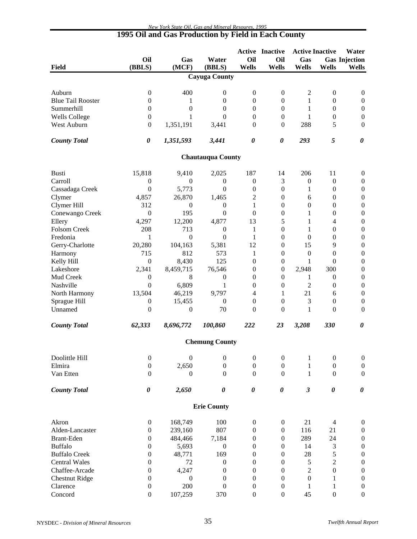## **Active Inactive Active Inactive Water Oil Gas Water Oil Oil Gas Gas Injection Field (BBLS) (MCF) (BBLS) Wells Wells Wells Wells Wells Cayuga County** Auburn 0 400 0 0 0 2 0 0 Blue Tail Rooster <br>
Summerhill 0 0 0 0 0 1 0 0<br>
0 0 0 0 1 0 0<br>
0 0 0 0 1 0 0 Summerhill  $\begin{array}{cccccccc} 0 & 0 & 0 & 0 & 1 & 0 \end{array}$ **Chautauqua County**

| 5<br>West Auburn<br>$\boldsymbol{0}$<br>1,351,191<br>$\boldsymbol{0}$<br>$\boldsymbol{0}$<br>3,441<br>293<br>5<br>$\boldsymbol{\theta}$<br>1,351,593<br>$\boldsymbol{\theta}$<br>$\boldsymbol{\theta}$<br>$\boldsymbol{\theta}$<br><b>County Total</b><br>3,441<br><b>Chautauqua County</b><br>15,818<br>187<br>206<br>Busti<br>9,410<br>2,025<br>11<br>14<br>Carroll<br>3<br>$\boldsymbol{0}$<br>$\boldsymbol{0}$<br>$\boldsymbol{0}$<br>$\boldsymbol{0}$<br>$\boldsymbol{0}$<br>$\boldsymbol{0}$<br>$\boldsymbol{0}$<br>5,773<br>Cassadaga Creek<br>$\mathbf{0}$<br>$\boldsymbol{0}$<br>$\overline{0}$<br>1<br>$\boldsymbol{0}$<br>4,857<br>2<br>Clymer<br>26,870<br>1,465<br>$\overline{0}$<br>6<br>$\boldsymbol{0}$<br>Clymer Hill<br>$\boldsymbol{0}$<br>$\boldsymbol{0}$<br>312<br>1<br>$\overline{0}$<br>$\mathbf{0}$<br>0<br>$\mathbf{0}$<br>195<br>$\boldsymbol{0}$<br>Conewango Creek<br>$\mathbf{0}$<br>$\mathbf{0}$<br>$\overline{0}$<br>$\mathbf{0}$<br>0<br>1<br>4,297<br>12,200<br>4,877<br>13<br>5<br>Ellery<br>$\overline{4}$<br>1<br><b>Folsom Creek</b><br>208<br>713<br>$\boldsymbol{0}$<br>$\boldsymbol{0}$<br>$\boldsymbol{0}$<br>1<br>$\boldsymbol{0}$<br>1<br>Fredonia<br>$\mathbf{0}$<br>$\boldsymbol{0}$<br>$\boldsymbol{0}$<br>$\boldsymbol{0}$<br>1<br>1<br>$\overline{0}$<br>$\boldsymbol{0}$<br>12<br>$\boldsymbol{0}$<br>Gerry-Charlotte<br>20,280<br>5,381<br>15<br>9<br>104,163<br>$\boldsymbol{0}$<br>715<br>812<br>573<br>$\boldsymbol{0}$<br>$\boldsymbol{0}$<br>$\boldsymbol{0}$<br>Harmony<br>1<br>$\boldsymbol{0}$<br>125<br>Kelly Hill<br>$\boldsymbol{0}$<br>8,430<br>$\boldsymbol{0}$<br>$\boldsymbol{0}$<br>$\boldsymbol{0}$<br>1<br>$\mathbf{0}$<br>8,459,715<br>2,948<br>300<br>$\boldsymbol{0}$<br>Lakeshore<br>2,341<br>76,546<br>$\boldsymbol{0}$<br>$\boldsymbol{0}$<br>$\boldsymbol{0}$<br>Mud Creek<br>$\boldsymbol{0}$<br>8<br>$\boldsymbol{0}$<br>$\boldsymbol{0}$<br>$\boldsymbol{0}$<br>1<br>$\boldsymbol{0}$<br>6,809<br>$\boldsymbol{0}$<br>Nashville<br>$\boldsymbol{0}$<br>$\boldsymbol{0}$<br>$\mathfrak{2}$<br>$\boldsymbol{0}$<br>1<br>$\boldsymbol{0}$<br>North Harmony<br>13,504<br>46,219<br>9,797<br>21<br>$\boldsymbol{0}$<br>$\overline{4}$<br>1<br>6<br>15,455<br>$\boldsymbol{0}$<br>$\boldsymbol{0}$<br>3<br>$\boldsymbol{0}$<br>Sprague Hill<br>$\boldsymbol{0}$<br>$\boldsymbol{0}$<br>$\boldsymbol{0}$<br>70<br>$\boldsymbol{0}$<br>$\overline{0}$<br>$\mathbf{1}$<br>$\boldsymbol{0}$<br>$\boldsymbol{0}$<br>Unnamed<br>$\boldsymbol{0}$<br>$\boldsymbol{0}$<br>62,333<br>8,696,772<br>100,860<br>222<br>23<br>3,208<br>330<br>$\pmb{\theta}$<br><b>County Total</b><br><b>Chemung County</b><br>Doolittle Hill<br>$\boldsymbol{0}$<br>$\boldsymbol{0}$<br>$\boldsymbol{0}$<br>$\boldsymbol{0}$<br>$\boldsymbol{0}$<br>1<br>$\boldsymbol{0}$<br>2,650<br>Elmira<br>$\boldsymbol{0}$<br>$\boldsymbol{0}$<br>$\boldsymbol{0}$<br>$\boldsymbol{0}$<br>$\boldsymbol{0}$<br>1<br>$\boldsymbol{0}$<br>$\mathbf{0}$<br>$\boldsymbol{0}$<br>Van Etten<br>$\boldsymbol{0}$<br>$\overline{0}$<br>$\overline{0}$<br>1<br><b>County Total</b><br>$\boldsymbol{\theta}$<br>2,650<br>$\boldsymbol{\theta}$<br>$\boldsymbol{\theta}$<br>$\boldsymbol{\theta}$<br>3<br>$\boldsymbol{\theta}$<br><b>Erie County</b><br>Akron<br>$\boldsymbol{0}$<br>168,749<br>100<br>$\boldsymbol{0}$<br>$\boldsymbol{0}$<br>21<br>$\overline{4}$<br>$\boldsymbol{0}$<br>807<br>Alden-Lancaster<br>$\boldsymbol{0}$<br>239,160<br>$\boldsymbol{0}$<br>$\boldsymbol{0}$<br>116<br>21<br>$\boldsymbol{0}$<br>7,184<br>24<br>Brant-Eden<br>484,466<br>289<br>$\boldsymbol{0}$<br>$\boldsymbol{0}$<br>$\boldsymbol{0}$<br>$\boldsymbol{0}$<br><b>Buffalo</b><br>5,693<br>14<br>3<br>$\boldsymbol{0}$<br>$\boldsymbol{0}$<br>$\boldsymbol{0}$<br>$\boldsymbol{0}$<br>$\boldsymbol{0}$<br>5<br>28<br><b>Buffalo Creek</b><br>48,771<br>169<br>$\boldsymbol{0}$<br>$\boldsymbol{0}$<br>$\boldsymbol{0}$<br>$\sqrt{2}$<br><b>Central Wales</b><br>5<br>$\theta$<br>72<br>$\boldsymbol{0}$<br>$\boldsymbol{0}$<br>$\boldsymbol{0}$<br>$\boldsymbol{0}$<br>Chaffee-Arcade<br>4,247<br>$\boldsymbol{2}$<br>$\boldsymbol{0}$<br>$\boldsymbol{0}$<br>$\boldsymbol{0}$<br>$\boldsymbol{0}$<br>$\boldsymbol{0}$<br><b>Chestnut Ridge</b><br>$\boldsymbol{0}$<br>$\boldsymbol{0}$<br>$\boldsymbol{0}$<br>$\boldsymbol{0}$<br>$\boldsymbol{0}$<br>$\boldsymbol{0}$<br>1<br>200<br>Clarence<br>$\boldsymbol{0}$<br>$\boldsymbol{0}$<br>$\boldsymbol{0}$<br>$\boldsymbol{0}$<br>1<br>1 | <b>Wells College</b> | $\boldsymbol{0}$ | 1       | $\boldsymbol{0}$ | $\boldsymbol{0}$ | $\boldsymbol{0}$ | 1   | $\boldsymbol{0}$ | $\boldsymbol{0}$      |
|----------------------------------------------------------------------------------------------------------------------------------------------------------------------------------------------------------------------------------------------------------------------------------------------------------------------------------------------------------------------------------------------------------------------------------------------------------------------------------------------------------------------------------------------------------------------------------------------------------------------------------------------------------------------------------------------------------------------------------------------------------------------------------------------------------------------------------------------------------------------------------------------------------------------------------------------------------------------------------------------------------------------------------------------------------------------------------------------------------------------------------------------------------------------------------------------------------------------------------------------------------------------------------------------------------------------------------------------------------------------------------------------------------------------------------------------------------------------------------------------------------------------------------------------------------------------------------------------------------------------------------------------------------------------------------------------------------------------------------------------------------------------------------------------------------------------------------------------------------------------------------------------------------------------------------------------------------------------------------------------------------------------------------------------------------------------------------------------------------------------------------------------------------------------------------------------------------------------------------------------------------------------------------------------------------------------------------------------------------------------------------------------------------------------------------------------------------------------------------------------------------------------------------------------------------------------------------------------------------------------------------------------------------------------------------------------------------------------------------------------------------------------------------------------------------------------------------------------------------------------------------------------------------------------------------------------------------------------------------------------------------------------------------------------------------------------------------------------------------------------------------------------------------------------------------------------------------------------------------------------------------------------------------------------------------------------------------------------------------------------------------------------------------------------------------------------------------------------------------------------------------------------------------------------------------------------------------------------------------------------------------------------------------------------------------------------------------------------------------------------------------------------------------------------------------------------------------------------------------------------------------------------------------------------------------------------------------------------------------------------------------------------------------------------------------------------------------------------------------------------------------------------------------------------------------------------------------------------------------------------------------------------------------------------------------------------------------------------------------------------------------------------------------------------------------------------------------------------------------------------------------------|----------------------|------------------|---------|------------------|------------------|------------------|-----|------------------|-----------------------|
|                                                                                                                                                                                                                                                                                                                                                                                                                                                                                                                                                                                                                                                                                                                                                                                                                                                                                                                                                                                                                                                                                                                                                                                                                                                                                                                                                                                                                                                                                                                                                                                                                                                                                                                                                                                                                                                                                                                                                                                                                                                                                                                                                                                                                                                                                                                                                                                                                                                                                                                                                                                                                                                                                                                                                                                                                                                                                                                                                                                                                                                                                                                                                                                                                                                                                                                                                                                                                                                                                                                                                                                                                                                                                                                                                                                                                                                                                                                                                                                                                                                                                                                                                                                                                                                                                                                                                                                                                                                                                                                |                      |                  |         |                  |                  |                  | 288 |                  | $\boldsymbol{0}$      |
|                                                                                                                                                                                                                                                                                                                                                                                                                                                                                                                                                                                                                                                                                                                                                                                                                                                                                                                                                                                                                                                                                                                                                                                                                                                                                                                                                                                                                                                                                                                                                                                                                                                                                                                                                                                                                                                                                                                                                                                                                                                                                                                                                                                                                                                                                                                                                                                                                                                                                                                                                                                                                                                                                                                                                                                                                                                                                                                                                                                                                                                                                                                                                                                                                                                                                                                                                                                                                                                                                                                                                                                                                                                                                                                                                                                                                                                                                                                                                                                                                                                                                                                                                                                                                                                                                                                                                                                                                                                                                                                |                      |                  |         |                  |                  |                  |     |                  |                       |
|                                                                                                                                                                                                                                                                                                                                                                                                                                                                                                                                                                                                                                                                                                                                                                                                                                                                                                                                                                                                                                                                                                                                                                                                                                                                                                                                                                                                                                                                                                                                                                                                                                                                                                                                                                                                                                                                                                                                                                                                                                                                                                                                                                                                                                                                                                                                                                                                                                                                                                                                                                                                                                                                                                                                                                                                                                                                                                                                                                                                                                                                                                                                                                                                                                                                                                                                                                                                                                                                                                                                                                                                                                                                                                                                                                                                                                                                                                                                                                                                                                                                                                                                                                                                                                                                                                                                                                                                                                                                                                                |                      |                  |         |                  |                  |                  |     |                  |                       |
|                                                                                                                                                                                                                                                                                                                                                                                                                                                                                                                                                                                                                                                                                                                                                                                                                                                                                                                                                                                                                                                                                                                                                                                                                                                                                                                                                                                                                                                                                                                                                                                                                                                                                                                                                                                                                                                                                                                                                                                                                                                                                                                                                                                                                                                                                                                                                                                                                                                                                                                                                                                                                                                                                                                                                                                                                                                                                                                                                                                                                                                                                                                                                                                                                                                                                                                                                                                                                                                                                                                                                                                                                                                                                                                                                                                                                                                                                                                                                                                                                                                                                                                                                                                                                                                                                                                                                                                                                                                                                                                |                      |                  |         |                  |                  |                  |     |                  | $\boldsymbol{0}$      |
|                                                                                                                                                                                                                                                                                                                                                                                                                                                                                                                                                                                                                                                                                                                                                                                                                                                                                                                                                                                                                                                                                                                                                                                                                                                                                                                                                                                                                                                                                                                                                                                                                                                                                                                                                                                                                                                                                                                                                                                                                                                                                                                                                                                                                                                                                                                                                                                                                                                                                                                                                                                                                                                                                                                                                                                                                                                                                                                                                                                                                                                                                                                                                                                                                                                                                                                                                                                                                                                                                                                                                                                                                                                                                                                                                                                                                                                                                                                                                                                                                                                                                                                                                                                                                                                                                                                                                                                                                                                                                                                |                      |                  |         |                  |                  |                  |     |                  | $\boldsymbol{0}$      |
|                                                                                                                                                                                                                                                                                                                                                                                                                                                                                                                                                                                                                                                                                                                                                                                                                                                                                                                                                                                                                                                                                                                                                                                                                                                                                                                                                                                                                                                                                                                                                                                                                                                                                                                                                                                                                                                                                                                                                                                                                                                                                                                                                                                                                                                                                                                                                                                                                                                                                                                                                                                                                                                                                                                                                                                                                                                                                                                                                                                                                                                                                                                                                                                                                                                                                                                                                                                                                                                                                                                                                                                                                                                                                                                                                                                                                                                                                                                                                                                                                                                                                                                                                                                                                                                                                                                                                                                                                                                                                                                |                      |                  |         |                  |                  |                  |     |                  | $\boldsymbol{0}$      |
|                                                                                                                                                                                                                                                                                                                                                                                                                                                                                                                                                                                                                                                                                                                                                                                                                                                                                                                                                                                                                                                                                                                                                                                                                                                                                                                                                                                                                                                                                                                                                                                                                                                                                                                                                                                                                                                                                                                                                                                                                                                                                                                                                                                                                                                                                                                                                                                                                                                                                                                                                                                                                                                                                                                                                                                                                                                                                                                                                                                                                                                                                                                                                                                                                                                                                                                                                                                                                                                                                                                                                                                                                                                                                                                                                                                                                                                                                                                                                                                                                                                                                                                                                                                                                                                                                                                                                                                                                                                                                                                |                      |                  |         |                  |                  |                  |     |                  | $\boldsymbol{0}$      |
|                                                                                                                                                                                                                                                                                                                                                                                                                                                                                                                                                                                                                                                                                                                                                                                                                                                                                                                                                                                                                                                                                                                                                                                                                                                                                                                                                                                                                                                                                                                                                                                                                                                                                                                                                                                                                                                                                                                                                                                                                                                                                                                                                                                                                                                                                                                                                                                                                                                                                                                                                                                                                                                                                                                                                                                                                                                                                                                                                                                                                                                                                                                                                                                                                                                                                                                                                                                                                                                                                                                                                                                                                                                                                                                                                                                                                                                                                                                                                                                                                                                                                                                                                                                                                                                                                                                                                                                                                                                                                                                |                      |                  |         |                  |                  |                  |     |                  |                       |
|                                                                                                                                                                                                                                                                                                                                                                                                                                                                                                                                                                                                                                                                                                                                                                                                                                                                                                                                                                                                                                                                                                                                                                                                                                                                                                                                                                                                                                                                                                                                                                                                                                                                                                                                                                                                                                                                                                                                                                                                                                                                                                                                                                                                                                                                                                                                                                                                                                                                                                                                                                                                                                                                                                                                                                                                                                                                                                                                                                                                                                                                                                                                                                                                                                                                                                                                                                                                                                                                                                                                                                                                                                                                                                                                                                                                                                                                                                                                                                                                                                                                                                                                                                                                                                                                                                                                                                                                                                                                                                                |                      |                  |         |                  |                  |                  |     |                  |                       |
|                                                                                                                                                                                                                                                                                                                                                                                                                                                                                                                                                                                                                                                                                                                                                                                                                                                                                                                                                                                                                                                                                                                                                                                                                                                                                                                                                                                                                                                                                                                                                                                                                                                                                                                                                                                                                                                                                                                                                                                                                                                                                                                                                                                                                                                                                                                                                                                                                                                                                                                                                                                                                                                                                                                                                                                                                                                                                                                                                                                                                                                                                                                                                                                                                                                                                                                                                                                                                                                                                                                                                                                                                                                                                                                                                                                                                                                                                                                                                                                                                                                                                                                                                                                                                                                                                                                                                                                                                                                                                                                |                      |                  |         |                  |                  |                  |     |                  | $\boldsymbol{0}$      |
|                                                                                                                                                                                                                                                                                                                                                                                                                                                                                                                                                                                                                                                                                                                                                                                                                                                                                                                                                                                                                                                                                                                                                                                                                                                                                                                                                                                                                                                                                                                                                                                                                                                                                                                                                                                                                                                                                                                                                                                                                                                                                                                                                                                                                                                                                                                                                                                                                                                                                                                                                                                                                                                                                                                                                                                                                                                                                                                                                                                                                                                                                                                                                                                                                                                                                                                                                                                                                                                                                                                                                                                                                                                                                                                                                                                                                                                                                                                                                                                                                                                                                                                                                                                                                                                                                                                                                                                                                                                                                                                |                      |                  |         |                  |                  |                  |     |                  |                       |
|                                                                                                                                                                                                                                                                                                                                                                                                                                                                                                                                                                                                                                                                                                                                                                                                                                                                                                                                                                                                                                                                                                                                                                                                                                                                                                                                                                                                                                                                                                                                                                                                                                                                                                                                                                                                                                                                                                                                                                                                                                                                                                                                                                                                                                                                                                                                                                                                                                                                                                                                                                                                                                                                                                                                                                                                                                                                                                                                                                                                                                                                                                                                                                                                                                                                                                                                                                                                                                                                                                                                                                                                                                                                                                                                                                                                                                                                                                                                                                                                                                                                                                                                                                                                                                                                                                                                                                                                                                                                                                                |                      |                  |         |                  |                  |                  |     |                  |                       |
|                                                                                                                                                                                                                                                                                                                                                                                                                                                                                                                                                                                                                                                                                                                                                                                                                                                                                                                                                                                                                                                                                                                                                                                                                                                                                                                                                                                                                                                                                                                                                                                                                                                                                                                                                                                                                                                                                                                                                                                                                                                                                                                                                                                                                                                                                                                                                                                                                                                                                                                                                                                                                                                                                                                                                                                                                                                                                                                                                                                                                                                                                                                                                                                                                                                                                                                                                                                                                                                                                                                                                                                                                                                                                                                                                                                                                                                                                                                                                                                                                                                                                                                                                                                                                                                                                                                                                                                                                                                                                                                |                      |                  |         |                  |                  |                  |     |                  |                       |
|                                                                                                                                                                                                                                                                                                                                                                                                                                                                                                                                                                                                                                                                                                                                                                                                                                                                                                                                                                                                                                                                                                                                                                                                                                                                                                                                                                                                                                                                                                                                                                                                                                                                                                                                                                                                                                                                                                                                                                                                                                                                                                                                                                                                                                                                                                                                                                                                                                                                                                                                                                                                                                                                                                                                                                                                                                                                                                                                                                                                                                                                                                                                                                                                                                                                                                                                                                                                                                                                                                                                                                                                                                                                                                                                                                                                                                                                                                                                                                                                                                                                                                                                                                                                                                                                                                                                                                                                                                                                                                                |                      |                  |         |                  |                  |                  |     |                  |                       |
|                                                                                                                                                                                                                                                                                                                                                                                                                                                                                                                                                                                                                                                                                                                                                                                                                                                                                                                                                                                                                                                                                                                                                                                                                                                                                                                                                                                                                                                                                                                                                                                                                                                                                                                                                                                                                                                                                                                                                                                                                                                                                                                                                                                                                                                                                                                                                                                                                                                                                                                                                                                                                                                                                                                                                                                                                                                                                                                                                                                                                                                                                                                                                                                                                                                                                                                                                                                                                                                                                                                                                                                                                                                                                                                                                                                                                                                                                                                                                                                                                                                                                                                                                                                                                                                                                                                                                                                                                                                                                                                |                      |                  |         |                  |                  |                  |     |                  |                       |
|                                                                                                                                                                                                                                                                                                                                                                                                                                                                                                                                                                                                                                                                                                                                                                                                                                                                                                                                                                                                                                                                                                                                                                                                                                                                                                                                                                                                                                                                                                                                                                                                                                                                                                                                                                                                                                                                                                                                                                                                                                                                                                                                                                                                                                                                                                                                                                                                                                                                                                                                                                                                                                                                                                                                                                                                                                                                                                                                                                                                                                                                                                                                                                                                                                                                                                                                                                                                                                                                                                                                                                                                                                                                                                                                                                                                                                                                                                                                                                                                                                                                                                                                                                                                                                                                                                                                                                                                                                                                                                                |                      |                  |         |                  |                  |                  |     |                  |                       |
|                                                                                                                                                                                                                                                                                                                                                                                                                                                                                                                                                                                                                                                                                                                                                                                                                                                                                                                                                                                                                                                                                                                                                                                                                                                                                                                                                                                                                                                                                                                                                                                                                                                                                                                                                                                                                                                                                                                                                                                                                                                                                                                                                                                                                                                                                                                                                                                                                                                                                                                                                                                                                                                                                                                                                                                                                                                                                                                                                                                                                                                                                                                                                                                                                                                                                                                                                                                                                                                                                                                                                                                                                                                                                                                                                                                                                                                                                                                                                                                                                                                                                                                                                                                                                                                                                                                                                                                                                                                                                                                |                      |                  |         |                  |                  |                  |     |                  |                       |
|                                                                                                                                                                                                                                                                                                                                                                                                                                                                                                                                                                                                                                                                                                                                                                                                                                                                                                                                                                                                                                                                                                                                                                                                                                                                                                                                                                                                                                                                                                                                                                                                                                                                                                                                                                                                                                                                                                                                                                                                                                                                                                                                                                                                                                                                                                                                                                                                                                                                                                                                                                                                                                                                                                                                                                                                                                                                                                                                                                                                                                                                                                                                                                                                                                                                                                                                                                                                                                                                                                                                                                                                                                                                                                                                                                                                                                                                                                                                                                                                                                                                                                                                                                                                                                                                                                                                                                                                                                                                                                                |                      |                  |         |                  |                  |                  |     |                  |                       |
|                                                                                                                                                                                                                                                                                                                                                                                                                                                                                                                                                                                                                                                                                                                                                                                                                                                                                                                                                                                                                                                                                                                                                                                                                                                                                                                                                                                                                                                                                                                                                                                                                                                                                                                                                                                                                                                                                                                                                                                                                                                                                                                                                                                                                                                                                                                                                                                                                                                                                                                                                                                                                                                                                                                                                                                                                                                                                                                                                                                                                                                                                                                                                                                                                                                                                                                                                                                                                                                                                                                                                                                                                                                                                                                                                                                                                                                                                                                                                                                                                                                                                                                                                                                                                                                                                                                                                                                                                                                                                                                |                      |                  |         |                  |                  |                  |     |                  |                       |
|                                                                                                                                                                                                                                                                                                                                                                                                                                                                                                                                                                                                                                                                                                                                                                                                                                                                                                                                                                                                                                                                                                                                                                                                                                                                                                                                                                                                                                                                                                                                                                                                                                                                                                                                                                                                                                                                                                                                                                                                                                                                                                                                                                                                                                                                                                                                                                                                                                                                                                                                                                                                                                                                                                                                                                                                                                                                                                                                                                                                                                                                                                                                                                                                                                                                                                                                                                                                                                                                                                                                                                                                                                                                                                                                                                                                                                                                                                                                                                                                                                                                                                                                                                                                                                                                                                                                                                                                                                                                                                                |                      |                  |         |                  |                  |                  |     |                  |                       |
|                                                                                                                                                                                                                                                                                                                                                                                                                                                                                                                                                                                                                                                                                                                                                                                                                                                                                                                                                                                                                                                                                                                                                                                                                                                                                                                                                                                                                                                                                                                                                                                                                                                                                                                                                                                                                                                                                                                                                                                                                                                                                                                                                                                                                                                                                                                                                                                                                                                                                                                                                                                                                                                                                                                                                                                                                                                                                                                                                                                                                                                                                                                                                                                                                                                                                                                                                                                                                                                                                                                                                                                                                                                                                                                                                                                                                                                                                                                                                                                                                                                                                                                                                                                                                                                                                                                                                                                                                                                                                                                |                      |                  |         |                  |                  |                  |     |                  |                       |
|                                                                                                                                                                                                                                                                                                                                                                                                                                                                                                                                                                                                                                                                                                                                                                                                                                                                                                                                                                                                                                                                                                                                                                                                                                                                                                                                                                                                                                                                                                                                                                                                                                                                                                                                                                                                                                                                                                                                                                                                                                                                                                                                                                                                                                                                                                                                                                                                                                                                                                                                                                                                                                                                                                                                                                                                                                                                                                                                                                                                                                                                                                                                                                                                                                                                                                                                                                                                                                                                                                                                                                                                                                                                                                                                                                                                                                                                                                                                                                                                                                                                                                                                                                                                                                                                                                                                                                                                                                                                                                                |                      |                  |         |                  |                  |                  |     |                  |                       |
|                                                                                                                                                                                                                                                                                                                                                                                                                                                                                                                                                                                                                                                                                                                                                                                                                                                                                                                                                                                                                                                                                                                                                                                                                                                                                                                                                                                                                                                                                                                                                                                                                                                                                                                                                                                                                                                                                                                                                                                                                                                                                                                                                                                                                                                                                                                                                                                                                                                                                                                                                                                                                                                                                                                                                                                                                                                                                                                                                                                                                                                                                                                                                                                                                                                                                                                                                                                                                                                                                                                                                                                                                                                                                                                                                                                                                                                                                                                                                                                                                                                                                                                                                                                                                                                                                                                                                                                                                                                                                                                |                      |                  |         |                  |                  |                  |     |                  |                       |
|                                                                                                                                                                                                                                                                                                                                                                                                                                                                                                                                                                                                                                                                                                                                                                                                                                                                                                                                                                                                                                                                                                                                                                                                                                                                                                                                                                                                                                                                                                                                                                                                                                                                                                                                                                                                                                                                                                                                                                                                                                                                                                                                                                                                                                                                                                                                                                                                                                                                                                                                                                                                                                                                                                                                                                                                                                                                                                                                                                                                                                                                                                                                                                                                                                                                                                                                                                                                                                                                                                                                                                                                                                                                                                                                                                                                                                                                                                                                                                                                                                                                                                                                                                                                                                                                                                                                                                                                                                                                                                                |                      |                  |         |                  |                  |                  |     |                  | $\boldsymbol{0}$      |
|                                                                                                                                                                                                                                                                                                                                                                                                                                                                                                                                                                                                                                                                                                                                                                                                                                                                                                                                                                                                                                                                                                                                                                                                                                                                                                                                                                                                                                                                                                                                                                                                                                                                                                                                                                                                                                                                                                                                                                                                                                                                                                                                                                                                                                                                                                                                                                                                                                                                                                                                                                                                                                                                                                                                                                                                                                                                                                                                                                                                                                                                                                                                                                                                                                                                                                                                                                                                                                                                                                                                                                                                                                                                                                                                                                                                                                                                                                                                                                                                                                                                                                                                                                                                                                                                                                                                                                                                                                                                                                                |                      |                  |         |                  |                  |                  |     |                  | $\boldsymbol{0}$      |
|                                                                                                                                                                                                                                                                                                                                                                                                                                                                                                                                                                                                                                                                                                                                                                                                                                                                                                                                                                                                                                                                                                                                                                                                                                                                                                                                                                                                                                                                                                                                                                                                                                                                                                                                                                                                                                                                                                                                                                                                                                                                                                                                                                                                                                                                                                                                                                                                                                                                                                                                                                                                                                                                                                                                                                                                                                                                                                                                                                                                                                                                                                                                                                                                                                                                                                                                                                                                                                                                                                                                                                                                                                                                                                                                                                                                                                                                                                                                                                                                                                                                                                                                                                                                                                                                                                                                                                                                                                                                                                                |                      |                  |         |                  |                  |                  |     |                  | $\boldsymbol{0}$      |
|                                                                                                                                                                                                                                                                                                                                                                                                                                                                                                                                                                                                                                                                                                                                                                                                                                                                                                                                                                                                                                                                                                                                                                                                                                                                                                                                                                                                                                                                                                                                                                                                                                                                                                                                                                                                                                                                                                                                                                                                                                                                                                                                                                                                                                                                                                                                                                                                                                                                                                                                                                                                                                                                                                                                                                                                                                                                                                                                                                                                                                                                                                                                                                                                                                                                                                                                                                                                                                                                                                                                                                                                                                                                                                                                                                                                                                                                                                                                                                                                                                                                                                                                                                                                                                                                                                                                                                                                                                                                                                                |                      |                  |         |                  |                  |                  |     |                  | $\boldsymbol{\theta}$ |
|                                                                                                                                                                                                                                                                                                                                                                                                                                                                                                                                                                                                                                                                                                                                                                                                                                                                                                                                                                                                                                                                                                                                                                                                                                                                                                                                                                                                                                                                                                                                                                                                                                                                                                                                                                                                                                                                                                                                                                                                                                                                                                                                                                                                                                                                                                                                                                                                                                                                                                                                                                                                                                                                                                                                                                                                                                                                                                                                                                                                                                                                                                                                                                                                                                                                                                                                                                                                                                                                                                                                                                                                                                                                                                                                                                                                                                                                                                                                                                                                                                                                                                                                                                                                                                                                                                                                                                                                                                                                                                                |                      |                  |         |                  |                  |                  |     |                  |                       |
|                                                                                                                                                                                                                                                                                                                                                                                                                                                                                                                                                                                                                                                                                                                                                                                                                                                                                                                                                                                                                                                                                                                                                                                                                                                                                                                                                                                                                                                                                                                                                                                                                                                                                                                                                                                                                                                                                                                                                                                                                                                                                                                                                                                                                                                                                                                                                                                                                                                                                                                                                                                                                                                                                                                                                                                                                                                                                                                                                                                                                                                                                                                                                                                                                                                                                                                                                                                                                                                                                                                                                                                                                                                                                                                                                                                                                                                                                                                                                                                                                                                                                                                                                                                                                                                                                                                                                                                                                                                                                                                |                      |                  |         |                  |                  |                  |     |                  |                       |
|                                                                                                                                                                                                                                                                                                                                                                                                                                                                                                                                                                                                                                                                                                                                                                                                                                                                                                                                                                                                                                                                                                                                                                                                                                                                                                                                                                                                                                                                                                                                                                                                                                                                                                                                                                                                                                                                                                                                                                                                                                                                                                                                                                                                                                                                                                                                                                                                                                                                                                                                                                                                                                                                                                                                                                                                                                                                                                                                                                                                                                                                                                                                                                                                                                                                                                                                                                                                                                                                                                                                                                                                                                                                                                                                                                                                                                                                                                                                                                                                                                                                                                                                                                                                                                                                                                                                                                                                                                                                                                                |                      |                  |         |                  |                  |                  |     |                  |                       |
|                                                                                                                                                                                                                                                                                                                                                                                                                                                                                                                                                                                                                                                                                                                                                                                                                                                                                                                                                                                                                                                                                                                                                                                                                                                                                                                                                                                                                                                                                                                                                                                                                                                                                                                                                                                                                                                                                                                                                                                                                                                                                                                                                                                                                                                                                                                                                                                                                                                                                                                                                                                                                                                                                                                                                                                                                                                                                                                                                                                                                                                                                                                                                                                                                                                                                                                                                                                                                                                                                                                                                                                                                                                                                                                                                                                                                                                                                                                                                                                                                                                                                                                                                                                                                                                                                                                                                                                                                                                                                                                |                      |                  |         |                  |                  |                  |     |                  |                       |
|                                                                                                                                                                                                                                                                                                                                                                                                                                                                                                                                                                                                                                                                                                                                                                                                                                                                                                                                                                                                                                                                                                                                                                                                                                                                                                                                                                                                                                                                                                                                                                                                                                                                                                                                                                                                                                                                                                                                                                                                                                                                                                                                                                                                                                                                                                                                                                                                                                                                                                                                                                                                                                                                                                                                                                                                                                                                                                                                                                                                                                                                                                                                                                                                                                                                                                                                                                                                                                                                                                                                                                                                                                                                                                                                                                                                                                                                                                                                                                                                                                                                                                                                                                                                                                                                                                                                                                                                                                                                                                                |                      |                  |         |                  |                  |                  |     |                  |                       |
|                                                                                                                                                                                                                                                                                                                                                                                                                                                                                                                                                                                                                                                                                                                                                                                                                                                                                                                                                                                                                                                                                                                                                                                                                                                                                                                                                                                                                                                                                                                                                                                                                                                                                                                                                                                                                                                                                                                                                                                                                                                                                                                                                                                                                                                                                                                                                                                                                                                                                                                                                                                                                                                                                                                                                                                                                                                                                                                                                                                                                                                                                                                                                                                                                                                                                                                                                                                                                                                                                                                                                                                                                                                                                                                                                                                                                                                                                                                                                                                                                                                                                                                                                                                                                                                                                                                                                                                                                                                                                                                |                      |                  |         |                  |                  |                  |     |                  | $\boldsymbol{0}$      |
|                                                                                                                                                                                                                                                                                                                                                                                                                                                                                                                                                                                                                                                                                                                                                                                                                                                                                                                                                                                                                                                                                                                                                                                                                                                                                                                                                                                                                                                                                                                                                                                                                                                                                                                                                                                                                                                                                                                                                                                                                                                                                                                                                                                                                                                                                                                                                                                                                                                                                                                                                                                                                                                                                                                                                                                                                                                                                                                                                                                                                                                                                                                                                                                                                                                                                                                                                                                                                                                                                                                                                                                                                                                                                                                                                                                                                                                                                                                                                                                                                                                                                                                                                                                                                                                                                                                                                                                                                                                                                                                |                      |                  |         |                  |                  |                  |     |                  | $\boldsymbol{0}$      |
|                                                                                                                                                                                                                                                                                                                                                                                                                                                                                                                                                                                                                                                                                                                                                                                                                                                                                                                                                                                                                                                                                                                                                                                                                                                                                                                                                                                                                                                                                                                                                                                                                                                                                                                                                                                                                                                                                                                                                                                                                                                                                                                                                                                                                                                                                                                                                                                                                                                                                                                                                                                                                                                                                                                                                                                                                                                                                                                                                                                                                                                                                                                                                                                                                                                                                                                                                                                                                                                                                                                                                                                                                                                                                                                                                                                                                                                                                                                                                                                                                                                                                                                                                                                                                                                                                                                                                                                                                                                                                                                |                      |                  |         |                  |                  |                  |     |                  |                       |
|                                                                                                                                                                                                                                                                                                                                                                                                                                                                                                                                                                                                                                                                                                                                                                                                                                                                                                                                                                                                                                                                                                                                                                                                                                                                                                                                                                                                                                                                                                                                                                                                                                                                                                                                                                                                                                                                                                                                                                                                                                                                                                                                                                                                                                                                                                                                                                                                                                                                                                                                                                                                                                                                                                                                                                                                                                                                                                                                                                                                                                                                                                                                                                                                                                                                                                                                                                                                                                                                                                                                                                                                                                                                                                                                                                                                                                                                                                                                                                                                                                                                                                                                                                                                                                                                                                                                                                                                                                                                                                                |                      |                  |         |                  |                  |                  |     |                  | $\boldsymbol{0}$      |
|                                                                                                                                                                                                                                                                                                                                                                                                                                                                                                                                                                                                                                                                                                                                                                                                                                                                                                                                                                                                                                                                                                                                                                                                                                                                                                                                                                                                                                                                                                                                                                                                                                                                                                                                                                                                                                                                                                                                                                                                                                                                                                                                                                                                                                                                                                                                                                                                                                                                                                                                                                                                                                                                                                                                                                                                                                                                                                                                                                                                                                                                                                                                                                                                                                                                                                                                                                                                                                                                                                                                                                                                                                                                                                                                                                                                                                                                                                                                                                                                                                                                                                                                                                                                                                                                                                                                                                                                                                                                                                                |                      |                  |         |                  |                  |                  |     |                  | $\boldsymbol{0}$      |
|                                                                                                                                                                                                                                                                                                                                                                                                                                                                                                                                                                                                                                                                                                                                                                                                                                                                                                                                                                                                                                                                                                                                                                                                                                                                                                                                                                                                                                                                                                                                                                                                                                                                                                                                                                                                                                                                                                                                                                                                                                                                                                                                                                                                                                                                                                                                                                                                                                                                                                                                                                                                                                                                                                                                                                                                                                                                                                                                                                                                                                                                                                                                                                                                                                                                                                                                                                                                                                                                                                                                                                                                                                                                                                                                                                                                                                                                                                                                                                                                                                                                                                                                                                                                                                                                                                                                                                                                                                                                                                                | Concord              | $\boldsymbol{0}$ | 107,259 | 370              | $\boldsymbol{0}$ | $\boldsymbol{0}$ | 45  | $\boldsymbol{0}$ | $\overline{0}$        |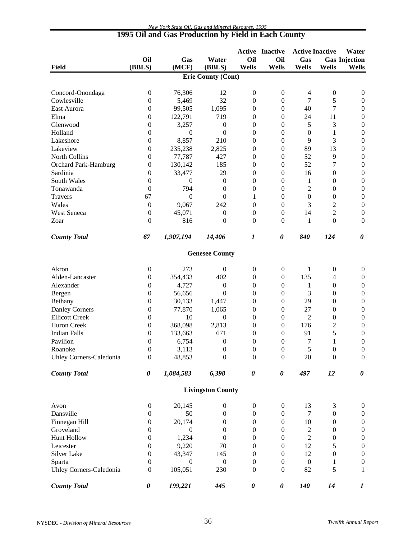#### **Active Inactive Active Inactive Water Oil Gas Water Oil Oil Gas Gas Injection Field (BBLS) (MCF) (BBLS) Wells Wells Wells Wells Wells Erie County (Cont)** Concord-Onondaga 0 76,306 12 0 0 4 0 0 Cowlesville 0 5,469 32 0 0 7 5 0 East Aurora 0 99,505 1,095 0 0 40 7 0 Elma 0 122,791 719 0 0 24 11 0 Glenwood 0 3,257 0 0 0 5 3 0 Holland 0 0 0 0 0 0 1 0 Lakeshore 0 8,857 210 0 0 9 3 0 Lakeview 0 235,238 2,825 0 0 89 13 0 North Collins 0 77,787 427 0 0 52 9 0 Orchard Park-Hamburg 0 130,142 185 0 0 52 7 0 Sardinia 0 33,477 29 0 0 16 0 0 South Wales  $\begin{array}{cccccccc} 0 & 0 & 0 & 0 & 1 & 0 \end{array}$ Tonawanda 0 794 0 0 0 2 0 0 Travers 67 0 0 1 0 0 0 0 Wales 0 9,067 242 0 0 3 2 0 West Seneca 0 45,071 0 0 0 14 2 0 0 Zoar 0 816 0 0 0 1 0 0 *County Total 67 1,907,194 14,406 1 0 840 124 0* **Genesee County** Akron 6 0 273 0 0 0 1 0 0 Alden-Lancaster 0 354,433 402 0 0 135 4 0 Alexander 0 4,727 0 0 0 1 0 0 Bergen 0 56,656 0 0 0 3 0 0 Bethany 0 30,133 1,447 0 0 29 0 0 Danley Corners 0 77,870 1,065 0 0 27 0 0 Ellicott Creek 0 0 10 0 0 0 0 2 0 0 Huron Creek 0 368,098 2,813 0 0 176 2 0 Indian Falls 0 133,663 671 0 0 91 5 0 Pavilion 0 6,754 0 0 0 7 1 0 Roanoke 1 0 3,113 0 0 0 5 0 0 Uhley Corners-Caledonia 0 48,853 0 0 0 20 0 0 *County Total 0 1,084,583 6,398 0 0 497 12 0* **Livingston County** Avon 6 0 20,145 0 0 0 13 3 0 Dansville 1 0 50 0 0 0 7 0 0 Finnegan Hill  $\begin{array}{ccccccccc}\n0 & 20,174 & 0 & 0 & 10 & 0 & 0\n\end{array}$ Groveland  $0$  0 0 0 0 0 2 0 0 Hunt Hollow  $\begin{array}{ccccccc} 0 & 1,234 & 0 & 0 & 0 & 2 & 0 & 0 \end{array}$ Leicester 0 9,220 70 0 0 12 5 0 Silver Lake 20 143,347 145 0 0 12 0 0 Sparta 1 0 0 0 0 0 0 0 1 0 Uhley Corners-Caledonia 0 105,051 230 0 0 82 5 1 *County Total 0 199,221 445 0 0 140 14 1*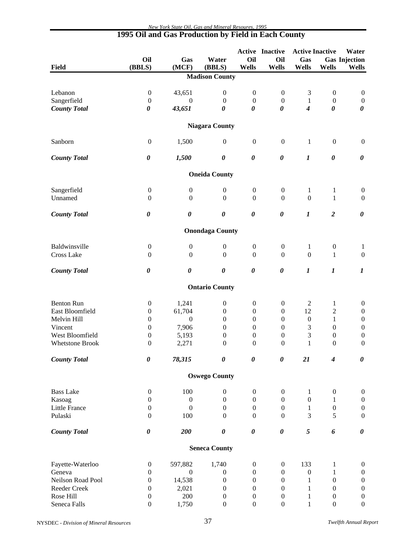|                      | Oil                   | <b>Active Inactive</b><br>Water<br>Oil<br>Gas |                        |                       | Oil                   | <b>Active Inactive</b><br>Water<br>Gas<br><b>Gas Injection</b> |                       |                       |
|----------------------|-----------------------|-----------------------------------------------|------------------------|-----------------------|-----------------------|----------------------------------------------------------------|-----------------------|-----------------------|
| <b>Field</b>         | (BBLS)                | (MCF)                                         | (BBLS)                 | <b>Wells</b>          | <b>Wells</b>          | <b>Wells</b>                                                   | <b>Wells</b>          | <b>Wells</b>          |
|                      |                       |                                               | <b>Madison County</b>  |                       |                       |                                                                |                       |                       |
| Lebanon              | $\boldsymbol{0}$      | 43,651                                        | $\boldsymbol{0}$       | $\boldsymbol{0}$      | $\boldsymbol{0}$      | 3                                                              | $\boldsymbol{0}$      | $\boldsymbol{0}$      |
| Sangerfield          | $\boldsymbol{0}$      | $\boldsymbol{0}$                              | $\boldsymbol{0}$       | $\boldsymbol{0}$      | $\boldsymbol{0}$      | $\mathbf{1}$                                                   | $\boldsymbol{0}$      | $\boldsymbol{0}$      |
| <b>County Total</b>  | $\boldsymbol{\theta}$ | 43,651                                        | $\boldsymbol{\theta}$  | $\boldsymbol{\theta}$ | $\boldsymbol{\theta}$ | $\overline{4}$                                                 | $\boldsymbol{\theta}$ | $\boldsymbol{\theta}$ |
|                      |                       |                                               | <b>Niagara County</b>  |                       |                       |                                                                |                       |                       |
| Sanborn              | $\boldsymbol{0}$      | 1,500                                         | $\boldsymbol{0}$       | $\boldsymbol{0}$      | $\boldsymbol{0}$      | $\mathbf{1}$                                                   | $\boldsymbol{0}$      | $\boldsymbol{0}$      |
| <b>County Total</b>  | $\pmb{\theta}$        | 1,500                                         | $\pmb{\theta}$         | $\boldsymbol{\theta}$ | $\pmb{\theta}$        | $\boldsymbol{l}$                                               | $\pmb{\theta}$        | 0                     |
|                      |                       |                                               | <b>Oneida County</b>   |                       |                       |                                                                |                       |                       |
| Sangerfield          | $\boldsymbol{0}$      | $\boldsymbol{0}$                              | $\boldsymbol{0}$       | $\boldsymbol{0}$      | $\boldsymbol{0}$      | $\mathbf{1}$                                                   | $\mathbf{1}$          | $\boldsymbol{0}$      |
| Unnamed              | $\boldsymbol{0}$      | $\boldsymbol{0}$                              | $\boldsymbol{0}$       | $\boldsymbol{0}$      | $\boldsymbol{0}$      | $\mathbf{0}$                                                   | $\mathbf{1}$          | $\boldsymbol{0}$      |
| <b>County Total</b>  | $\pmb{\theta}$        | $\boldsymbol{\theta}$                         | $\pmb{\theta}$         | $\boldsymbol{\theta}$ | $\pmb{\theta}$        | $\boldsymbol{l}$                                               | $\overline{2}$        | $\boldsymbol{\theta}$ |
|                      |                       |                                               | <b>Onondaga County</b> |                       |                       |                                                                |                       |                       |
| Baldwinsville        | $\boldsymbol{0}$      | $\boldsymbol{0}$                              | $\boldsymbol{0}$       | $\boldsymbol{0}$      | $\boldsymbol{0}$      | $\mathbf{1}$                                                   | $\boldsymbol{0}$      | $\mathbf{1}$          |
| Cross Lake           | $\boldsymbol{0}$      | $\boldsymbol{0}$                              | $\mathbf{0}$           | $\boldsymbol{0}$      | $\boldsymbol{0}$      | $\boldsymbol{0}$                                               | $\mathbf{1}$          | $\boldsymbol{0}$      |
| <b>County Total</b>  | $\pmb{\theta}$        | $\boldsymbol{\theta}$                         | $\pmb{\theta}$         | $\boldsymbol{\theta}$ | $\pmb{\theta}$        | $\boldsymbol{l}$                                               | $\boldsymbol{l}$      | $\boldsymbol{l}$      |
|                      |                       |                                               | <b>Ontario County</b>  |                       |                       |                                                                |                       |                       |
| <b>Benton Run</b>    | $\boldsymbol{0}$      | 1,241                                         | $\boldsymbol{0}$       | $\boldsymbol{0}$      | $\boldsymbol{0}$      | $\sqrt{2}$                                                     | $\mathbf{1}$          | $\boldsymbol{0}$      |
| East Bloomfield      | $\boldsymbol{0}$      | 61,704                                        | $\boldsymbol{0}$       | $\boldsymbol{0}$      | $\boldsymbol{0}$      | 12                                                             | $\sqrt{2}$            | $\boldsymbol{0}$      |
| Melvin Hill          | $\boldsymbol{0}$      | $\overline{0}$                                | $\boldsymbol{0}$       | $\boldsymbol{0}$      | $\boldsymbol{0}$      | $\boldsymbol{0}$                                               | $\mathbf{1}$          | $\boldsymbol{0}$      |
| Vincent              | $\boldsymbol{0}$      | 7,906                                         | $\boldsymbol{0}$       | $\boldsymbol{0}$      | $\boldsymbol{0}$      | 3                                                              | $\boldsymbol{0}$      | $\boldsymbol{0}$      |
| West Bloomfield      | $\boldsymbol{0}$      | 5,193                                         | $\boldsymbol{0}$       | $\boldsymbol{0}$      | $\boldsymbol{0}$      | 3                                                              | $\boldsymbol{0}$      | $\boldsymbol{0}$      |
| Whetstone Brook      | $\boldsymbol{0}$      | 2,271                                         | $\boldsymbol{0}$       | $\boldsymbol{0}$      | $\boldsymbol{0}$      | $\mathbf{1}$                                                   | $\mathbf{0}$          | $\boldsymbol{0}$      |
| <b>County Total</b>  | $\pmb{\theta}$        | 78,315                                        | $\boldsymbol{\theta}$  | $\boldsymbol{\theta}$ | $\boldsymbol{\theta}$ | 21                                                             | $\boldsymbol{4}$      | 0                     |
|                      |                       |                                               | <b>Oswego County</b>   |                       |                       |                                                                |                       |                       |
| <b>Bass Lake</b>     | $\boldsymbol{0}$      | 100                                           | $\boldsymbol{0}$       | $\boldsymbol{0}$      | $\boldsymbol{0}$      | 1                                                              | $\boldsymbol{0}$      | $\boldsymbol{0}$      |
| Kasoag               | $\overline{0}$        | $\boldsymbol{0}$                              | $\boldsymbol{0}$       | $\boldsymbol{0}$      | $\boldsymbol{0}$      | $\boldsymbol{0}$                                               | 1                     | $\boldsymbol{0}$      |
| <b>Little France</b> | $\boldsymbol{0}$      | $\boldsymbol{0}$                              | $\boldsymbol{0}$       | $\boldsymbol{0}$      | $\boldsymbol{0}$      | $\mathbf{1}$                                                   | $\boldsymbol{0}$      | $\boldsymbol{0}$      |
| Pulaski              | $\Omega$              | 100                                           | $\boldsymbol{0}$       | $\mathbf{0}$          | $\Omega$              | 3                                                              | 5                     | $\mathbf{0}$          |
| <b>County Total</b>  | $\boldsymbol{\theta}$ | 200                                           | $\pmb{\theta}$         | $\boldsymbol{\theta}$ | $\boldsymbol{\theta}$ | 5                                                              | 6                     | $\pmb{\theta}$        |
|                      |                       |                                               | <b>Seneca County</b>   |                       |                       |                                                                |                       |                       |
| Fayette-Waterloo     | $\boldsymbol{0}$      | 597,882                                       | 1,740                  | $\boldsymbol{0}$      | $\boldsymbol{0}$      | 133                                                            | 1                     | $\boldsymbol{0}$      |
| Geneva               | $\boldsymbol{0}$      | $\boldsymbol{0}$                              | $\boldsymbol{0}$       | $\boldsymbol{0}$      | $\boldsymbol{0}$      | $\boldsymbol{0}$                                               | 1                     | $\boldsymbol{0}$      |
| Neilson Road Pool    | $\boldsymbol{0}$      | 14,538                                        | $\boldsymbol{0}$       | $\boldsymbol{0}$      | $\boldsymbol{0}$      | 1                                                              | $\boldsymbol{0}$      | $\boldsymbol{0}$      |
| Reeder Creek         | $\boldsymbol{0}$      | 2,021                                         | $\boldsymbol{0}$       | $\boldsymbol{0}$      | $\boldsymbol{0}$      | $\mathbf{1}$                                                   | $\boldsymbol{0}$      | $\boldsymbol{0}$      |
| Rose Hill            | $\boldsymbol{0}$      | 200                                           | $\boldsymbol{0}$       | $\boldsymbol{0}$      | $\boldsymbol{0}$      | $\mathbf{1}$                                                   | $\boldsymbol{0}$      | $\boldsymbol{0}$      |
| Seneca Falls         | $\boldsymbol{0}$      | 1,750                                         | $\boldsymbol{0}$       | $\boldsymbol{0}$      | $\boldsymbol{0}$      | $\mathbf{1}$                                                   | $\boldsymbol{0}$      | $\boldsymbol{0}$      |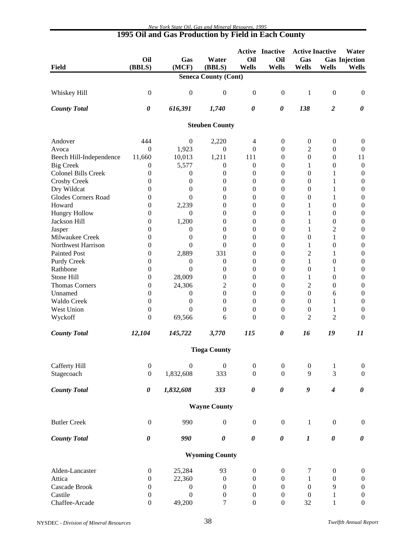#### *New York State Oil, Gas and Mineral Resoures, 1995*

|                            | Oil                   | Gas              | Water                                 | Oil              | <b>Active Inactive</b><br>Oil | <b>Active Inactive</b><br>Gas |                  | Water<br><b>Gas Injection</b> |
|----------------------------|-----------------------|------------------|---------------------------------------|------------------|-------------------------------|-------------------------------|------------------|-------------------------------|
| Field                      | (BBLS)                | (MCF)            | (BBLS)<br><b>Seneca County (Cont)</b> | <b>Wells</b>     | <b>Wells</b>                  | <b>Wells</b>                  | Wells            | <b>Wells</b>                  |
|                            |                       |                  |                                       |                  |                               |                               |                  |                               |
| Whiskey Hill               | $\boldsymbol{0}$      | $\boldsymbol{0}$ | $\boldsymbol{0}$                      | $\boldsymbol{0}$ | $\boldsymbol{0}$              | 1                             | $\boldsymbol{0}$ | $\overline{0}$                |
| <b>County Total</b>        | $\boldsymbol{\theta}$ | 616,391          | 1,740                                 | 0                | 0                             | 138                           | $\boldsymbol{2}$ | 0                             |
|                            |                       |                  | <b>Steuben County</b>                 |                  |                               |                               |                  |                               |
| Andover                    | 444                   | $\boldsymbol{0}$ | 2,220                                 | $\overline{4}$   | $\boldsymbol{0}$              | $\boldsymbol{0}$              | $\boldsymbol{0}$ | $\overline{0}$                |
| Avoca                      | $\boldsymbol{0}$      | 1,923            | $\mathbf{0}$                          | $\mathbf{0}$     | $\mathbf{0}$                  | 2                             | $\mathbf{0}$     | $\overline{0}$                |
| Beech Hill-Independence    | 11,660                | 10,013           | 1,211                                 | 111              | $\mathbf{0}$                  | $\boldsymbol{0}$              | $\mathbf{0}$     | 11                            |
| <b>Big Creek</b>           | $\boldsymbol{0}$      | 5,577            | $\boldsymbol{0}$                      | $\boldsymbol{0}$ | $\boldsymbol{0}$              | 1                             | $\mathbf{0}$     | $\boldsymbol{0}$              |
| <b>Colonel Bills Creek</b> | 0                     | $\boldsymbol{0}$ | $\boldsymbol{0}$                      | $\boldsymbol{0}$ | $\boldsymbol{0}$              | $\boldsymbol{0}$              | 1                | $\boldsymbol{0}$              |
| Crosby Creek               | $\theta$              | $\boldsymbol{0}$ | $\boldsymbol{0}$                      | $\boldsymbol{0}$ | $\boldsymbol{0}$              | $\boldsymbol{0}$              | 1                | $\boldsymbol{0}$              |
| Dry Wildcat                | $\theta$              | $\boldsymbol{0}$ | $\boldsymbol{0}$                      | $\boldsymbol{0}$ | $\boldsymbol{0}$              | $\boldsymbol{0}$              | 1                | $\boldsymbol{0}$              |
| <b>Glodes Corners Road</b> | $\theta$              | $\boldsymbol{0}$ | $\boldsymbol{0}$                      | $\boldsymbol{0}$ | $\boldsymbol{0}$              | $\boldsymbol{0}$              | 1                | $\boldsymbol{0}$              |
| Howard                     | 0                     | 2,239            | $\boldsymbol{0}$                      | $\boldsymbol{0}$ | $\boldsymbol{0}$              | 1                             | $\boldsymbol{0}$ | $\boldsymbol{0}$              |
| <b>Hungry Hollow</b>       | 0                     | $\overline{0}$   | $\boldsymbol{0}$                      | $\boldsymbol{0}$ | $\boldsymbol{0}$              | 1                             | $\boldsymbol{0}$ | $\boldsymbol{0}$              |
| Jackson Hill               | 0                     | 1,200            | $\boldsymbol{0}$                      | $\boldsymbol{0}$ | 0                             | 1                             | $\boldsymbol{0}$ | $\boldsymbol{0}$              |
| Jasper                     | 0                     | $\boldsymbol{0}$ | 0                                     | $\boldsymbol{0}$ | $\overline{0}$                | 1                             | $\overline{c}$   | $\boldsymbol{0}$              |
| Milwaukee Creek            | $\theta$              | $\boldsymbol{0}$ | 0                                     | $\boldsymbol{0}$ | $\overline{0}$                | $\boldsymbol{0}$              | 1                | $\boldsymbol{0}$              |
| Northwest Harrison         | $\theta$              | $\boldsymbol{0}$ | $\overline{0}$                        | $\overline{0}$   | $\overline{0}$                | 1                             | $\theta$         | $\boldsymbol{0}$              |
| <b>Painted Post</b>        | 0                     | 2,889            | 331                                   | 0                | $\overline{0}$                | $\overline{c}$                | 1                | $\boldsymbol{0}$              |
| Purdy Creek                | 0                     | $\boldsymbol{0}$ | $\boldsymbol{0}$                      | $\boldsymbol{0}$ | $\overline{0}$                | 1                             | $\mathbf{0}$     | $\boldsymbol{0}$              |
| Rathbone                   | 0                     | $\boldsymbol{0}$ | $\boldsymbol{0}$                      | $\boldsymbol{0}$ | $\overline{0}$                | $\boldsymbol{0}$              | 1                | $\boldsymbol{0}$              |
| Stone Hill                 | $\theta$              | 28,009           | $\boldsymbol{0}$                      | $\mathbf{0}$     | $\overline{0}$                | 1                             | $\boldsymbol{0}$ | $\boldsymbol{0}$              |
| <b>Thomas Corners</b>      | $\theta$              | 24,306           | $\overline{2}$                        | $\mathbf{0}$     | $\overline{0}$                | $\overline{2}$                | $\boldsymbol{0}$ | $\boldsymbol{0}$              |
| Unnamed                    | $\theta$              | $\boldsymbol{0}$ | $\boldsymbol{0}$                      | $\mathbf{0}$     | $\overline{0}$                | $\boldsymbol{0}$              | 6                | $\boldsymbol{0}$              |
| Waldo Creek                | $\theta$              | $\boldsymbol{0}$ | $\mathbf{0}$                          | $\boldsymbol{0}$ | $\overline{0}$                | $\mathbf{0}$                  | 1                | $\boldsymbol{0}$              |
| West Union                 | 0                     | $\boldsymbol{0}$ | $\boldsymbol{0}$                      | $\boldsymbol{0}$ | $\overline{0}$                | $\boldsymbol{0}$              | 1                | $\boldsymbol{0}$              |
| Wyckoff                    | $\mathbf{0}$          | 69,566           | 6                                     | $\overline{0}$   | $\boldsymbol{0}$              | $\overline{2}$                | $\overline{c}$   | $\theta$                      |
| <b>County Total</b>        | 12,104                | 145,722          | 3,770                                 | 115              | $\boldsymbol{\theta}$         | 16                            | 19               | 11                            |
|                            |                       |                  | <b>Tioga County</b>                   |                  |                               |                               |                  |                               |
| Cafferty Hill              | $\boldsymbol{0}$      | $\boldsymbol{0}$ | $\boldsymbol{0}$                      | $\boldsymbol{0}$ | $\boldsymbol{0}$              | $\boldsymbol{0}$              | 1                | $\boldsymbol{0}$              |
| Stagecoach                 | $\boldsymbol{0}$      | 1,832,608        | 333                                   | $\overline{0}$   | $\boldsymbol{0}$              | 9                             | $\overline{3}$   | $\boldsymbol{0}$              |
| <b>County Total</b>        | $\pmb{\theta}$        | 1,832,608        | 333                                   | 0                | $\pmb{\theta}$                | 9                             | $\boldsymbol{4}$ | $\pmb{\theta}$                |
|                            |                       |                  | <b>Wayne County</b>                   |                  |                               |                               |                  |                               |
| <b>Butler Creek</b>        | $\boldsymbol{0}$      | 990              | $\boldsymbol{0}$                      | $\boldsymbol{0}$ | $\boldsymbol{0}$              | $\mathbf{1}$                  | $\boldsymbol{0}$ | $\boldsymbol{0}$              |
| <b>County Total</b>        | $\pmb{\theta}$        | 990              | $\pmb{\theta}$                        | $\pmb{\theta}$   | $\pmb{\theta}$                | $\boldsymbol{l}$              | $\pmb{\theta}$   | $\pmb{\theta}$                |
|                            |                       |                  | <b>Wyoming County</b>                 |                  |                               |                               |                  |                               |
| Alden-Lancaster            | $\boldsymbol{0}$      | 25,284           | 93                                    | $\boldsymbol{0}$ | $\boldsymbol{0}$              | $\tau$                        | $\boldsymbol{0}$ | $\boldsymbol{0}$              |
| Attica                     | $\boldsymbol{0}$      | 22,360           | $\boldsymbol{0}$                      | $\boldsymbol{0}$ | $\boldsymbol{0}$              | $\mathbf{1}$                  | $\boldsymbol{0}$ | $\boldsymbol{0}$              |
| Cascade Brook              | $\boldsymbol{0}$      | $\boldsymbol{0}$ | $\boldsymbol{0}$                      | $\boldsymbol{0}$ | $\boldsymbol{0}$              | $\boldsymbol{0}$              | 9                | $\boldsymbol{0}$              |
| Castile                    | $\boldsymbol{0}$      | $\boldsymbol{0}$ | $\boldsymbol{0}$                      | $\boldsymbol{0}$ | $\boldsymbol{0}$              | $\boldsymbol{0}$              | 1                | $\boldsymbol{0}$              |
| Chaffee-Arcade             | $\boldsymbol{0}$      | 49,200           | $\overline{7}$                        | $\boldsymbol{0}$ | $\boldsymbol{0}$              | 32                            | 1                | $\boldsymbol{0}$              |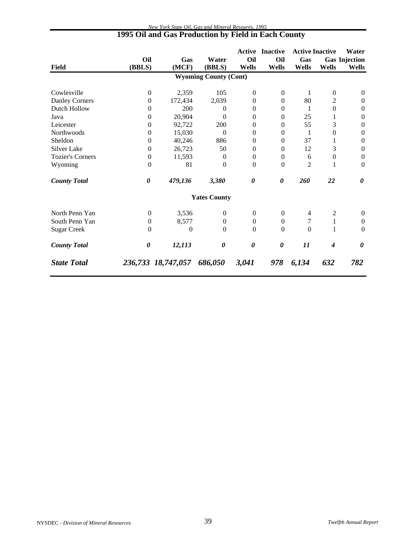|  |  |  |  | New York State Oil, Gas and Mineral Resoures, 1995 |  |
|--|--|--|--|----------------------------------------------------|--|
|  |  |  |  |                                                    |  |
|  |  |  |  |                                                    |  |

|                         |                  |                    |                              | Active                | <b>Inactive</b>       | <b>Active Inactive</b> |              | Water                |
|-------------------------|------------------|--------------------|------------------------------|-----------------------|-----------------------|------------------------|--------------|----------------------|
|                         | Oil              | Gas                | Water                        | Oil                   | Oil                   | Gas                    |              | <b>Gas Injection</b> |
| Field                   | (BBLS)           | (MCF)              | (BBLS)                       | <b>Wells</b>          | Wells                 | <b>Wells</b>           | Wells        | Wells                |
|                         |                  |                    | <b>Wyoming County (Cont)</b> |                       |                       |                        |              |                      |
| Cowlesville             | $\theta$         | 2,359              | 105                          | $\boldsymbol{0}$      | $\overline{0}$        | 1                      | $\mathbf{0}$ | $\overline{0}$       |
| Danley Corners          | $\Omega$         | 172,434            | 2,039                        | $\Omega$              | $\Omega$              | 80                     | 2            | $\theta$             |
| Dutch Hollow            | $\theta$         | 200                | 0                            | $\theta$              | $\Omega$              | 1                      | 0            | $\boldsymbol{0}$     |
| Java                    | 0                | 20,904             | $\Omega$                     | 0                     | $\Omega$              | 25                     |              | $\theta$             |
| Leicester               | 0                | 92,722             | 200                          | 0                     | $\Omega$              | 55                     | 3            | $\boldsymbol{0}$     |
| Northwoods              | 0                | 15,030             | $\Omega$                     | $\mathbf{0}$          | $\theta$              | 1                      | 0            | $\mathbf{0}$         |
| Sheldon                 | 0                | 40,246             | 886                          | 0                     | $\Omega$              | 37                     | 1            | $\boldsymbol{0}$     |
| Silver Lake             | $\Omega$         | 26,723             | 50                           | $\theta$              | $\Omega$              | 12                     | 3            | $\mathbf{0}$         |
| <b>Tozier's Corners</b> | $\theta$         | 11,593             | 0                            | $\boldsymbol{0}$      | $\Omega$              | 6                      | $\theta$     | $\theta$             |
| Wyoming                 | $\overline{0}$   | 81                 | $\mathbf{0}$                 | $\mathbf{0}$          | $\overline{0}$        | 2                      | 1            | $\theta$             |
| <b>County Total</b>     | 0                | 479,136            | 3,380                        | $\boldsymbol{\theta}$ | $\boldsymbol{\theta}$ | 260                    | 22           | 0                    |
|                         |                  |                    | <b>Yates County</b>          |                       |                       |                        |              |                      |
| North Penn Yan          | $\boldsymbol{0}$ | 3,536              | $\mathbf{0}$                 | $\boldsymbol{0}$      | $\overline{0}$        | 4                      | 2            | $\boldsymbol{0}$     |
| South Penn Yan          | $\theta$         | 8,577              | $\Omega$                     | $\theta$              | $\Omega$              | 7                      | 1            | $\boldsymbol{0}$     |
| <b>Sugar Creek</b>      | $\theta$         | 0                  | $\Omega$                     | $\mathbf{0}$          | $\Omega$              | $\theta$               |              | $\theta$             |
| <b>County Total</b>     | 0                | 12,113             | $\boldsymbol{\theta}$        | $\boldsymbol{\theta}$ | $\boldsymbol{\theta}$ | 11                     | 4            | 0                    |
| <b>State Total</b>      |                  | 236,733 18,747,057 | 686,050                      | 3,041                 | 978                   | 6,134                  | 632          | 782                  |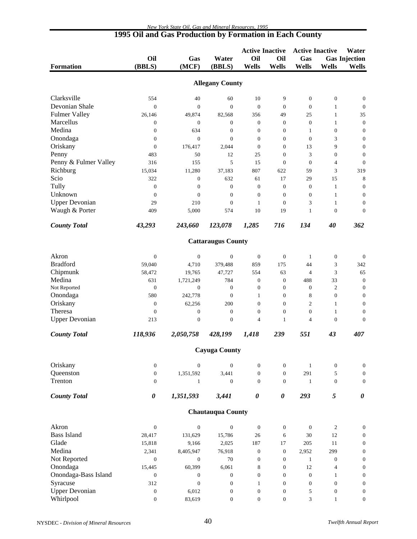|  |  |  |  | New York State Oil, Gas and Mineral Resources, 1995 |  |
|--|--|--|--|-----------------------------------------------------|--|
|  |  |  |  |                                                     |  |
|  |  |  |  |                                                     |  |

#### **Active Inactive Active Inactive Water Oil Gas Water Oil Oil Gas Gas Injection Formation (BBLS) (MCF) (BBLS) Wells Wells Wells Wells Wells Allegany County**  $\text{Clark} \times \text{ville}$  554 40 60 10 9 0 0 0 Devonian Shale  $\begin{array}{cccccccc}\n0 & 0 & 0 & 0 & 0 & 1 & 0\n\end{array}$ Fulmer Valley 26,146 49,874 82,568 356 49 25 1 35 Marcellus 0 0 0 0 0 0 1 0 Medina 1 0 0 634 0 0 0 1 0 0 Onondaga 0 0 0 0 0 0 3 0 Oriskany 0 176,417 2,044 0 0 13 9 0 Penny 483 50 12 25 0 3 0 0 Penny & Fulmer Valley 316 155 5 15 0 0 4 0 Richburg 15,034 11,280 37,183 807 622 59 3 319 Scio 322 0 632 61 17 29 15 8 Tully the original contract of the original contract of  $\begin{array}{cccccccccccccc} 0 & 0 & 0 & 0 & 0 & 0 & 1 & 0 \end{array}$ Unknown 0 0 0 0 0 0 0 1 0 Upper Devonian 29 210 0 1 0 3 1 0 Waugh & Porter  $409$  5,000 574 10 19 1 0 0 *County Total 43,293 243,660 123,078 1,285 716 134 40 362* **Cattaraugus County** Akron 0 0 0 0 0 0 1 0 0 Bradford 59,040 4,710 379,488 859 175 44 3 342 Chipmunk 58,472 19,765 47,727 554 63 4 3 65 Medina 631 1,721,249 784 0 0 488 33 0 Not Reported the control of the control of the control of the control of the control of the control of the control of the control of the control of the control of the control of the control of the control of the control of **Onondaga** 580 242,778 0 1 0 8 0 0 Oriskany 0 62,256 200 0 0 2 1 0 **Theresa** 0 0 0 0 0 0 1 0 Upper Devonian 213 0 0 4 1 4 0 0 0 *County Total 118,936 2,050,758 428,199 1,418 239 551 43 407* **Cayuga County** Oriskany 0 0 0 0 0 1 0 0 Queenston 0 1,351,592 3,441 0 0 291 5 0 **Trenton** 0 0 1 0 0 0 0 1 0 0 0 *County Total 0 1,351,593 3,441 0 0 293 5 0* **Chautauqua County** Akron 0 0 0 0 0 0 0 2 0 Bass Island 28,417 131,629 15,786 26 6 30 12 0 Glade 15,818 9,166 2,025 187 17 205 11 0 Medina 2,341 8,405,947 76,918 0 0 2,952 299 0 Not Reported 0 0 0 70 0 0 1 0 0 0 Onondaga 15,445 60,399 6,061 8 0 12 4 0 Onondaga-Bass Island 0 0 0 0 0 0 1 0 Syracuse 312 0 0 1 0 0 0 0 0 Upper Devonian  $0 = 6,012 = 0 0 0 5 0 0$ Whirlpool 0 83,619 0 0 0 3 1 0

#### **1995 Oil and Gas Production by Formation in Each County**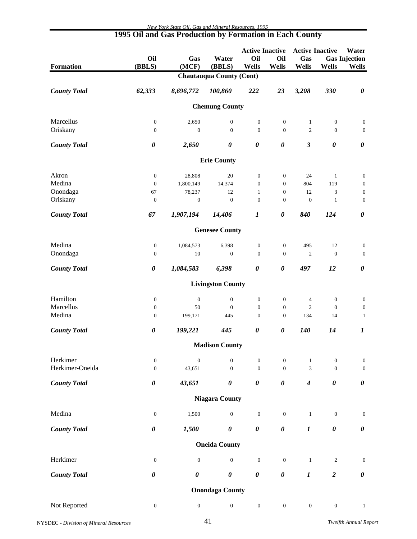|  |  |  |  | New York State Oil, Gas and Mineral Resources, 1995 |  |
|--|--|--|--|-----------------------------------------------------|--|
|  |  |  |  |                                                     |  |

## **Active Inactive Active Inactive Water Oil Gas Water Oil Oil Gas Gas Injection Formation (BBLS) (MCF) (BBLS) Wells Wells Wells Wells Wells Chautauqua County (Cont)** *County Total 62,333 8,696,772 100,860 222 23 3,208 330 0* **Chemung County** Marcellus 0 2,650 0 0 0 1 0 0 Oriskany 0 0 0 0 0 0 2 0 0 *County Total 0 2,650 0 0 0 3 0 0* **Erie County** Akron 0 28,808 20 0 0 24 1 0 Medina 19 0 1,800,149 14,374 0 0 804 119 0 **Onondaga** 67 78,237 12 1 0 12 3 0 Oriskany 0 0 0 0 0 0 1 0 *County Total 67 1,907,194 14,406 1 0 840 124 0* **Genesee County** Medina 1.084,573 6,398 0 0 495 12 0 Onondaga 0 10 0 0 0 2 0 0 *County Total 0 1,084,583 6,398 0 0 497 12 0* **Livingston County** Hamilton 0 0 0 0 0 0 4 0 0 Marcellus 6 0 50 0 0 0 2 0 0 Medina 1 0 199,171 445 0 0 134 14 1 *County Total 0 199,221 445 0 0 140 14 1* **Madison County** Herkimer 0 0 0 0 0 1 0 0 Herkimer-Oneida 0 43,651 0 0 0 3 0 0 *County Total 0 43,651 0 0 0 4 0 0* **Niagara County** Medina 0 1,500 0 0 0 1 0 0 *County Total 0 1,500 0 0 0 1 0 0* **Oneida County** Herkimer 0 0 0 0 0 1 2 0 *County Total 0 0 0 0 0 1 2 0* **Onondaga County**

#### **1995 Oil and Gas Production by Formation in Each County**

Not Reported 0 0 0 0 0 0 0 1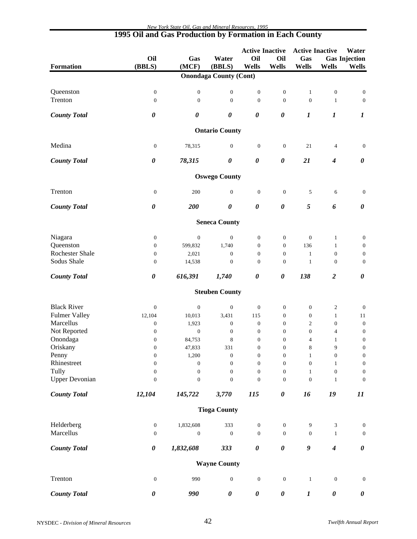|  |  |  |  | New York State Oil, Gas and Mineral Resources, 1995 |  |
|--|--|--|--|-----------------------------------------------------|--|
|  |  |  |  |                                                     |  |

|                       |                       |                       |                               | <b>Active Inactive</b> |                       | <b>Active Inactive</b> |                          | Water                      |
|-----------------------|-----------------------|-----------------------|-------------------------------|------------------------|-----------------------|------------------------|--------------------------|----------------------------|
|                       | Oil                   | Gas                   | Water                         | Oil                    | Oil                   | Gas                    |                          | <b>Gas Injection</b>       |
| Formation             | (BBLS)                | (MCF)                 | (BBLS)                        | <b>Wells</b>           | <b>Wells</b>          | Wells                  | <b>Wells</b>             | <b>Wells</b>               |
|                       |                       |                       | <b>Onondaga County (Cont)</b> |                        |                       |                        |                          |                            |
| Queenston             | $\boldsymbol{0}$      | $\boldsymbol{0}$      | $\boldsymbol{0}$              | $\boldsymbol{0}$       | $\boldsymbol{0}$      | $\mathbf{1}$           | $\boldsymbol{0}$         | $\boldsymbol{0}$           |
| Trenton               | $\mathbf{0}$          | $\mathbf{0}$          | $\mathbf{0}$                  | $\boldsymbol{0}$       | $\overline{0}$        | $\boldsymbol{0}$       | $\mathbf{1}$             | $\mathbf{0}$               |
| <b>County Total</b>   | $\boldsymbol{\theta}$ | $\boldsymbol{\theta}$ | $\boldsymbol{\theta}$         | 0                      | 0                     | $\boldsymbol{l}$       | $\boldsymbol{l}$         | $\bm{l}$                   |
|                       |                       |                       | <b>Ontario County</b>         |                        |                       |                        |                          |                            |
| Medina                | $\mathbf{0}$          | 78,315                | $\boldsymbol{0}$              | $\boldsymbol{0}$       | $\boldsymbol{0}$      | 21                     | $\overline{\mathcal{L}}$ | $\mathbf{0}$               |
| <b>County Total</b>   | $\pmb{\theta}$        | 78,315                | $\pmb{\theta}$                | $\pmb{\theta}$         | $\pmb{\theta}$        | 21                     | $\boldsymbol{4}$         | $\pmb{\theta}$             |
|                       |                       |                       | <b>Oswego County</b>          |                        |                       |                        |                          |                            |
| Trenton               | $\boldsymbol{0}$      | 200                   | $\boldsymbol{0}$              | $\boldsymbol{0}$       | $\boldsymbol{0}$      | 5                      | 6                        | $\boldsymbol{0}$           |
| <b>County Total</b>   | $\pmb{\theta}$        | 200                   | $\boldsymbol{\theta}$         | 0                      | 0                     | 5                      | 6                        | $\pmb{\theta}$             |
|                       |                       |                       | <b>Seneca County</b>          |                        |                       |                        |                          |                            |
|                       |                       |                       |                               |                        |                       |                        |                          |                            |
| Niagara               | $\boldsymbol{0}$      | $\boldsymbol{0}$      | $\boldsymbol{0}$              | $\mathbf{0}$           | $\boldsymbol{0}$      | $\boldsymbol{0}$       | $\mathbf{1}$             | $\mathbf{0}$               |
| Queenston             | $\mathbf{0}$          | 599,832               | 1,740                         | $\mathbf{0}$           | $\mathbf{0}$          | 136                    | $\mathbf{1}$             | $\boldsymbol{0}$           |
| Rochester Shale       | $\mathbf{0}$          | 2,021                 | $\boldsymbol{0}$              | $\overline{0}$         | $\mathbf{0}$          | $\mathbf{1}$           | $\boldsymbol{0}$         | $\mathbf{0}$               |
| Sodus Shale           | $\mathbf{0}$          | 14,538                | $\boldsymbol{0}$              | $\mathbf{0}$           | $\mathbf{0}$          | $\mathbf{1}$           | $\mathbf{0}$             | $\mathbf{0}$               |
| <b>County Total</b>   | $\pmb{\theta}$        | 616,391               | 1,740                         | 0                      | $\boldsymbol{\theta}$ | 138                    | $\overline{2}$           | $\boldsymbol{\theta}$      |
|                       |                       |                       | <b>Steuben County</b>         |                        |                       |                        |                          |                            |
| <b>Black River</b>    | $\mathbf{0}$          | $\boldsymbol{0}$      | $\boldsymbol{0}$              | $\boldsymbol{0}$       | $\boldsymbol{0}$      | $\boldsymbol{0}$       | $\overline{c}$           | $\boldsymbol{0}$           |
| <b>Fulmer Valley</b>  | 12,104                | 10,013                | 3.431                         | 115                    | $\mathbf{0}$          | $\boldsymbol{0}$       | $\mathbf{1}$             | 11                         |
| Marcellus             | $\mathbf{0}$          | 1,923                 | $\mathbf{0}$                  | $\mathbf{0}$           | $\mathbf{0}$          | $\overline{c}$         | $\boldsymbol{0}$         | $\mathbf{0}$               |
| Not Reported          | $\mathbf{0}$          | $\boldsymbol{0}$      | $\boldsymbol{0}$              | $\boldsymbol{0}$       | $\mathbf{0}$          | $\boldsymbol{0}$       | $\overline{4}$           | $\mathbf{0}$               |
| Onondaga              | $\mathbf{0}$          | 84,753                | 8                             | $\boldsymbol{0}$       | $\mathbf{0}$          | $\overline{4}$         | $\mathbf{1}$             | $\mathbf{0}$               |
| Oriskany              | $\mathbf{0}$          | 47,833                | 331                           | $\boldsymbol{0}$       | $\overline{0}$        | 8                      | 9                        | $\mathbf{0}$               |
| Penny                 | $\boldsymbol{0}$      | 1,200                 | $\boldsymbol{0}$              | $\boldsymbol{0}$       | $\boldsymbol{0}$      | $\mathbf{1}$           | $\boldsymbol{0}$         | $\boldsymbol{0}$           |
| Rhinestreet           | $\boldsymbol{0}$      | $\mathbf{0}$          | $\mathbf{0}$                  | $\boldsymbol{0}$       | $\boldsymbol{0}$      | $\boldsymbol{0}$       | $\mathbf{1}$             | $\mathbf{0}$               |
| Tully                 | $\boldsymbol{0}$      | $\mathbf{0}$          | $\mathbf{0}$                  | $\boldsymbol{0}$       | $\mathbf{0}$          | $\mathbf{1}$           | $\boldsymbol{0}$         | $\mathbf{0}$               |
| <b>Upper Devonian</b> | $\boldsymbol{0}$      | $\boldsymbol{0}$      | $\boldsymbol{0}$              | $\boldsymbol{0}$       | $\boldsymbol{0}$      | $\boldsymbol{0}$       | $\mathbf{1}$             | $\mathbf{0}$               |
| <b>County Total</b>   | 12,104                | 145,722               | 3,770                         | 115                    | $\pmb{\theta}$        | 16                     | 19                       | $\boldsymbol{\mathit{11}}$ |
|                       |                       |                       | <b>Tioga County</b>           |                        |                       |                        |                          |                            |
| Helderberg            | $\boldsymbol{0}$      | 1,832,608             | 333                           | $\boldsymbol{0}$       | $\boldsymbol{0}$      | 9                      | 3                        | $\boldsymbol{0}$           |
| Marcellus             | $\mathbf{0}$          | $\mathbf{0}$          | $\boldsymbol{0}$              | $\mathbf{0}$           | $\mathbf{0}$          | $\mathbf{0}$           | $\mathbf{1}$             | $\boldsymbol{0}$           |
| <b>County Total</b>   | $\pmb{\theta}$        | 1,832,608             | 333                           | $\pmb{\theta}$         | 0                     | 9                      | $\boldsymbol{4}$         | $\pmb{\theta}$             |
|                       |                       |                       | <b>Wayne County</b>           |                        |                       |                        |                          |                            |
| Trenton               | $\mathbf{0}$          | 990                   | $\mathbf{0}$                  | $\boldsymbol{0}$       | $\boldsymbol{0}$      | $\mathbf{1}$           | $\boldsymbol{0}$         | $\boldsymbol{0}$           |
| <b>County Total</b>   | $\pmb{\theta}$        | 990                   | $\pmb{\theta}$                | 0                      | 0                     | $\boldsymbol{l}$       | 0                        | $\boldsymbol{\theta}$      |

#### **1995 Oil and Gas Production by Formation in Each County**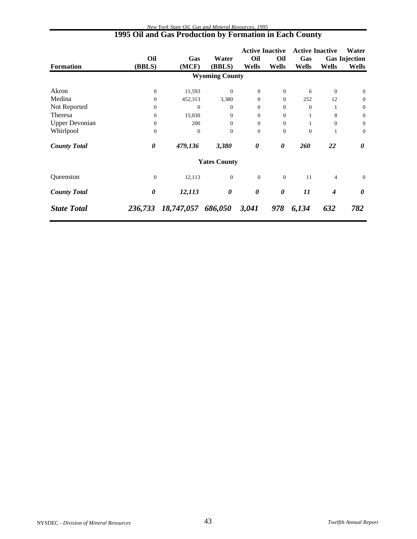|                       |                       |                |                       | <b>Active Inactive</b> |                | <b>Active Inactive</b> |                | Water                         |
|-----------------------|-----------------------|----------------|-----------------------|------------------------|----------------|------------------------|----------------|-------------------------------|
| <b>Formation</b>      | Oil<br>(BBLS)         | Gas<br>(MCF)   | Water<br>(BBLS)       | Oil<br>Wells           | Oil<br>Wells   | Gas<br>Wells           | Wells          | <b>Gas Injection</b><br>Wells |
|                       |                       |                | <b>Wyoming County</b> |                        |                |                        |                |                               |
| Akron                 | $\theta$              | 11,593         | $\Omega$              | $\mathbf{0}$           | $\mathbf{0}$   | 6                      | $\mathbf{0}$   | $\overline{0}$                |
| Medina                | $\overline{0}$        | 452,313        | 3,380                 | $\mathbf{0}$           | $\mathbf{0}$   | 252                    | 12             | $\mathbf{0}$                  |
| Not Reported          | $\Omega$              | $\Omega$       | $\Omega$              | $\Omega$               | $\mathbf{0}$   | $\Omega$               | 1              | $\mathbf{0}$                  |
| Theresa               | $\mathbf{0}$          | 15,030         | $\Omega$              | $\mathbf{0}$           | $\mathbf{0}$   | 1                      | 8              | $\boldsymbol{0}$              |
| <b>Upper Devonian</b> | $\mathbf{0}$          | 200            | $\Omega$              | $\mathbf{0}$           | $\mathbf{0}$   |                        | $\Omega$       | $\mathbf{0}$                  |
| Whirlpool             | $\mathbf{0}$          | $\overline{0}$ | $\Omega$              | $\mathbf{0}$           | $\mathbf{0}$   | $\Omega$               |                | $\mathbf{0}$                  |
| <b>County Total</b>   | $\boldsymbol{\theta}$ | 479,136        | 3,380                 | 0                      | 0              | <b>260</b>             | 22             | 0                             |
|                       |                       |                | <b>Yates County</b>   |                        |                |                        |                |                               |
| Queenston             | $\mathbf{0}$          | 12,113         | $\mathbf{0}$          | $\overline{0}$         | $\overline{0}$ | 11                     | $\overline{4}$ | $\overline{0}$                |
| <b>County Total</b>   | 0                     | 12,113         | $\boldsymbol{\theta}$ | $\boldsymbol{\theta}$  | 0              | 11                     | 4              | 0                             |
| <b>State Total</b>    | 236,733               | 18,747,057     | 686,050               | 3,041                  | 978            | 6,134                  | 632            | 782                           |

#### *New York State Oil, Gas and Mineral Resources, 1995* **1995 Oil and Gas Production by Formation in Each County**

NYSDEC - *Division of Mineral Resources* 43 *Twelfth Annual Report*